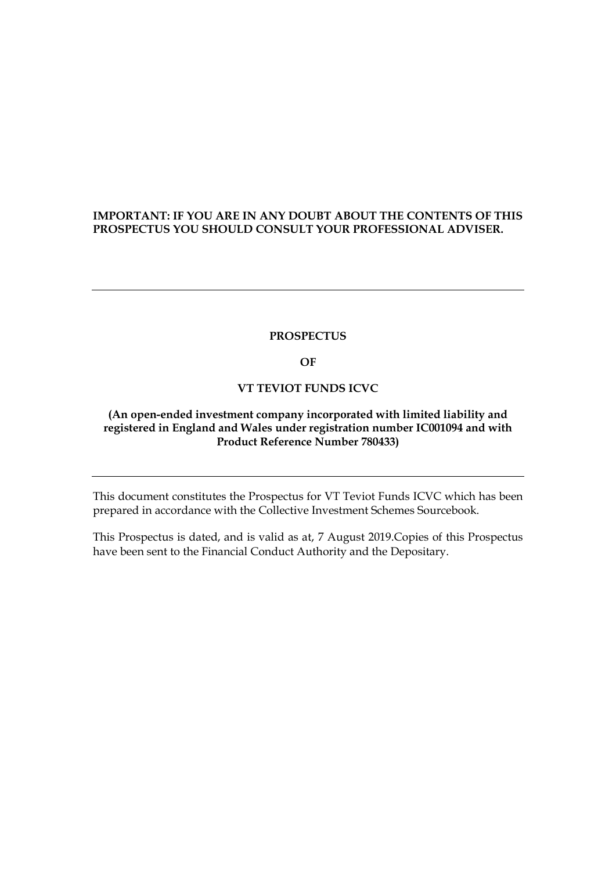## **IMPORTANT: IF YOU ARE IN ANY DOUBT ABOUT THE CONTENTS OF THIS PROSPECTUS YOU SHOULD CONSULT YOUR PROFESSIONAL ADVISER.**

#### **PROSPECTUS**

**OF**

### **VT TEVIOT FUNDS ICVC**

## **(An open-ended investment company incorporated with limited liability and registered in England and Wales under registration number IC001094 and with Product Reference Number 780433)**

This document constitutes the Prospectus for VT Teviot Funds ICVC which has been prepared in accordance with the Collective Investment Schemes Sourcebook.

This Prospectus is dated, and is valid as at, 7 August 2019.Copies of this Prospectus have been sent to the Financial Conduct Authority and the Depositary.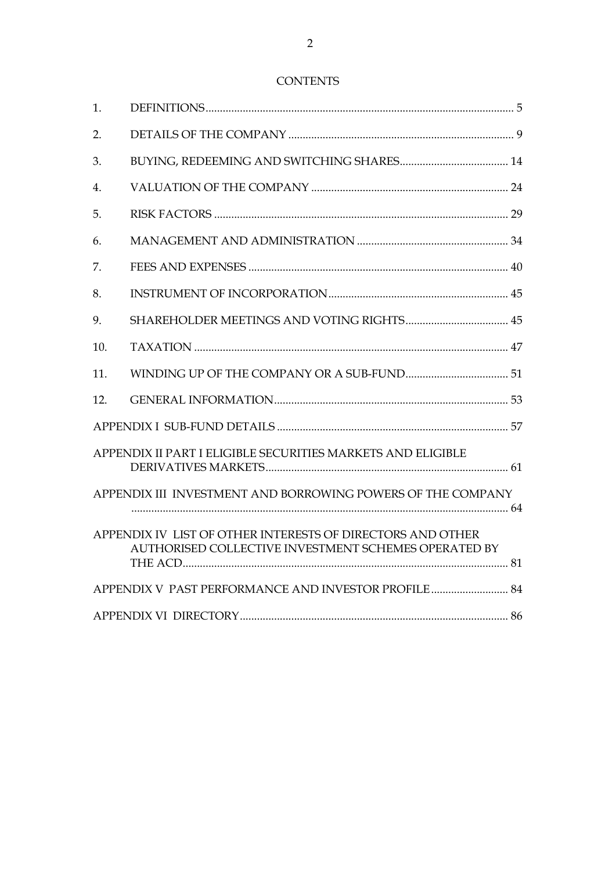# **CONTENTS**

| 1.  |                                                                                                                    |  |  |
|-----|--------------------------------------------------------------------------------------------------------------------|--|--|
| 2.  |                                                                                                                    |  |  |
| 3.  |                                                                                                                    |  |  |
| 4.  |                                                                                                                    |  |  |
| 5.  |                                                                                                                    |  |  |
| 6.  |                                                                                                                    |  |  |
| 7.  |                                                                                                                    |  |  |
| 8.  |                                                                                                                    |  |  |
| 9.  |                                                                                                                    |  |  |
| 10. |                                                                                                                    |  |  |
| 11. |                                                                                                                    |  |  |
| 12. |                                                                                                                    |  |  |
|     |                                                                                                                    |  |  |
|     | APPENDIX II PART I ELIGIBLE SECURITIES MARKETS AND ELIGIBLE                                                        |  |  |
|     | APPENDIX III INVESTMENT AND BORROWING POWERS OF THE COMPANY                                                        |  |  |
|     | APPENDIX IV LIST OF OTHER INTERESTS OF DIRECTORS AND OTHER<br>AUTHORISED COLLECTIVE INVESTMENT SCHEMES OPERATED BY |  |  |
|     | APPENDIX V PAST PERFORMANCE AND INVESTOR PROFILE 84                                                                |  |  |
|     |                                                                                                                    |  |  |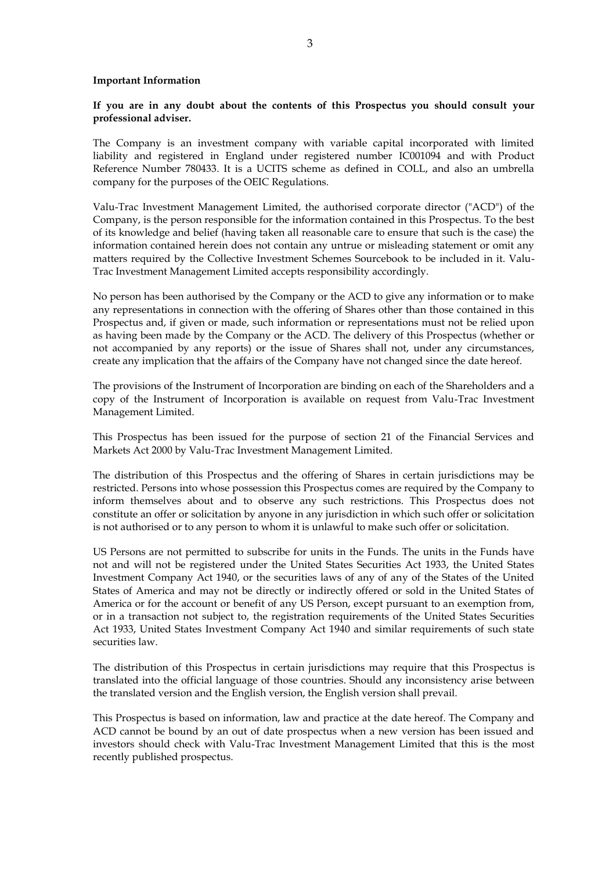#### **Important Information**

**If you are in any doubt about the contents of this Prospectus you should consult your professional adviser.**

The Company is an investment company with variable capital incorporated with limited liability and registered in England under registered number IC001094 and with Product Reference Number 780433. It is a UCITS scheme as defined in COLL, and also an umbrella company for the purposes of the OEIC Regulations.

Valu-Trac Investment Management Limited, the authorised corporate director ("ACD") of the Company, is the person responsible for the information contained in this Prospectus. To the best of its knowledge and belief (having taken all reasonable care to ensure that such is the case) the information contained herein does not contain any untrue or misleading statement or omit any matters required by the Collective Investment Schemes Sourcebook to be included in it. Valu-Trac Investment Management Limited accepts responsibility accordingly.

No person has been authorised by the Company or the ACD to give any information or to make any representations in connection with the offering of Shares other than those contained in this Prospectus and, if given or made, such information or representations must not be relied upon as having been made by the Company or the ACD. The delivery of this Prospectus (whether or not accompanied by any reports) or the issue of Shares shall not, under any circumstances, create any implication that the affairs of the Company have not changed since the date hereof.

The provisions of the Instrument of Incorporation are binding on each of the Shareholders and a copy of the Instrument of Incorporation is available on request from Valu-Trac Investment Management Limited.

This Prospectus has been issued for the purpose of section 21 of the Financial Services and Markets Act 2000 by Valu-Trac Investment Management Limited.

The distribution of this Prospectus and the offering of Shares in certain jurisdictions may be restricted. Persons into whose possession this Prospectus comes are required by the Company to inform themselves about and to observe any such restrictions. This Prospectus does not constitute an offer or solicitation by anyone in any jurisdiction in which such offer or solicitation is not authorised or to any person to whom it is unlawful to make such offer or solicitation.

US Persons are not permitted to subscribe for units in the Funds. The units in the Funds have not and will not be registered under the United States Securities Act 1933, the United States Investment Company Act 1940, or the securities laws of any of any of the States of the United States of America and may not be directly or indirectly offered or sold in the United States of America or for the account or benefit of any US Person, except pursuant to an exemption from, or in a transaction not subject to, the registration requirements of the United States Securities Act 1933, United States Investment Company Act 1940 and similar requirements of such state securities law.

The distribution of this Prospectus in certain jurisdictions may require that this Prospectus is translated into the official language of those countries. Should any inconsistency arise between the translated version and the English version, the English version shall prevail.

This Prospectus is based on information, law and practice at the date hereof. The Company and ACD cannot be bound by an out of date prospectus when a new version has been issued and investors should check with Valu-Trac Investment Management Limited that this is the most recently published prospectus.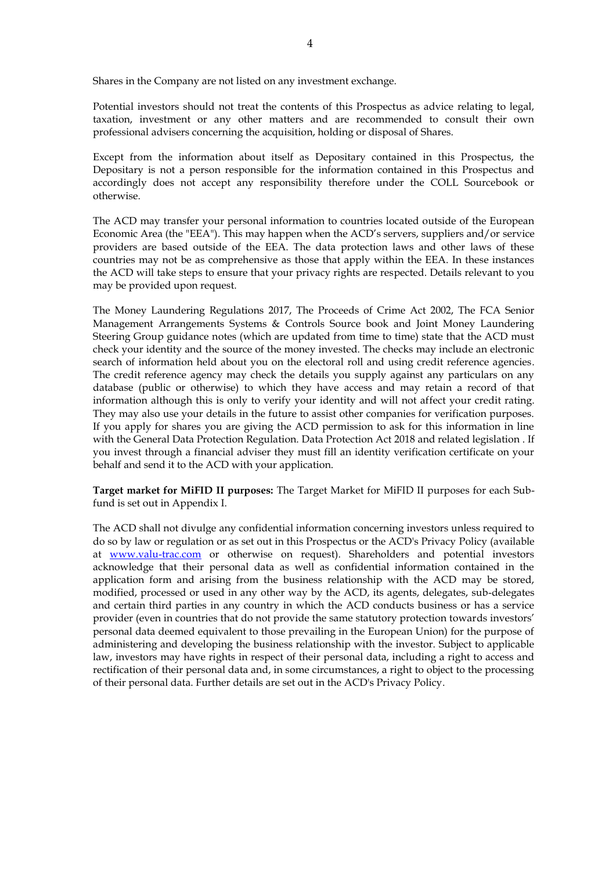Shares in the Company are not listed on any investment exchange.

Potential investors should not treat the contents of this Prospectus as advice relating to legal, taxation, investment or any other matters and are recommended to consult their own professional advisers concerning the acquisition, holding or disposal of Shares.

Except from the information about itself as Depositary contained in this Prospectus, the Depositary is not a person responsible for the information contained in this Prospectus and accordingly does not accept any responsibility therefore under the COLL Sourcebook or otherwise.

The ACD may transfer your personal information to countries located outside of the European Economic Area (the "EEA"). This may happen when the ACD's servers, suppliers and/or service providers are based outside of the EEA. The data protection laws and other laws of these countries may not be as comprehensive as those that apply within the EEA. In these instances the ACD will take steps to ensure that your privacy rights are respected. Details relevant to you may be provided upon request.

The Money Laundering Regulations 2017, The Proceeds of Crime Act 2002, The FCA Senior Management Arrangements Systems & Controls Source book and Joint Money Laundering Steering Group guidance notes (which are updated from time to time) state that the ACD must check your identity and the source of the money invested. The checks may include an electronic search of information held about you on the electoral roll and using credit reference agencies. The credit reference agency may check the details you supply against any particulars on any database (public or otherwise) to which they have access and may retain a record of that information although this is only to verify your identity and will not affect your credit rating. They may also use your details in the future to assist other companies for verification purposes. If you apply for shares you are giving the ACD permission to ask for this information in line with the General Data Protection Regulation. Data Protection Act 2018 and related legislation . If you invest through a financial adviser they must fill an identity verification certificate on your behalf and send it to the ACD with your application.

**Target market for MiFID II purposes:** The Target Market for MiFID II purposes for each Subfund is set out in Appendix I.

The ACD shall not divulge any confidential information concerning investors unless required to do so by law or regulation or as set out in this Prospectus or the ACD's Privacy Policy (available at [www.valu-trac.com](http://www.valu-trac.com/) or otherwise on request). Shareholders and potential investors acknowledge that their personal data as well as confidential information contained in the application form and arising from the business relationship with the ACD may be stored, modified, processed or used in any other way by the ACD, its agents, delegates, sub-delegates and certain third parties in any country in which the ACD conducts business or has a service provider (even in countries that do not provide the same statutory protection towards investors' personal data deemed equivalent to those prevailing in the European Union) for the purpose of administering and developing the business relationship with the investor. Subject to applicable law, investors may have rights in respect of their personal data, including a right to access and rectification of their personal data and, in some circumstances, a right to object to the processing of their personal data. Further details are set out in the ACD's Privacy Policy.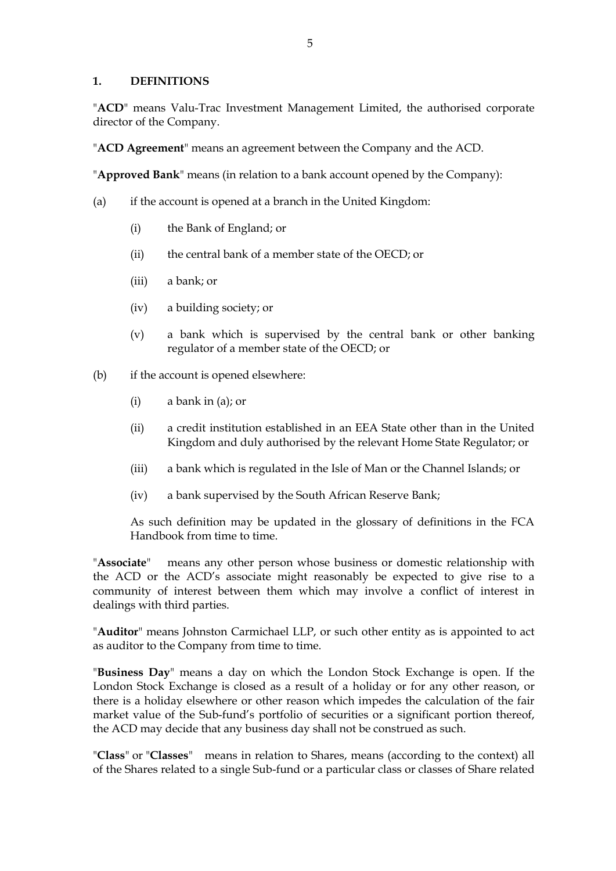### <span id="page-4-0"></span>**1. DEFINITIONS**

"**ACD**" means Valu-Trac Investment Management Limited, the authorised corporate director of the Company.

"**ACD Agreement**" means an agreement between the Company and the ACD.

"**Approved Bank**" means (in relation to a bank account opened by the Company):

- (a) if the account is opened at a branch in the United Kingdom:
	- (i) the Bank of England; or
	- (ii) the central bank of a member state of the OECD; or
	- (iii) a bank; or
	- (iv) a building society; or
	- (v) a bank which is supervised by the central bank or other banking regulator of a member state of the OECD; or
- (b) if the account is opened elsewhere:
	- (i) a bank in (a); or
	- (ii) a credit institution established in an EEA State other than in the United Kingdom and duly authorised by the relevant Home State Regulator; or
	- (iii) a bank which is regulated in the Isle of Man or the Channel Islands; or
	- (iv) a bank supervised by the South African Reserve Bank;

As such definition may be updated in the glossary of definitions in the FCA Handbook from time to time.

"**Associate**" means any other person whose business or domestic relationship with the ACD or the ACD's associate might reasonably be expected to give rise to a community of interest between them which may involve a conflict of interest in dealings with third parties.

"**Auditor**" means Johnston Carmichael LLP, or such other entity as is appointed to act as auditor to the Company from time to time.

"**Business Day**" means a day on which the London Stock Exchange is open. If the London Stock Exchange is closed as a result of a holiday or for any other reason, or there is a holiday elsewhere or other reason which impedes the calculation of the fair market value of the Sub-fund's portfolio of securities or a significant portion thereof, the ACD may decide that any business day shall not be construed as such.

"**Class**" or "**Classes**" means in relation to Shares, means (according to the context) all of the Shares related to a single Sub-fund or a particular class or classes of Share related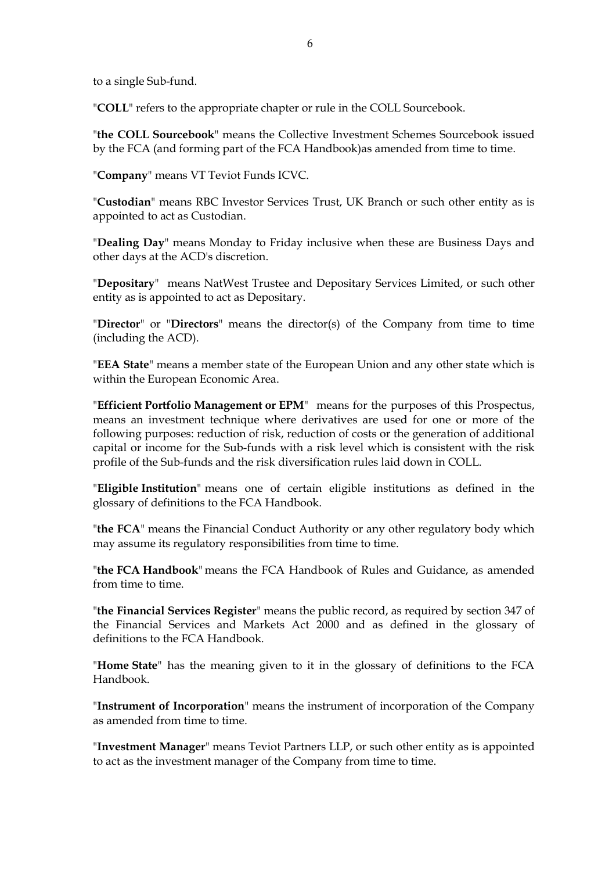to a single Sub-fund.

"**COLL**" refers to the appropriate chapter or rule in the COLL Sourcebook.

"**the COLL Sourcebook**" means the Collective Investment Schemes Sourcebook issued by the FCA (and forming part of the FCA Handbook)as amended from time to time.

"**Company**" means VT Teviot Funds ICVC.

"**Custodian**" means RBC Investor Services Trust, UK Branch or such other entity as is appointed to act as Custodian.

"**Dealing Day**" means Monday to Friday inclusive when these are Business Days and other days at the ACD's discretion.

"**Depositary**" means NatWest Trustee and Depositary Services Limited, or such other entity as is appointed to act as Depositary.

"**Director**" or "**Directors**" means the director(s) of the Company from time to time (including the ACD).

"**EEA State**" means a member state of the European Union and any other state which is within the European Economic Area.

"**Efficient Portfolio Management or EPM**" means for the purposes of this Prospectus, means an investment technique where derivatives are used for one or more of the following purposes: reduction of risk, reduction of costs or the generation of additional capital or income for the Sub-funds with a risk level which is consistent with the risk profile of the Sub-funds and the risk diversification rules laid down in COLL.

"**Eligible Institution**" means one of certain eligible institutions as defined in the glossary of definitions to the FCA Handbook.

"**the FCA**" means the Financial Conduct Authority or any other regulatory body which may assume its regulatory responsibilities from time to time.

"**the FCA Handbook**" means the FCA Handbook of Rules and Guidance, as amended from time to time.

"**the Financial Services Register**" means the public record, as required by section 347 of the Financial Services and Markets Act 2000 and as defined in the glossary of definitions to the FCA Handbook.

"**Home State**" has the meaning given to it in the glossary of definitions to the FCA Handbook.

"**Instrument of Incorporation**" means the instrument of incorporation of the Company as amended from time to time.

"**Investment Manager**" means Teviot Partners LLP, or such other entity as is appointed to act as the investment manager of the Company from time to time.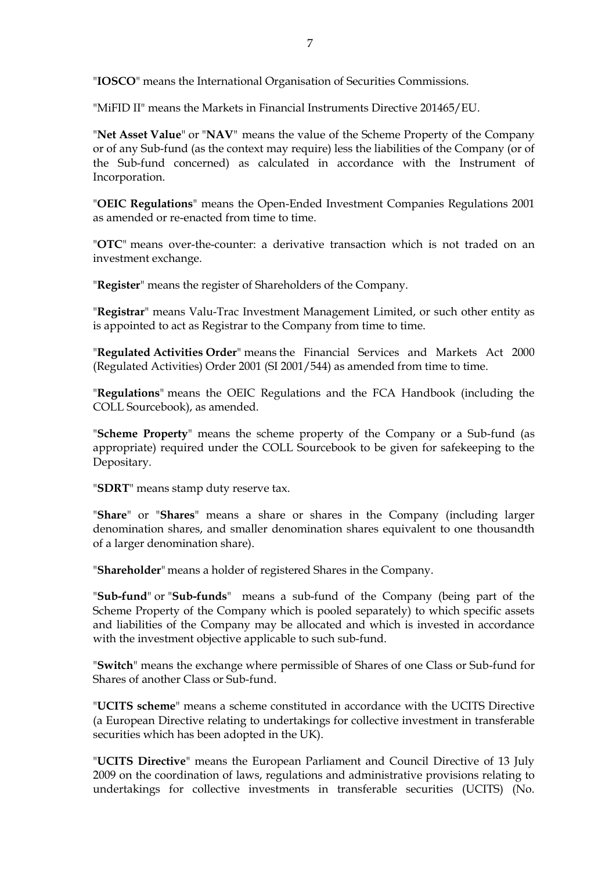"**IOSCO**" means the International Organisation of Securities Commissions.

"MiFID II" means the Markets in Financial Instruments Directive 201465/EU.

"**Net Asset Value**" or "**NAV**" means the value of the Scheme Property of the Company or of any Sub-fund (as the context may require) less the liabilities of the Company (or of the Sub-fund concerned) as calculated in accordance with the Instrument of Incorporation.

"**OEIC Regulations**" means the Open-Ended Investment Companies Regulations 2001 as amended or re-enacted from time to time.

"**OTC**" means over-the-counter: a derivative transaction which is not traded on an investment exchange.

"**Register**" means the register of Shareholders of the Company.

"**Registrar**" means Valu-Trac Investment Management Limited, or such other entity as is appointed to act as Registrar to the Company from time to time.

"**Regulated Activities Order**" means the Financial Services and Markets Act 2000 (Regulated Activities) Order 2001 (SI 2001/544) as amended from time to time.

"**Regulations**" means the OEIC Regulations and the FCA Handbook (including the COLL Sourcebook), as amended.

"**Scheme Property**" means the scheme property of the Company or a Sub-fund (as appropriate) required under the COLL Sourcebook to be given for safekeeping to the Depositary.

"**SDRT**" means stamp duty reserve tax.

"**Share**" or "**Shares**" means a share or shares in the Company (including larger denomination shares, and smaller denomination shares equivalent to one thousandth of a larger denomination share).

"**Shareholder**" means a holder of registered Shares in the Company.

"**Sub-fund**" or "**Sub-funds**" means a sub-fund of the Company (being part of the Scheme Property of the Company which is pooled separately) to which specific assets and liabilities of the Company may be allocated and which is invested in accordance with the investment objective applicable to such sub-fund.

"**Switch**" means the exchange where permissible of Shares of one Class or Sub-fund for Shares of another Class or Sub-fund.

"**UCITS scheme**" means a scheme constituted in accordance with the UCITS Directive (a European Directive relating to undertakings for collective investment in transferable securities which has been adopted in the UK).

"**UCITS Directive**" means the European Parliament and Council Directive of 13 July 2009 on the coordination of laws, regulations and administrative provisions relating to undertakings for collective investments in transferable securities (UCITS) (No.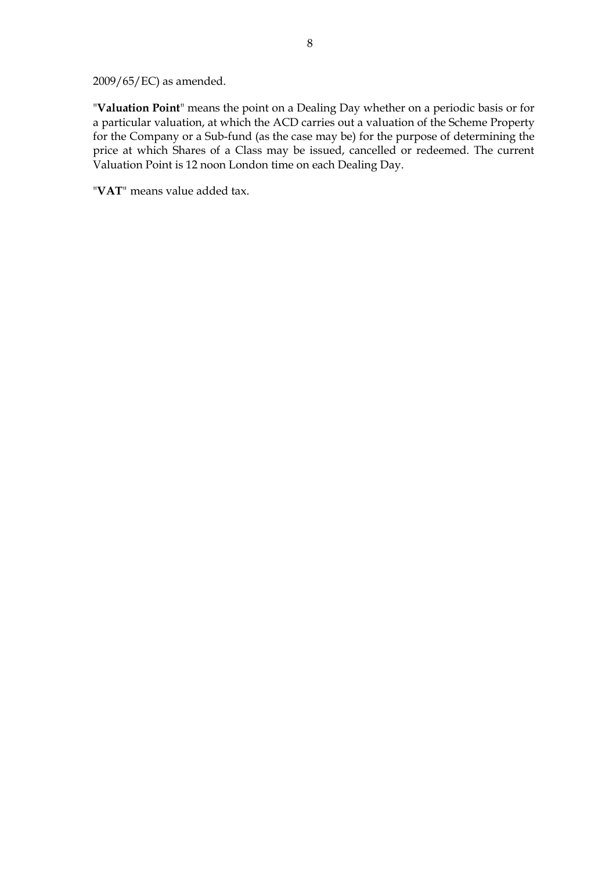2009/65/EC) as amended.

"**Valuation Point**" means the point on a Dealing Day whether on a periodic basis or for a particular valuation, at which the ACD carries out a valuation of the Scheme Property for the Company or a Sub-fund (as the case may be) for the purpose of determining the price at which Shares of a Class may be issued, cancelled or redeemed. The current Valuation Point is 12 noon London time on each Dealing Day.

"**VAT**" means value added tax.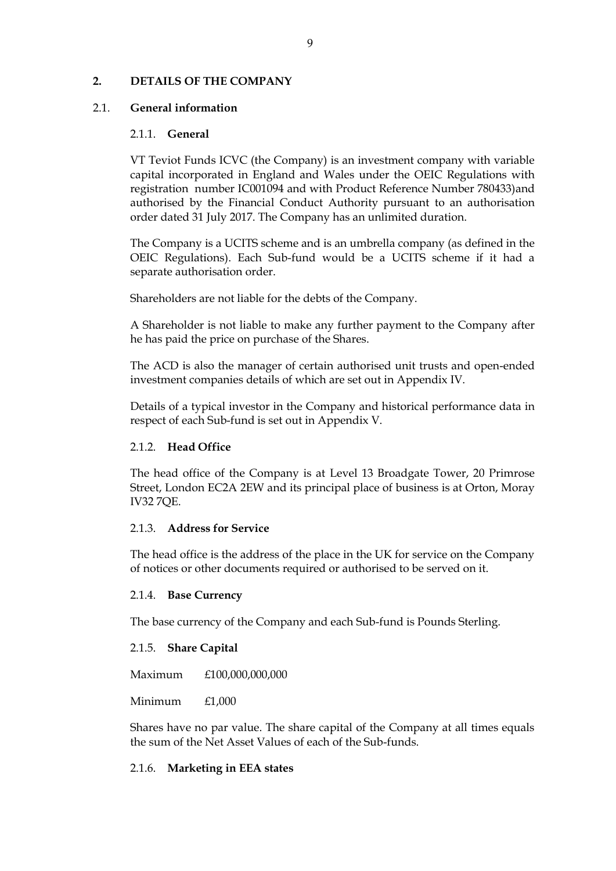### <span id="page-8-0"></span>**2. DETAILS OF THE COMPANY**

### 2.1. **General information**

### 2.1.1. **General**

VT Teviot Funds ICVC (the Company) is an investment company with variable capital incorporated in England and Wales under the OEIC Regulations with registration number IC001094 and with Product Reference Number 780433)and authorised by the Financial Conduct Authority pursuant to an authorisation order dated 31 July 2017. The Company has an unlimited duration.

The Company is a UCITS scheme and is an umbrella company (as defined in the OEIC Regulations). Each Sub-fund would be a UCITS scheme if it had a separate authorisation order.

Shareholders are not liable for the debts of the Company.

A Shareholder is not liable to make any further payment to the Company after he has paid the price on purchase of the Shares.

The ACD is also the manager of certain authorised unit trusts and open-ended investment companies details of which are set out in Appendix IV.

Details of a typical investor in the Company and historical performance data in respect of each Sub-fund is set out in Appendix V.

### 2.1.2. **Head Office**

The head office of the Company is at Level 13 Broadgate Tower, 20 Primrose Street, London EC2A 2EW and its principal place of business is at Orton, Moray IV32 7QE.

#### 2.1.3. **Address for Service**

The head office is the address of the place in the UK for service on the Company of notices or other documents required or authorised to be served on it.

#### 2.1.4. **Base Currency**

The base currency of the Company and each Sub-fund is Pounds Sterling.

#### 2.1.5. **Share Capital**

Maximum £100,000,000,000

Minimum £1,000

Shares have no par value. The share capital of the Company at all times equals the sum of the Net Asset Values of each of the Sub-funds.

### 2.1.6. **Marketing in EEA states**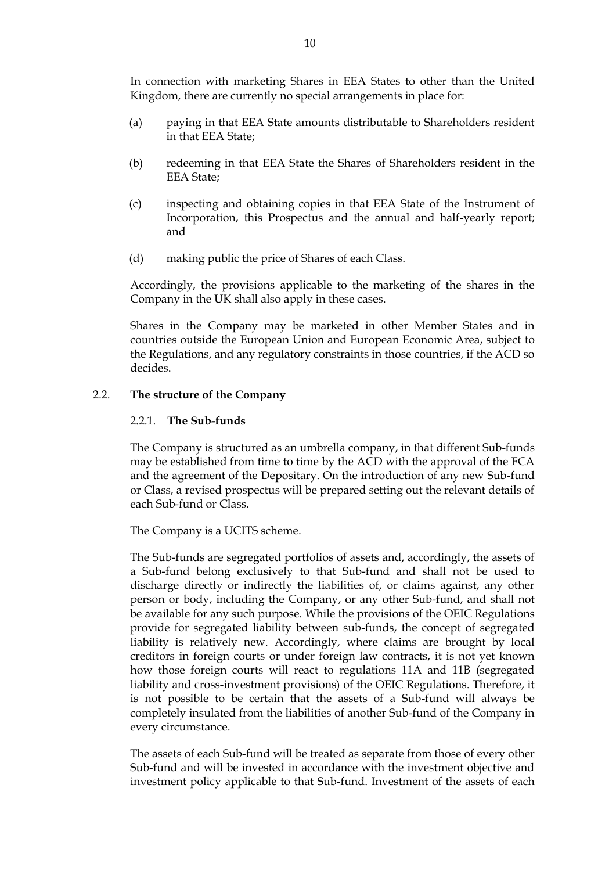In connection with marketing Shares in EEA States to other than the United Kingdom, there are currently no special arrangements in place for:

- (a) paying in that EEA State amounts distributable to Shareholders resident in that EEA State;
- (b) redeeming in that EEA State the Shares of Shareholders resident in the EEA State;
- (c) inspecting and obtaining copies in that EEA State of the Instrument of Incorporation, this Prospectus and the annual and half-yearly report; and
- (d) making public the price of Shares of each Class.

Accordingly, the provisions applicable to the marketing of the shares in the Company in the UK shall also apply in these cases.

Shares in the Company may be marketed in other Member States and in countries outside the European Union and European Economic Area, subject to the Regulations, and any regulatory constraints in those countries, if the ACD so decides.

## 2.2. **The structure of the Company**

## 2.2.1. **The Sub-funds**

The Company is structured as an umbrella company, in that different Sub-funds may be established from time to time by the ACD with the approval of the FCA and the agreement of the Depositary. On the introduction of any new Sub-fund or Class, a revised prospectus will be prepared setting out the relevant details of each Sub-fund or Class.

The Company is a UCITS scheme.

The Sub-funds are segregated portfolios of assets and, accordingly, the assets of a Sub-fund belong exclusively to that Sub-fund and shall not be used to discharge directly or indirectly the liabilities of, or claims against, any other person or body, including the Company, or any other Sub-fund, and shall not be available for any such purpose. While the provisions of the OEIC Regulations provide for segregated liability between sub-funds, the concept of segregated liability is relatively new. Accordingly, where claims are brought by local creditors in foreign courts or under foreign law contracts, it is not yet known how those foreign courts will react to regulations 11A and 11B (segregated liability and cross-investment provisions) of the OEIC Regulations. Therefore, it is not possible to be certain that the assets of a Sub-fund will always be completely insulated from the liabilities of another Sub-fund of the Company in every circumstance.

The assets of each Sub-fund will be treated as separate from those of every other Sub-fund and will be invested in accordance with the investment objective and investment policy applicable to that Sub-fund. Investment of the assets of each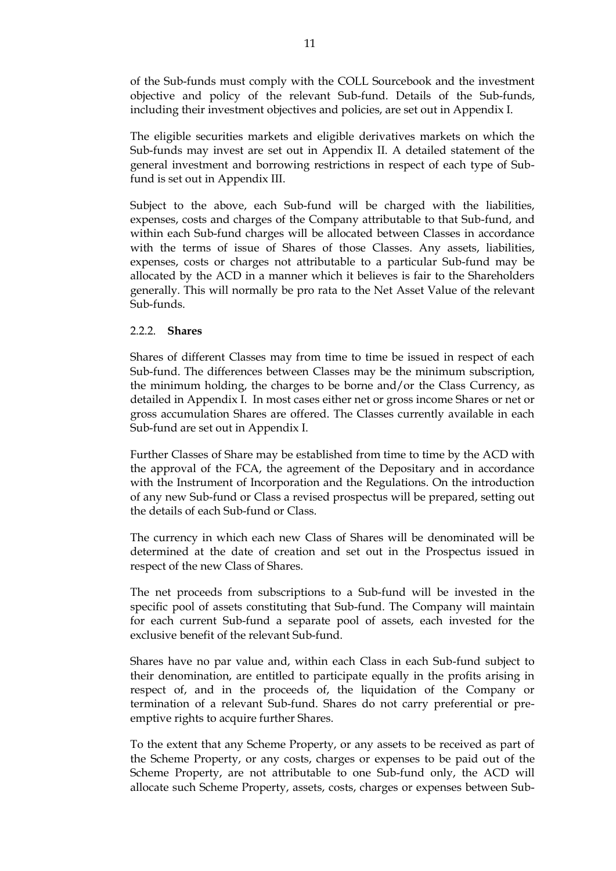of the Sub-funds must comply with the COLL Sourcebook and the investment objective and policy of the relevant Sub-fund. Details of the Sub-funds, including their investment objectives and policies, are set out in Appendix I.

The eligible securities markets and eligible derivatives markets on which the Sub-funds may invest are set out in Appendix II. A detailed statement of the general investment and borrowing restrictions in respect of each type of Subfund is set out in Appendix III.

Subject to the above, each Sub-fund will be charged with the liabilities, expenses, costs and charges of the Company attributable to that Sub-fund, and within each Sub-fund charges will be allocated between Classes in accordance with the terms of issue of Shares of those Classes. Any assets, liabilities, expenses, costs or charges not attributable to a particular Sub-fund may be allocated by the ACD in a manner which it believes is fair to the Shareholders generally. This will normally be pro rata to the Net Asset Value of the relevant Sub-funds.

#### 2.2.2. **Shares**

Shares of different Classes may from time to time be issued in respect of each Sub-fund. The differences between Classes may be the minimum subscription, the minimum holding, the charges to be borne and/or the Class Currency, as detailed in Appendix I. In most cases either net or gross income Shares or net or gross accumulation Shares are offered. The Classes currently available in each Sub-fund are set out in Appendix I.

Further Classes of Share may be established from time to time by the ACD with the approval of the FCA, the agreement of the Depositary and in accordance with the Instrument of Incorporation and the Regulations. On the introduction of any new Sub-fund or Class a revised prospectus will be prepared, setting out the details of each Sub-fund or Class.

The currency in which each new Class of Shares will be denominated will be determined at the date of creation and set out in the Prospectus issued in respect of the new Class of Shares.

The net proceeds from subscriptions to a Sub-fund will be invested in the specific pool of assets constituting that Sub-fund. The Company will maintain for each current Sub-fund a separate pool of assets, each invested for the exclusive benefit of the relevant Sub-fund.

Shares have no par value and, within each Class in each Sub-fund subject to their denomination, are entitled to participate equally in the profits arising in respect of, and in the proceeds of, the liquidation of the Company or termination of a relevant Sub-fund. Shares do not carry preferential or preemptive rights to acquire further Shares.

To the extent that any Scheme Property, or any assets to be received as part of the Scheme Property, or any costs, charges or expenses to be paid out of the Scheme Property, are not attributable to one Sub-fund only, the ACD will allocate such Scheme Property, assets, costs, charges or expenses between Sub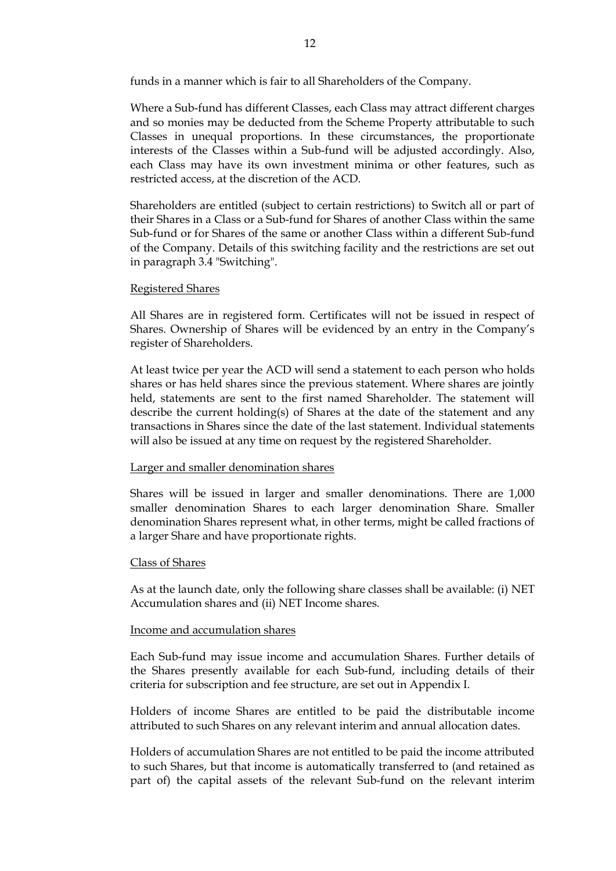funds in a manner which is fair to all Shareholders of the Company.

Where a Sub-fund has different Classes, each Class may attract different charges and so monies may be deducted from the Scheme Property attributable to such Classes in unequal proportions. In these circumstances, the proportionate interests of the Classes within a Sub-fund will be adjusted accordingly. Also, each Class may have its own investment minima or other features, such as restricted access, at the discretion of the ACD.

Shareholders are entitled (subject to certain restrictions) to Switch all or part of their Shares in a Class or a Sub-fund for Shares of another Class within the same Sub-fund or for Shares of the same or another Class within a different Sub-fund of the Company. Details of this switching facility and the restrictions are set out in paragraph 3.4 "Switching".

### Registered Shares

All Shares are in registered form. Certificates will not be issued in respect of Shares. Ownership of Shares will be evidenced by an entry in the Company's register of Shareholders.

At least twice per year the ACD will send a statement to each person who holds shares or has held shares since the previous statement. Where shares are jointly held, statements are sent to the first named Shareholder. The statement will describe the current holding(s) of Shares at the date of the statement and any transactions in Shares since the date of the last statement. Individual statements will also be issued at any time on request by the registered Shareholder.

### Larger and smaller denomination shares

Shares will be issued in larger and smaller denominations. There are 1,000 smaller denomination Shares to each larger denomination Share. Smaller denomination Shares represent what, in other terms, might be called fractions of a larger Share and have proportionate rights.

#### Class of Shares

As at the launch date, only the following share classes shall be available: (i) NET Accumulation shares and (ii) NET Income shares.

#### Income and accumulation shares

Each Sub-fund may issue income and accumulation Shares. Further details of the Shares presently available for each Sub-fund, including details of their criteria for subscription and fee structure, are set out in Appendix I.

Holders of income Shares are entitled to be paid the distributable income attributed to such Shares on any relevant interim and annual allocation dates.

Holders of accumulation Shares are not entitled to be paid the income attributed to such Shares, but that income is automatically transferred to (and retained as part of) the capital assets of the relevant Sub-fund on the relevant interim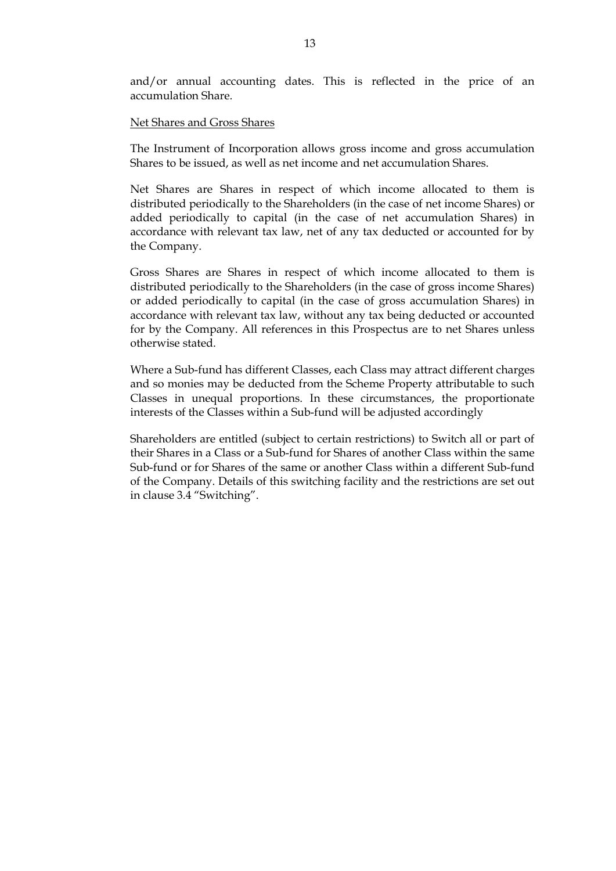and/or annual accounting dates. This is reflected in the price of an accumulation Share.

#### Net Shares and Gross Shares

The Instrument of Incorporation allows gross income and gross accumulation Shares to be issued, as well as net income and net accumulation Shares.

Net Shares are Shares in respect of which income allocated to them is distributed periodically to the Shareholders (in the case of net income Shares) or added periodically to capital (in the case of net accumulation Shares) in accordance with relevant tax law, net of any tax deducted or accounted for by the Company.

Gross Shares are Shares in respect of which income allocated to them is distributed periodically to the Shareholders (in the case of gross income Shares) or added periodically to capital (in the case of gross accumulation Shares) in accordance with relevant tax law, without any tax being deducted or accounted for by the Company. All references in this Prospectus are to net Shares unless otherwise stated.

Where a Sub-fund has different Classes, each Class may attract different charges and so monies may be deducted from the Scheme Property attributable to such Classes in unequal proportions. In these circumstances, the proportionate interests of the Classes within a Sub-fund will be adjusted accordingly

Shareholders are entitled (subject to certain restrictions) to Switch all or part of their Shares in a Class or a Sub-fund for Shares of another Class within the same Sub-fund or for Shares of the same or another Class within a different Sub-fund of the Company. Details of this switching facility and the restrictions are set out in clause 3.4 "Switching".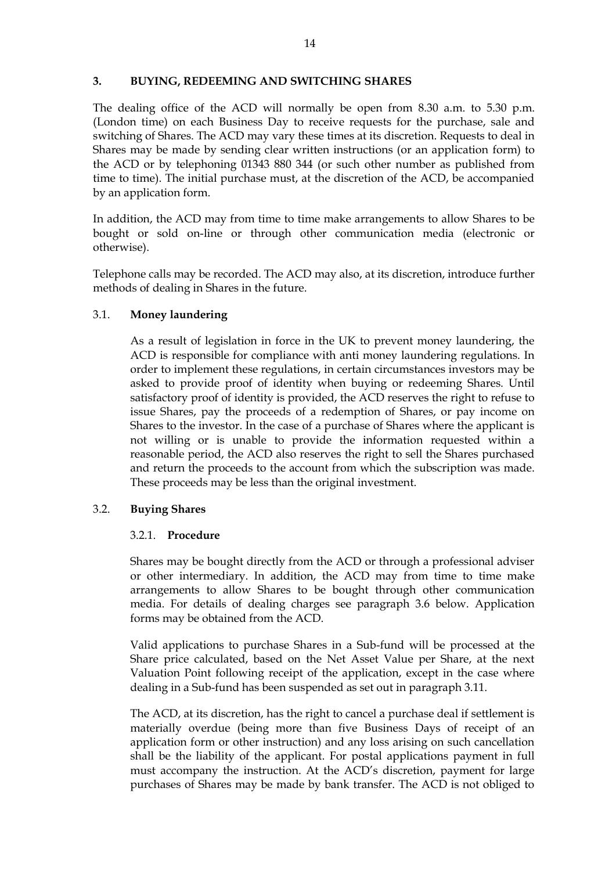### <span id="page-13-0"></span>**3. BUYING, REDEEMING AND SWITCHING SHARES**

The dealing office of the ACD will normally be open from 8.30 a.m. to 5.30 p.m. (London time) on each Business Day to receive requests for the purchase, sale and switching of Shares. The ACD may vary these times at its discretion. Requests to deal in Shares may be made by sending clear written instructions (or an application form) to the ACD or by telephoning 01343 880 344 (or such other number as published from time to time). The initial purchase must, at the discretion of the ACD, be accompanied by an application form.

In addition, the ACD may from time to time make arrangements to allow Shares to be bought or sold on-line or through other communication media (electronic or otherwise).

Telephone calls may be recorded. The ACD may also, at its discretion, introduce further methods of dealing in Shares in the future.

### 3.1. **Money laundering**

As a result of legislation in force in the UK to prevent money laundering, the ACD is responsible for compliance with anti money laundering regulations. In order to implement these regulations, in certain circumstances investors may be asked to provide proof of identity when buying or redeeming Shares. Until satisfactory proof of identity is provided, the ACD reserves the right to refuse to issue Shares, pay the proceeds of a redemption of Shares, or pay income on Shares to the investor. In the case of a purchase of Shares where the applicant is not willing or is unable to provide the information requested within a reasonable period, the ACD also reserves the right to sell the Shares purchased and return the proceeds to the account from which the subscription was made. These proceeds may be less than the original investment.

### 3.2. **Buying Shares**

#### 3.2.1. **Procedure**

Shares may be bought directly from the ACD or through a professional adviser or other intermediary. In addition, the ACD may from time to time make arrangements to allow Shares to be bought through other communication media. For details of dealing charges see paragraph 3.6 below. Application forms may be obtained from the ACD.

Valid applications to purchase Shares in a Sub-fund will be processed at the Share price calculated, based on the Net Asset Value per Share, at the next Valuation Point following receipt of the application, except in the case where dealing in a Sub-fund has been suspended as set out in paragraph 3.11.

The ACD, at its discretion, has the right to cancel a purchase deal if settlement is materially overdue (being more than five Business Days of receipt of an application form or other instruction) and any loss arising on such cancellation shall be the liability of the applicant. For postal applications payment in full must accompany the instruction. At the ACD's discretion, payment for large purchases of Shares may be made by bank transfer. The ACD is not obliged to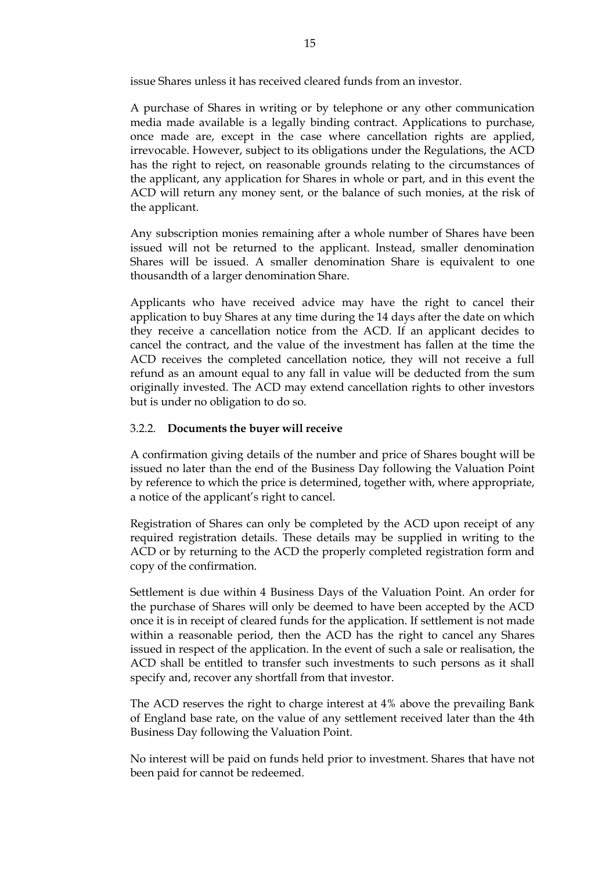issue Shares unless it has received cleared funds from an investor.

A purchase of Shares in writing or by telephone or any other communication media made available is a legally binding contract. Applications to purchase, once made are, except in the case where cancellation rights are applied, irrevocable. However, subject to its obligations under the Regulations, the ACD has the right to reject, on reasonable grounds relating to the circumstances of the applicant, any application for Shares in whole or part, and in this event the ACD will return any money sent, or the balance of such monies, at the risk of the applicant.

Any subscription monies remaining after a whole number of Shares have been issued will not be returned to the applicant. Instead, smaller denomination Shares will be issued. A smaller denomination Share is equivalent to one thousandth of a larger denomination Share.

Applicants who have received advice may have the right to cancel their application to buy Shares at any time during the 14 days after the date on which they receive a cancellation notice from the ACD. If an applicant decides to cancel the contract, and the value of the investment has fallen at the time the ACD receives the completed cancellation notice, they will not receive a full refund as an amount equal to any fall in value will be deducted from the sum originally invested. The ACD may extend cancellation rights to other investors but is under no obligation to do so.

### 3.2.2. **Documents the buyer will receive**

A confirmation giving details of the number and price of Shares bought will be issued no later than the end of the Business Day following the Valuation Point by reference to which the price is determined, together with, where appropriate, a notice of the applicant's right to cancel.

Registration of Shares can only be completed by the ACD upon receipt of any required registration details. These details may be supplied in writing to the ACD or by returning to the ACD the properly completed registration form and copy of the confirmation.

Settlement is due within 4 Business Days of the Valuation Point. An order for the purchase of Shares will only be deemed to have been accepted by the ACD once it is in receipt of cleared funds for the application. If settlement is not made within a reasonable period, then the ACD has the right to cancel any Shares issued in respect of the application. In the event of such a sale or realisation, the ACD shall be entitled to transfer such investments to such persons as it shall specify and, recover any shortfall from that investor.

The ACD reserves the right to charge interest at 4% above the prevailing Bank of England base rate, on the value of any settlement received later than the 4th Business Day following the Valuation Point.

No interest will be paid on funds held prior to investment. Shares that have not been paid for cannot be redeemed.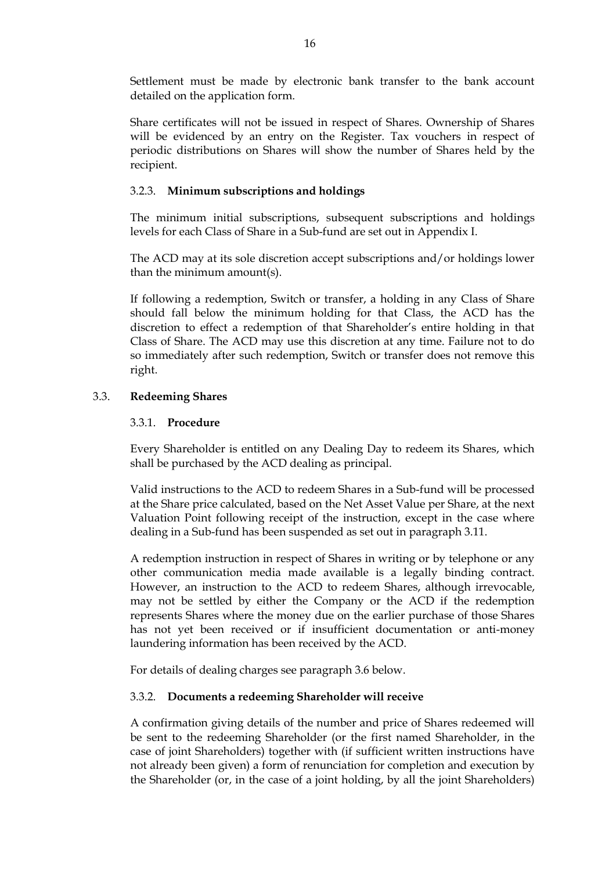Settlement must be made by electronic bank transfer to the bank account detailed on the application form.

Share certificates will not be issued in respect of Shares. Ownership of Shares will be evidenced by an entry on the Register. Tax vouchers in respect of periodic distributions on Shares will show the number of Shares held by the recipient.

## 3.2.3. **Minimum subscriptions and holdings**

The minimum initial subscriptions, subsequent subscriptions and holdings levels for each Class of Share in a Sub-fund are set out in Appendix I.

The ACD may at its sole discretion accept subscriptions and/or holdings lower than the minimum amount(s).

If following a redemption, Switch or transfer, a holding in any Class of Share should fall below the minimum holding for that Class, the ACD has the discretion to effect a redemption of that Shareholder's entire holding in that Class of Share. The ACD may use this discretion at any time. Failure not to do so immediately after such redemption, Switch or transfer does not remove this right.

## 3.3. **Redeeming Shares**

### 3.3.1. **Procedure**

Every Shareholder is entitled on any Dealing Day to redeem its Shares, which shall be purchased by the ACD dealing as principal.

Valid instructions to the ACD to redeem Shares in a Sub-fund will be processed at the Share price calculated, based on the Net Asset Value per Share, at the next Valuation Point following receipt of the instruction, except in the case where dealing in a Sub-fund has been suspended as set out in paragraph 3.11.

A redemption instruction in respect of Shares in writing or by telephone or any other communication media made available is a legally binding contract. However, an instruction to the ACD to redeem Shares, although irrevocable, may not be settled by either the Company or the ACD if the redemption represents Shares where the money due on the earlier purchase of those Shares has not yet been received or if insufficient documentation or anti-money laundering information has been received by the ACD.

For details of dealing charges see paragraph 3.6 below.

### 3.3.2. **Documents a redeeming Shareholder will receive**

A confirmation giving details of the number and price of Shares redeemed will be sent to the redeeming Shareholder (or the first named Shareholder, in the case of joint Shareholders) together with (if sufficient written instructions have not already been given) a form of renunciation for completion and execution by the Shareholder (or, in the case of a joint holding, by all the joint Shareholders)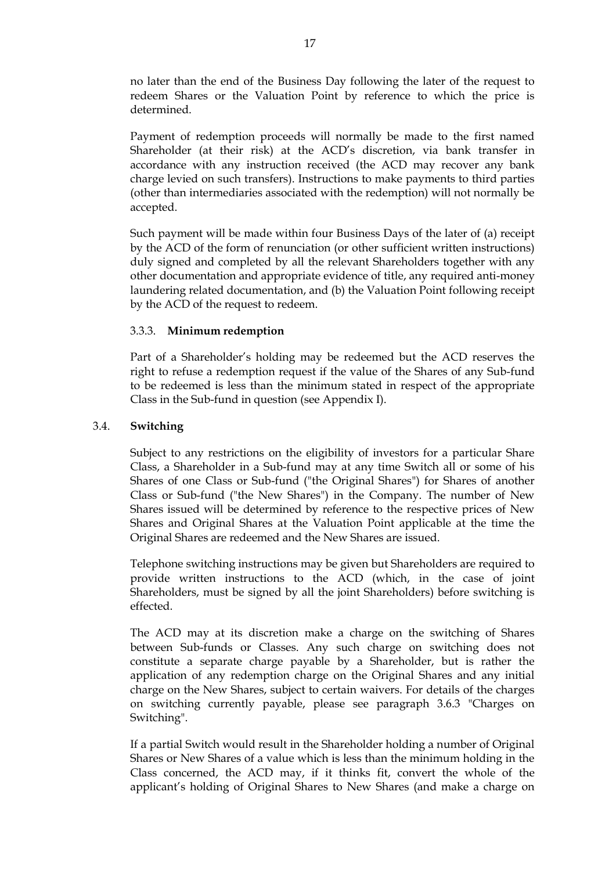no later than the end of the Business Day following the later of the request to redeem Shares or the Valuation Point by reference to which the price is determined.

Payment of redemption proceeds will normally be made to the first named Shareholder (at their risk) at the ACD's discretion, via bank transfer in accordance with any instruction received (the ACD may recover any bank charge levied on such transfers). Instructions to make payments to third parties (other than intermediaries associated with the redemption) will not normally be accepted.

Such payment will be made within four Business Days of the later of (a) receipt by the ACD of the form of renunciation (or other sufficient written instructions) duly signed and completed by all the relevant Shareholders together with any other documentation and appropriate evidence of title, any required anti-money laundering related documentation, and (b) the Valuation Point following receipt by the ACD of the request to redeem.

### 3.3.3. **Minimum redemption**

Part of a Shareholder's holding may be redeemed but the ACD reserves the right to refuse a redemption request if the value of the Shares of any Sub-fund to be redeemed is less than the minimum stated in respect of the appropriate Class in the Sub-fund in question (see Appendix I).

## 3.4. **Switching**

Subject to any restrictions on the eligibility of investors for a particular Share Class, a Shareholder in a Sub-fund may at any time Switch all or some of his Shares of one Class or Sub-fund ("the Original Shares") for Shares of another Class or Sub-fund ("the New Shares") in the Company. The number of New Shares issued will be determined by reference to the respective prices of New Shares and Original Shares at the Valuation Point applicable at the time the Original Shares are redeemed and the New Shares are issued.

Telephone switching instructions may be given but Shareholders are required to provide written instructions to the ACD (which, in the case of joint Shareholders, must be signed by all the joint Shareholders) before switching is effected.

The ACD may at its discretion make a charge on the switching of Shares between Sub-funds or Classes. Any such charge on switching does not constitute a separate charge payable by a Shareholder, but is rather the application of any redemption charge on the Original Shares and any initial charge on the New Shares, subject to certain waivers. For details of the charges on switching currently payable, please see paragraph 3.6.3 "Charges on Switching".

If a partial Switch would result in the Shareholder holding a number of Original Shares or New Shares of a value which is less than the minimum holding in the Class concerned, the ACD may, if it thinks fit, convert the whole of the applicant's holding of Original Shares to New Shares (and make a charge on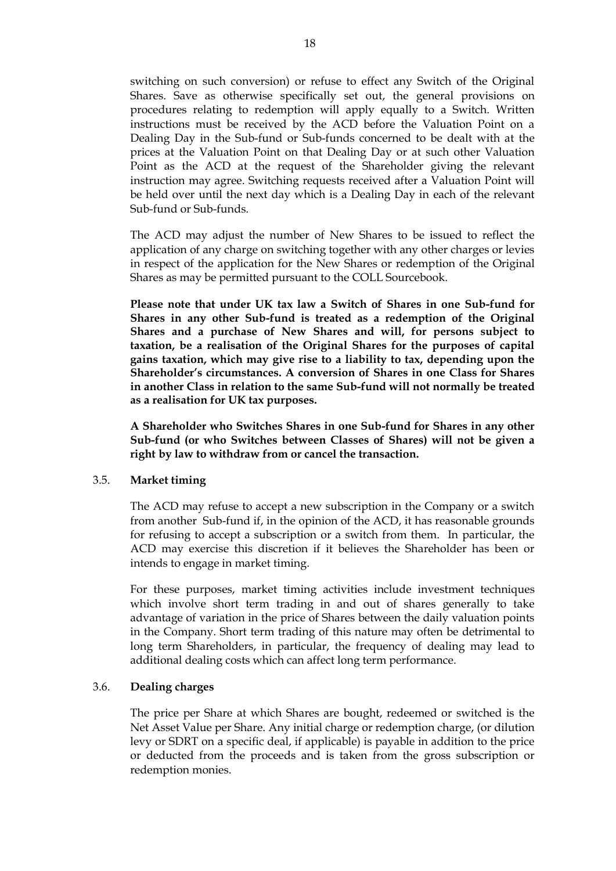switching on such conversion) or refuse to effect any Switch of the Original Shares. Save as otherwise specifically set out, the general provisions on procedures relating to redemption will apply equally to a Switch. Written instructions must be received by the ACD before the Valuation Point on a Dealing Day in the Sub-fund or Sub-funds concerned to be dealt with at the prices at the Valuation Point on that Dealing Day or at such other Valuation Point as the ACD at the request of the Shareholder giving the relevant instruction may agree. Switching requests received after a Valuation Point will be held over until the next day which is a Dealing Day in each of the relevant Sub-fund or Sub-funds.

The ACD may adjust the number of New Shares to be issued to reflect the application of any charge on switching together with any other charges or levies in respect of the application for the New Shares or redemption of the Original Shares as may be permitted pursuant to the COLL Sourcebook.

**Please note that under UK tax law a Switch of Shares in one Sub-fund for Shares in any other Sub-fund is treated as a redemption of the Original Shares and a purchase of New Shares and will, for persons subject to taxation, be a realisation of the Original Shares for the purposes of capital gains taxation, which may give rise to a liability to tax, depending upon the Shareholder's circumstances. A conversion of Shares in one Class for Shares in another Class in relation to the same Sub-fund will not normally be treated as a realisation for UK tax purposes.**

**A Shareholder who Switches Shares in one Sub-fund for Shares in any other Sub-fund (or who Switches between Classes of Shares) will not be given a right by law to withdraw from or cancel the transaction.**

#### 3.5. **Market timing**

The ACD may refuse to accept a new subscription in the Company or a switch from another Sub-fund if, in the opinion of the ACD, it has reasonable grounds for refusing to accept a subscription or a switch from them. In particular, the ACD may exercise this discretion if it believes the Shareholder has been or intends to engage in market timing.

For these purposes, market timing activities include investment techniques which involve short term trading in and out of shares generally to take advantage of variation in the price of Shares between the daily valuation points in the Company. Short term trading of this nature may often be detrimental to long term Shareholders, in particular, the frequency of dealing may lead to additional dealing costs which can affect long term performance.

#### 3.6. **Dealing charges**

The price per Share at which Shares are bought, redeemed or switched is the Net Asset Value per Share. Any initial charge or redemption charge, (or dilution levy or SDRT on a specific deal, if applicable) is payable in addition to the price or deducted from the proceeds and is taken from the gross subscription or redemption monies.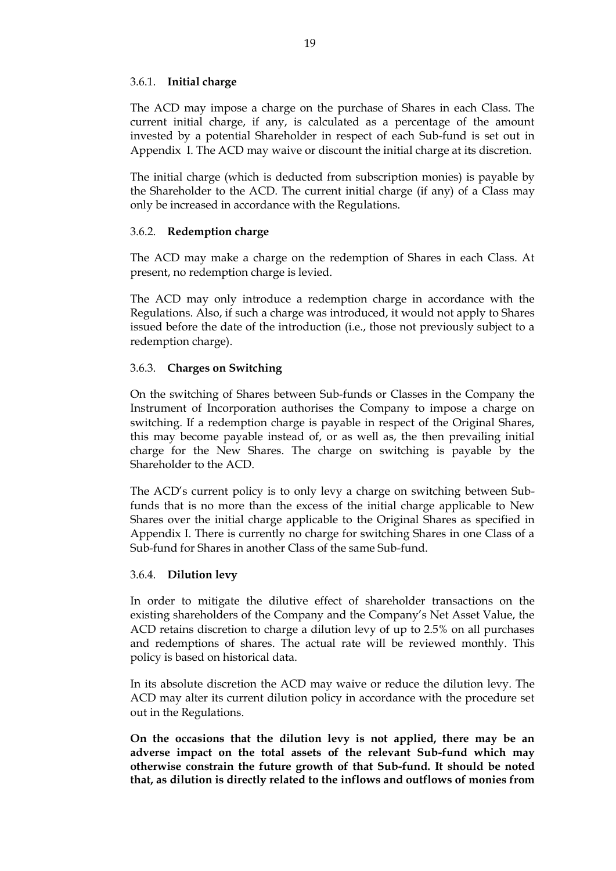### 3.6.1. **Initial charge**

The ACD may impose a charge on the purchase of Shares in each Class. The current initial charge, if any, is calculated as a percentage of the amount invested by a potential Shareholder in respect of each Sub-fund is set out in Appendix I. The ACD may waive or discount the initial charge at its discretion.

The initial charge (which is deducted from subscription monies) is payable by the Shareholder to the ACD. The current initial charge (if any) of a Class may only be increased in accordance with the Regulations.

### 3.6.2. **Redemption charge**

The ACD may make a charge on the redemption of Shares in each Class. At present, no redemption charge is levied.

The ACD may only introduce a redemption charge in accordance with the Regulations. Also, if such a charge was introduced, it would not apply to Shares issued before the date of the introduction (i.e., those not previously subject to a redemption charge).

### 3.6.3. **Charges on Switching**

On the switching of Shares between Sub-funds or Classes in the Company the Instrument of Incorporation authorises the Company to impose a charge on switching. If a redemption charge is payable in respect of the Original Shares, this may become payable instead of, or as well as, the then prevailing initial charge for the New Shares. The charge on switching is payable by the Shareholder to the ACD.

The ACD's current policy is to only levy a charge on switching between Subfunds that is no more than the excess of the initial charge applicable to New Shares over the initial charge applicable to the Original Shares as specified in Appendix I. There is currently no charge for switching Shares in one Class of a Sub-fund for Shares in another Class of the same Sub-fund.

### 3.6.4. **Dilution levy**

In order to mitigate the dilutive effect of shareholder transactions on the existing shareholders of the Company and the Company's Net Asset Value, the ACD retains discretion to charge a dilution levy of up to 2.5% on all purchases and redemptions of shares. The actual rate will be reviewed monthly. This policy is based on historical data.

In its absolute discretion the ACD may waive or reduce the dilution levy. The ACD may alter its current dilution policy in accordance with the procedure set out in the Regulations.

**On the occasions that the dilution levy is not applied, there may be an adverse impact on the total assets of the relevant Sub-fund which may otherwise constrain the future growth of that Sub-fund. It should be noted that, as dilution is directly related to the inflows and outflows of monies from**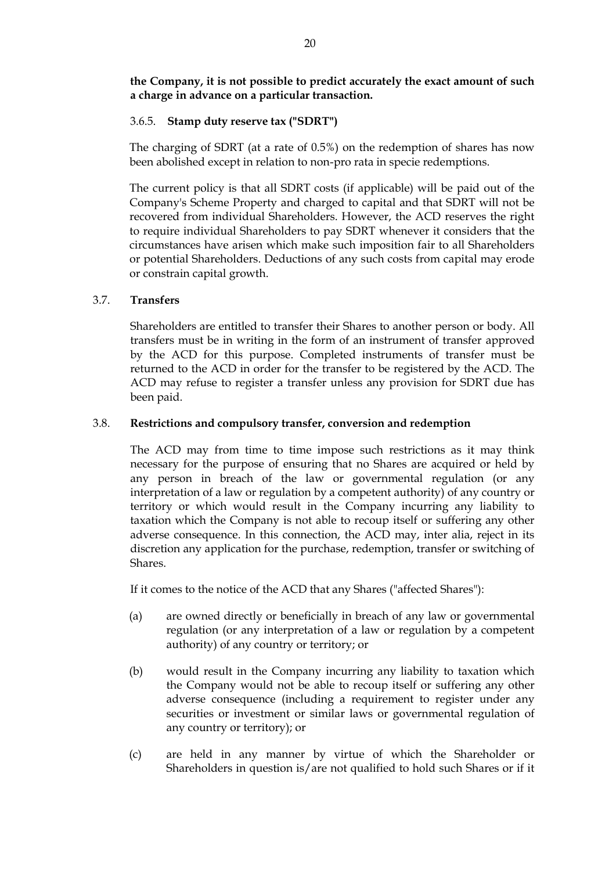**the Company, it is not possible to predict accurately the exact amount of such a charge in advance on a particular transaction.**

## 3.6.5. **Stamp duty reserve tax ("SDRT")**

The charging of SDRT (at a rate of 0.5%) on the redemption of shares has now been abolished except in relation to non-pro rata in specie redemptions.

The current policy is that all SDRT costs (if applicable) will be paid out of the Company's Scheme Property and charged to capital and that SDRT will not be recovered from individual Shareholders. However, the ACD reserves the right to require individual Shareholders to pay SDRT whenever it considers that the circumstances have arisen which make such imposition fair to all Shareholders or potential Shareholders. Deductions of any such costs from capital may erode or constrain capital growth.

## 3.7. **Transfers**

Shareholders are entitled to transfer their Shares to another person or body. All transfers must be in writing in the form of an instrument of transfer approved by the ACD for this purpose. Completed instruments of transfer must be returned to the ACD in order for the transfer to be registered by the ACD. The ACD may refuse to register a transfer unless any provision for SDRT due has been paid.

## 3.8. **Restrictions and compulsory transfer, conversion and redemption**

The ACD may from time to time impose such restrictions as it may think necessary for the purpose of ensuring that no Shares are acquired or held by any person in breach of the law or governmental regulation (or any interpretation of a law or regulation by a competent authority) of any country or territory or which would result in the Company incurring any liability to taxation which the Company is not able to recoup itself or suffering any other adverse consequence. In this connection, the ACD may, inter alia, reject in its discretion any application for the purchase, redemption, transfer or switching of Shares.

If it comes to the notice of the ACD that any Shares ("affected Shares"):

- (a) are owned directly or beneficially in breach of any law or governmental regulation (or any interpretation of a law or regulation by a competent authority) of any country or territory; or
- (b) would result in the Company incurring any liability to taxation which the Company would not be able to recoup itself or suffering any other adverse consequence (including a requirement to register under any securities or investment or similar laws or governmental regulation of any country or territory); or
- (c) are held in any manner by virtue of which the Shareholder or Shareholders in question is/are not qualified to hold such Shares or if it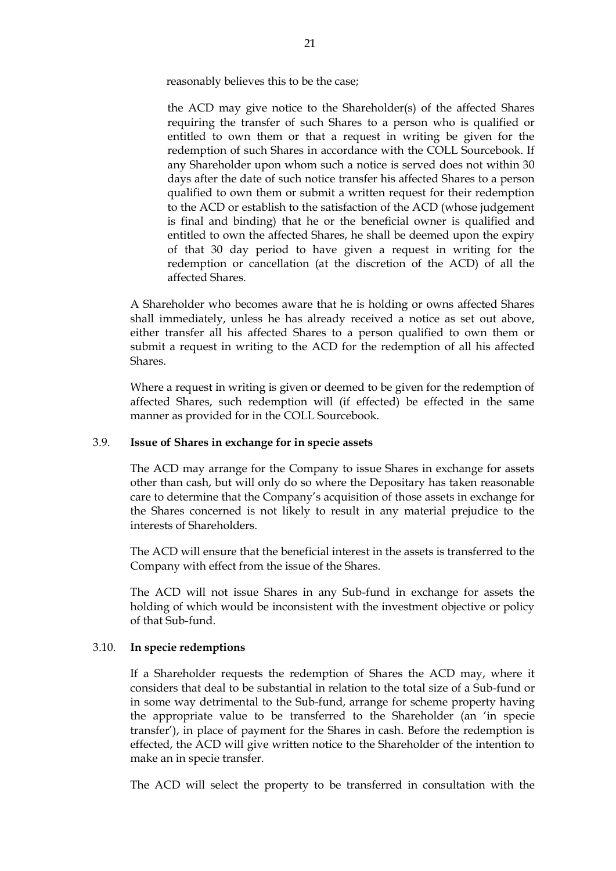reasonably believes this to be the case;

the ACD may give notice to the Shareholder(s) of the affected Shares requiring the transfer of such Shares to a person who is qualified or entitled to own them or that a request in writing be given for the redemption of such Shares in accordance with the COLL Sourcebook. If any Shareholder upon whom such a notice is served does not within 30 days after the date of such notice transfer his affected Shares to a person qualified to own them or submit a written request for their redemption to the ACD or establish to the satisfaction of the ACD (whose judgement is final and binding) that he or the beneficial owner is qualified and entitled to own the affected Shares, he shall be deemed upon the expiry of that 30 day period to have given a request in writing for the redemption or cancellation (at the discretion of the ACD) of all the affected Shares.

A Shareholder who becomes aware that he is holding or owns affected Shares shall immediately, unless he has already received a notice as set out above, either transfer all his affected Shares to a person qualified to own them or submit a request in writing to the ACD for the redemption of all his affected Shares.

Where a request in writing is given or deemed to be given for the redemption of affected Shares, such redemption will (if effected) be effected in the same manner as provided for in the COLL Sourcebook.

#### 3.9. **Issue of Shares in exchange for in specie assets**

The ACD may arrange for the Company to issue Shares in exchange for assets other than cash, but will only do so where the Depositary has taken reasonable care to determine that the Company's acquisition of those assets in exchange for the Shares concerned is not likely to result in any material prejudice to the interests of Shareholders.

The ACD will ensure that the beneficial interest in the assets is transferred to the Company with effect from the issue of the Shares.

The ACD will not issue Shares in any Sub-fund in exchange for assets the holding of which would be inconsistent with the investment objective or policy of that Sub-fund.

#### 3.10. **In specie redemptions**

If a Shareholder requests the redemption of Shares the ACD may, where it considers that deal to be substantial in relation to the total size of a Sub-fund or in some way detrimental to the Sub-fund, arrange for scheme property having the appropriate value to be transferred to the Shareholder (an 'in specie transfer'), in place of payment for the Shares in cash. Before the redemption is effected, the ACD will give written notice to the Shareholder of the intention to make an in specie transfer.

The ACD will select the property to be transferred in consultation with the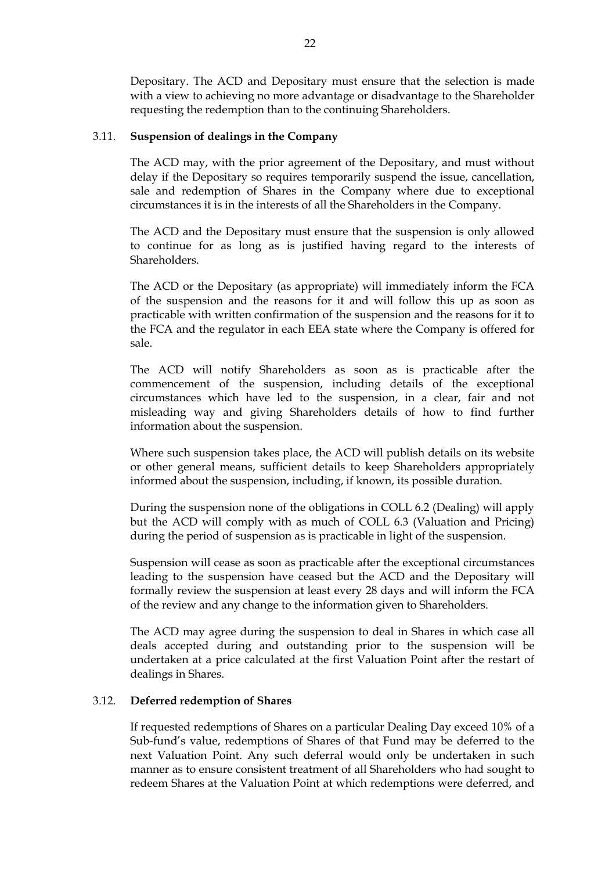Depositary. The ACD and Depositary must ensure that the selection is made with a view to achieving no more advantage or disadvantage to the Shareholder requesting the redemption than to the continuing Shareholders.

### 3.11. **Suspension of dealings in the Company**

The ACD may, with the prior agreement of the Depositary, and must without delay if the Depositary so requires temporarily suspend the issue, cancellation, sale and redemption of Shares in the Company where due to exceptional circumstances it is in the interests of all the Shareholders in the Company.

The ACD and the Depositary must ensure that the suspension is only allowed to continue for as long as is justified having regard to the interests of Shareholders.

The ACD or the Depositary (as appropriate) will immediately inform the FCA of the suspension and the reasons for it and will follow this up as soon as practicable with written confirmation of the suspension and the reasons for it to the FCA and the regulator in each EEA state where the Company is offered for sale.

The ACD will notify Shareholders as soon as is practicable after the commencement of the suspension, including details of the exceptional circumstances which have led to the suspension, in a clear, fair and not misleading way and giving Shareholders details of how to find further information about the suspension.

Where such suspension takes place, the ACD will publish details on its website or other general means, sufficient details to keep Shareholders appropriately informed about the suspension, including, if known, its possible duration.

During the suspension none of the obligations in COLL 6.2 (Dealing) will apply but the ACD will comply with as much of COLL 6.3 (Valuation and Pricing) during the period of suspension as is practicable in light of the suspension.

Suspension will cease as soon as practicable after the exceptional circumstances leading to the suspension have ceased but the ACD and the Depositary will formally review the suspension at least every 28 days and will inform the FCA of the review and any change to the information given to Shareholders.

The ACD may agree during the suspension to deal in Shares in which case all deals accepted during and outstanding prior to the suspension will be undertaken at a price calculated at the first Valuation Point after the restart of dealings in Shares.

### 3.12. **Deferred redemption of Shares**

If requested redemptions of Shares on a particular Dealing Day exceed 10% of a Sub-fund's value, redemptions of Shares of that Fund may be deferred to the next Valuation Point. Any such deferral would only be undertaken in such manner as to ensure consistent treatment of all Shareholders who had sought to redeem Shares at the Valuation Point at which redemptions were deferred, and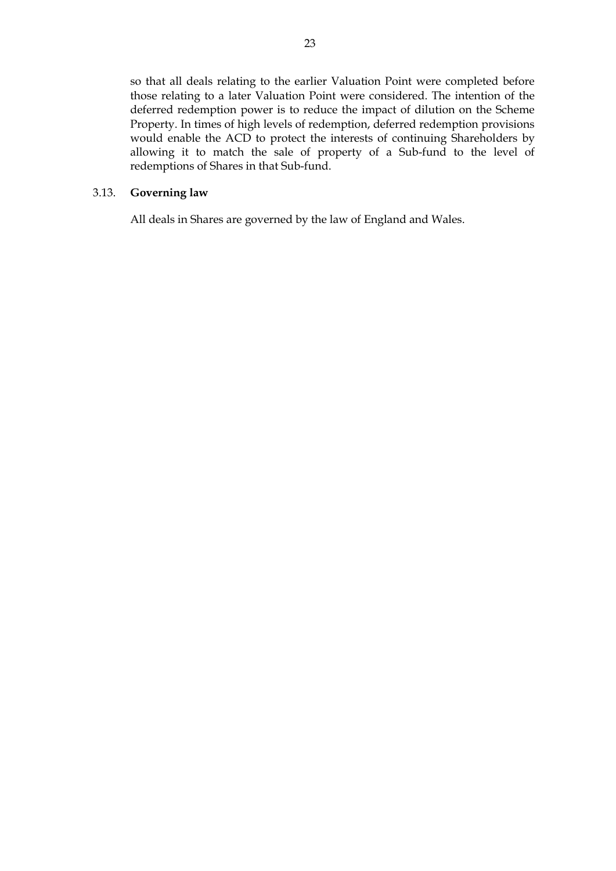so that all deals relating to the earlier Valuation Point were completed before those relating to a later Valuation Point were considered. The intention of the deferred redemption power is to reduce the impact of dilution on the Scheme Property. In times of high levels of redemption, deferred redemption provisions would enable the ACD to protect the interests of continuing Shareholders by allowing it to match the sale of property of a Sub-fund to the level of redemptions of Shares in that Sub-fund.

### 3.13. **Governing law**

All deals in Shares are governed by the law of England and Wales.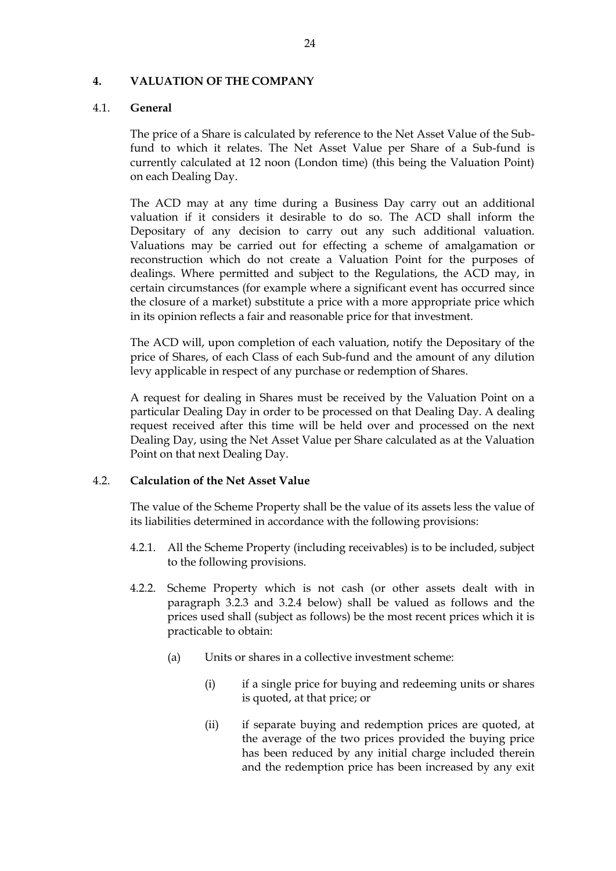#### <span id="page-23-0"></span>**4. VALUATION OF THE COMPANY**

#### 4.1. **General**

The price of a Share is calculated by reference to the Net Asset Value of the Subfund to which it relates. The Net Asset Value per Share of a Sub-fund is currently calculated at 12 noon (London time) (this being the Valuation Point) on each Dealing Day.

The ACD may at any time during a Business Day carry out an additional valuation if it considers it desirable to do so. The ACD shall inform the Depositary of any decision to carry out any such additional valuation. Valuations may be carried out for effecting a scheme of amalgamation or reconstruction which do not create a Valuation Point for the purposes of dealings. Where permitted and subject to the Regulations, the ACD may, in certain circumstances (for example where a significant event has occurred since the closure of a market) substitute a price with a more appropriate price which in its opinion reflects a fair and reasonable price for that investment.

The ACD will, upon completion of each valuation, notify the Depositary of the price of Shares, of each Class of each Sub-fund and the amount of any dilution levy applicable in respect of any purchase or redemption of Shares.

A request for dealing in Shares must be received by the Valuation Point on a particular Dealing Day in order to be processed on that Dealing Day. A dealing request received after this time will be held over and processed on the next Dealing Day, using the Net Asset Value per Share calculated as at the Valuation Point on that next Dealing Day.

#### 4.2. **Calculation of the Net Asset Value**

The value of the Scheme Property shall be the value of its assets less the value of its liabilities determined in accordance with the following provisions:

- 4.2.1. All the Scheme Property (including receivables) is to be included, subject to the following provisions.
- 4.2.2. Scheme Property which is not cash (or other assets dealt with in paragraph 3.2.3 and 3.2.4 below) shall be valued as follows and the prices used shall (subject as follows) be the most recent prices which it is practicable to obtain:
	- (a) Units or shares in a collective investment scheme:
		- (i) if a single price for buying and redeeming units or shares is quoted, at that price; or
		- (ii) if separate buying and redemption prices are quoted, at the average of the two prices provided the buying price has been reduced by any initial charge included therein and the redemption price has been increased by any exit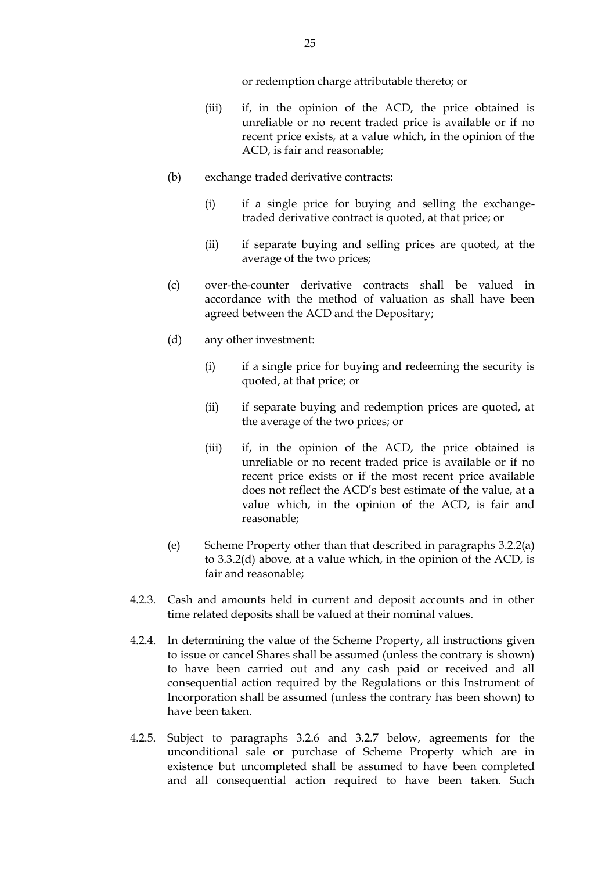or redemption charge attributable thereto; or

- (iii) if, in the opinion of the ACD, the price obtained is unreliable or no recent traded price is available or if no recent price exists, at a value which, in the opinion of the ACD, is fair and reasonable;
- (b) exchange traded derivative contracts:
	- (i) if a single price for buying and selling the exchangetraded derivative contract is quoted, at that price; or
	- (ii) if separate buying and selling prices are quoted, at the average of the two prices;
- (c) over-the-counter derivative contracts shall be valued in accordance with the method of valuation as shall have been agreed between the ACD and the Depositary;
- (d) any other investment:
	- (i) if a single price for buying and redeeming the security is quoted, at that price; or
	- (ii) if separate buying and redemption prices are quoted, at the average of the two prices; or
	- (iii) if, in the opinion of the ACD, the price obtained is unreliable or no recent traded price is available or if no recent price exists or if the most recent price available does not reflect the ACD's best estimate of the value, at a value which, in the opinion of the ACD, is fair and reasonable;
- (e) Scheme Property other than that described in paragraphs 3.2.2(a) to 3.3.2(d) above, at a value which, in the opinion of the ACD, is fair and reasonable;
- 4.2.3. Cash and amounts held in current and deposit accounts and in other time related deposits shall be valued at their nominal values.
- 4.2.4. In determining the value of the Scheme Property, all instructions given to issue or cancel Shares shall be assumed (unless the contrary is shown) to have been carried out and any cash paid or received and all consequential action required by the Regulations or this Instrument of Incorporation shall be assumed (unless the contrary has been shown) to have been taken.
- 4.2.5. Subject to paragraphs 3.2.6 and 3.2.7 below, agreements for the unconditional sale or purchase of Scheme Property which are in existence but uncompleted shall be assumed to have been completed and all consequential action required to have been taken. Such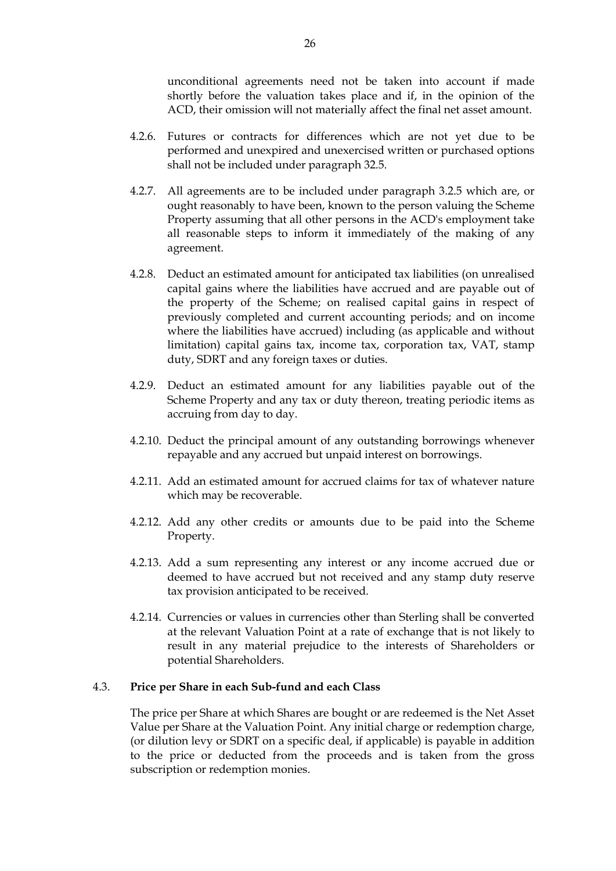unconditional agreements need not be taken into account if made shortly before the valuation takes place and if, in the opinion of the ACD, their omission will not materially affect the final net asset amount.

- 4.2.6. Futures or contracts for differences which are not yet due to be performed and unexpired and unexercised written or purchased options shall not be included under paragraph 32.5.
- 4.2.7. All agreements are to be included under paragraph 3.2.5 which are, or ought reasonably to have been, known to the person valuing the Scheme Property assuming that all other persons in the ACD's employment take all reasonable steps to inform it immediately of the making of any agreement.
- 4.2.8. Deduct an estimated amount for anticipated tax liabilities (on unrealised capital gains where the liabilities have accrued and are payable out of the property of the Scheme; on realised capital gains in respect of previously completed and current accounting periods; and on income where the liabilities have accrued) including (as applicable and without limitation) capital gains tax, income tax, corporation tax, VAT, stamp duty, SDRT and any foreign taxes or duties.
- 4.2.9. Deduct an estimated amount for any liabilities payable out of the Scheme Property and any tax or duty thereon, treating periodic items as accruing from day to day.
- 4.2.10. Deduct the principal amount of any outstanding borrowings whenever repayable and any accrued but unpaid interest on borrowings.
- 4.2.11. Add an estimated amount for accrued claims for tax of whatever nature which may be recoverable.
- 4.2.12. Add any other credits or amounts due to be paid into the Scheme Property.
- 4.2.13. Add a sum representing any interest or any income accrued due or deemed to have accrued but not received and any stamp duty reserve tax provision anticipated to be received.
- 4.2.14. Currencies or values in currencies other than Sterling shall be converted at the relevant Valuation Point at a rate of exchange that is not likely to result in any material prejudice to the interests of Shareholders or potential Shareholders.

### 4.3. **Price per Share in each Sub-fund and each Class**

The price per Share at which Shares are bought or are redeemed is the Net Asset Value per Share at the Valuation Point. Any initial charge or redemption charge, (or dilution levy or SDRT on a specific deal, if applicable) is payable in addition to the price or deducted from the proceeds and is taken from the gross subscription or redemption monies.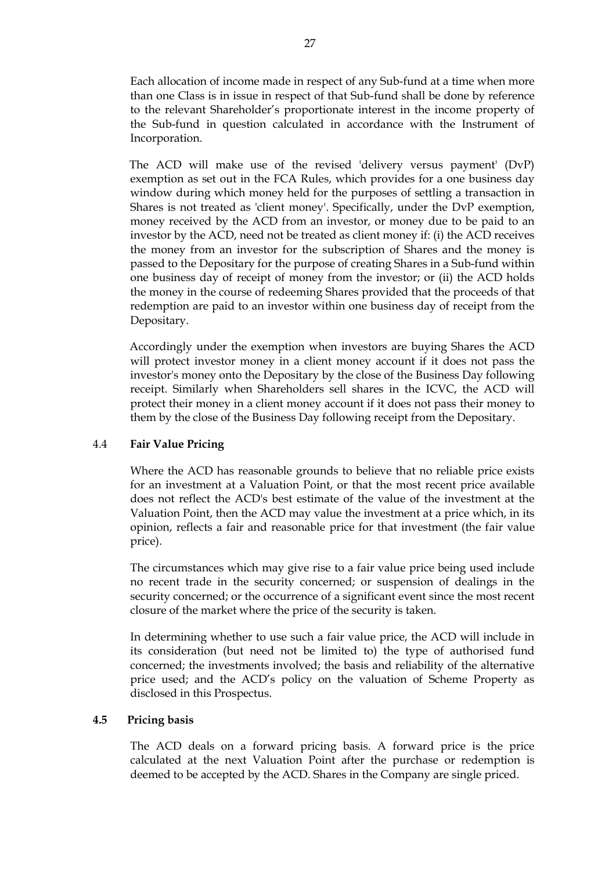Each allocation of income made in respect of any Sub-fund at a time when more than one Class is in issue in respect of that Sub-fund shall be done by reference to the relevant Shareholder's proportionate interest in the income property of the Sub-fund in question calculated in accordance with the Instrument of Incorporation.

The ACD will make use of the revised 'delivery versus payment' (DvP) exemption as set out in the FCA Rules, which provides for a one business day window during which money held for the purposes of settling a transaction in Shares is not treated as 'client money'. Specifically, under the DvP exemption, money received by the ACD from an investor, or money due to be paid to an investor by the ACD, need not be treated as client money if: (i) the ACD receives the money from an investor for the subscription of Shares and the money is passed to the Depositary for the purpose of creating Shares in a Sub-fund within one business day of receipt of money from the investor; or (ii) the ACD holds the money in the course of redeeming Shares provided that the proceeds of that redemption are paid to an investor within one business day of receipt from the Depositary.

Accordingly under the exemption when investors are buying Shares the ACD will protect investor money in a client money account if it does not pass the investor's money onto the Depositary by the close of the Business Day following receipt. Similarly when Shareholders sell shares in the ICVC, the ACD will protect their money in a client money account if it does not pass their money to them by the close of the Business Day following receipt from the Depositary.

### 4.4 **Fair Value Pricing**

Where the ACD has reasonable grounds to believe that no reliable price exists for an investment at a Valuation Point, or that the most recent price available does not reflect the ACD's best estimate of the value of the investment at the Valuation Point, then the ACD may value the investment at a price which, in its opinion, reflects a fair and reasonable price for that investment (the fair value price).

The circumstances which may give rise to a fair value price being used include no recent trade in the security concerned; or suspension of dealings in the security concerned; or the occurrence of a significant event since the most recent closure of the market where the price of the security is taken.

In determining whether to use such a fair value price, the ACD will include in its consideration (but need not be limited to) the type of authorised fund concerned; the investments involved; the basis and reliability of the alternative price used; and the ACD's policy on the valuation of Scheme Property as disclosed in this Prospectus.

#### **4.5 Pricing basis**

The ACD deals on a forward pricing basis. A forward price is the price calculated at the next Valuation Point after the purchase or redemption is deemed to be accepted by the ACD. Shares in the Company are single priced.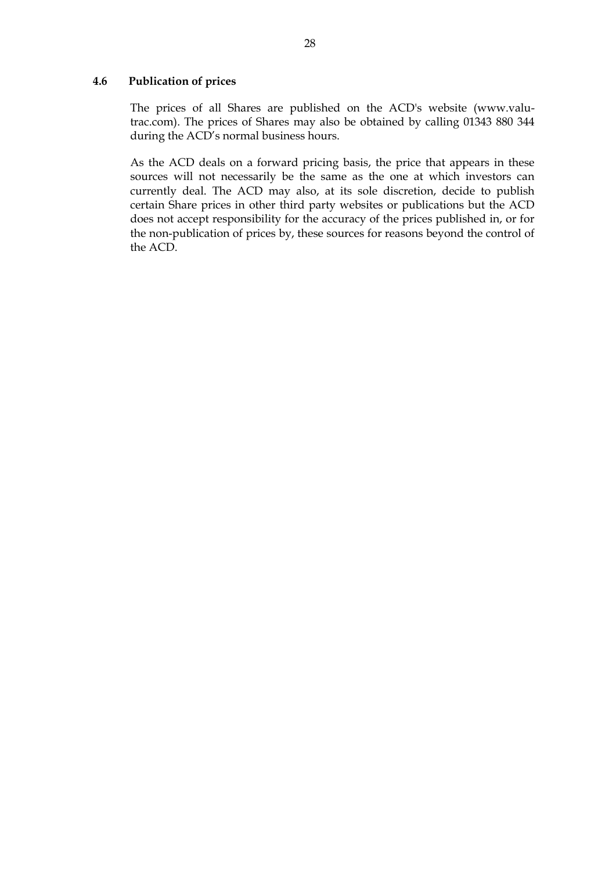#### **4.6 Publication of prices**

The prices of all Shares are published on the ACD's website (www.valutrac.com). The prices of Shares may also be obtained by calling 01343 880 344 during the ACD's normal business hours.

As the ACD deals on a forward pricing basis, the price that appears in these sources will not necessarily be the same as the one at which investors can currently deal. The ACD may also, at its sole discretion, decide to publish certain Share prices in other third party websites or publications but the ACD does not accept responsibility for the accuracy of the prices published in, or for the non-publication of prices by, these sources for reasons beyond the control of the ACD.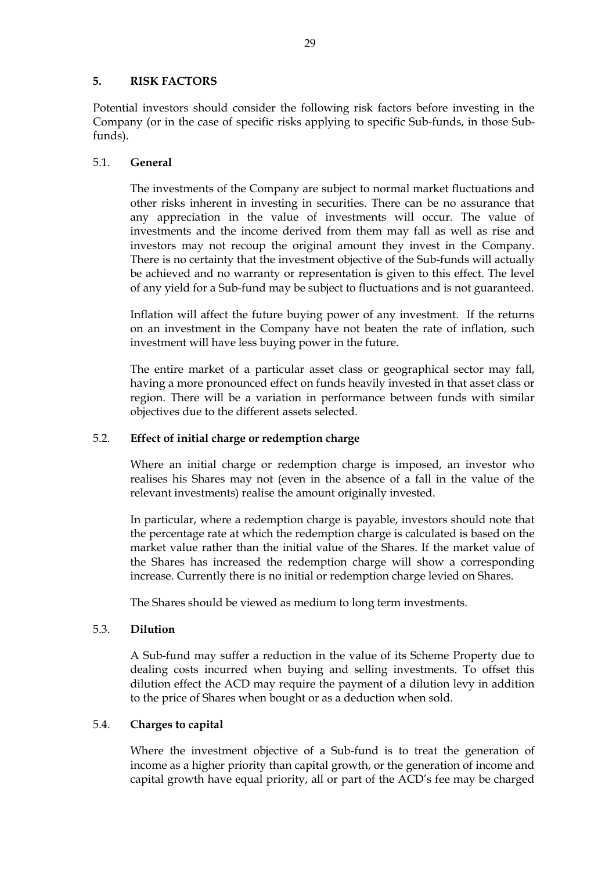## <span id="page-28-0"></span>**5. RISK FACTORS**

Potential investors should consider the following risk factors before investing in the Company (or in the case of specific risks applying to specific Sub-funds, in those Subfunds).

## 5.1. **General**

The investments of the Company are subject to normal market fluctuations and other risks inherent in investing in securities. There can be no assurance that any appreciation in the value of investments will occur. The value of investments and the income derived from them may fall as well as rise and investors may not recoup the original amount they invest in the Company. There is no certainty that the investment objective of the Sub-funds will actually be achieved and no warranty or representation is given to this effect. The level of any yield for a Sub-fund may be subject to fluctuations and is not guaranteed.

Inflation will affect the future buying power of any investment. If the returns on an investment in the Company have not beaten the rate of inflation, such investment will have less buying power in the future.

The entire market of a particular asset class or geographical sector may fall, having a more pronounced effect on funds heavily invested in that asset class or region. There will be a variation in performance between funds with similar objectives due to the different assets selected.

### 5.2. **Effect of initial charge or redemption charge**

Where an initial charge or redemption charge is imposed, an investor who realises his Shares may not (even in the absence of a fall in the value of the relevant investments) realise the amount originally invested.

In particular, where a redemption charge is payable, investors should note that the percentage rate at which the redemption charge is calculated is based on the market value rather than the initial value of the Shares. If the market value of the Shares has increased the redemption charge will show a corresponding increase. Currently there is no initial or redemption charge levied on Shares.

The Shares should be viewed as medium to long term investments.

### 5.3. **Dilution**

A Sub-fund may suffer a reduction in the value of its Scheme Property due to dealing costs incurred when buying and selling investments. To offset this dilution effect the ACD may require the payment of a dilution levy in addition to the price of Shares when bought or as a deduction when sold.

## 5.4. **Charges to capital**

Where the investment objective of a Sub-fund is to treat the generation of income as a higher priority than capital growth, or the generation of income and capital growth have equal priority, all or part of the ACD's fee may be charged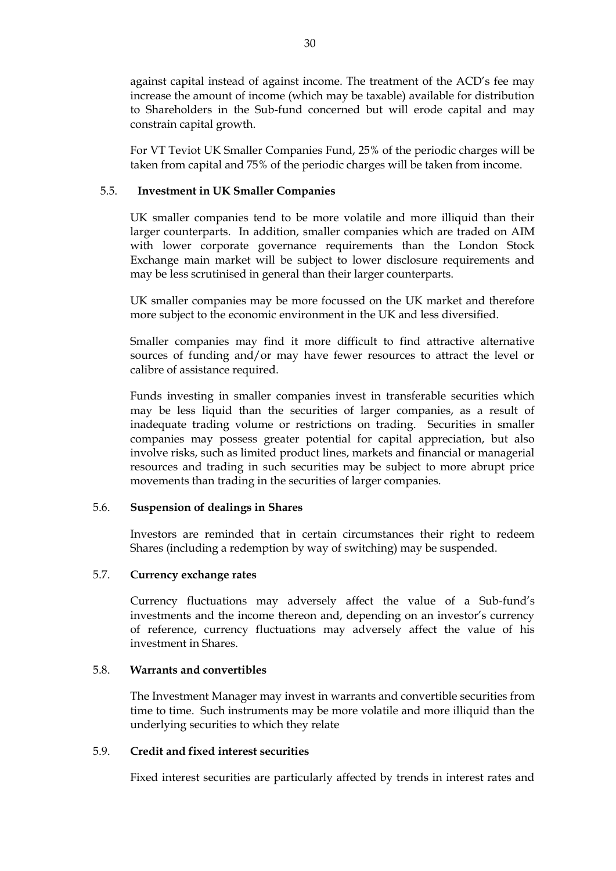against capital instead of against income. The treatment of the ACD's fee may increase the amount of income (which may be taxable) available for distribution to Shareholders in the Sub-fund concerned but will erode capital and may constrain capital growth.

For VT Teviot UK Smaller Companies Fund, 25% of the periodic charges will be taken from capital and 75% of the periodic charges will be taken from income.

### 5.5. **Investment in UK Smaller Companies**

UK smaller companies tend to be more volatile and more illiquid than their larger counterparts. In addition, smaller companies which are traded on AIM with lower corporate governance requirements than the London Stock Exchange main market will be subject to lower disclosure requirements and may be less scrutinised in general than their larger counterparts.

UK smaller companies may be more focussed on the UK market and therefore more subject to the economic environment in the UK and less diversified.

Smaller companies may find it more difficult to find attractive alternative sources of funding and/or may have fewer resources to attract the level or calibre of assistance required.

Funds investing in smaller companies invest in transferable securities which may be less liquid than the securities of larger companies, as a result of inadequate trading volume or restrictions on trading. Securities in smaller companies may possess greater potential for capital appreciation, but also involve risks, such as limited product lines, markets and financial or managerial resources and trading in such securities may be subject to more abrupt price movements than trading in the securities of larger companies.

### 5.6. **Suspension of dealings in Shares**

Investors are reminded that in certain circumstances their right to redeem Shares (including a redemption by way of switching) may be suspended.

### 5.7. **Currency exchange rates**

Currency fluctuations may adversely affect the value of a Sub-fund's investments and the income thereon and, depending on an investor's currency of reference, currency fluctuations may adversely affect the value of his investment in Shares.

#### 5.8. **Warrants and convertibles**

The Investment Manager may invest in warrants and convertible securities from time to time. Such instruments may be more volatile and more illiquid than the underlying securities to which they relate

### 5.9. **Credit and fixed interest securities**

Fixed interest securities are particularly affected by trends in interest rates and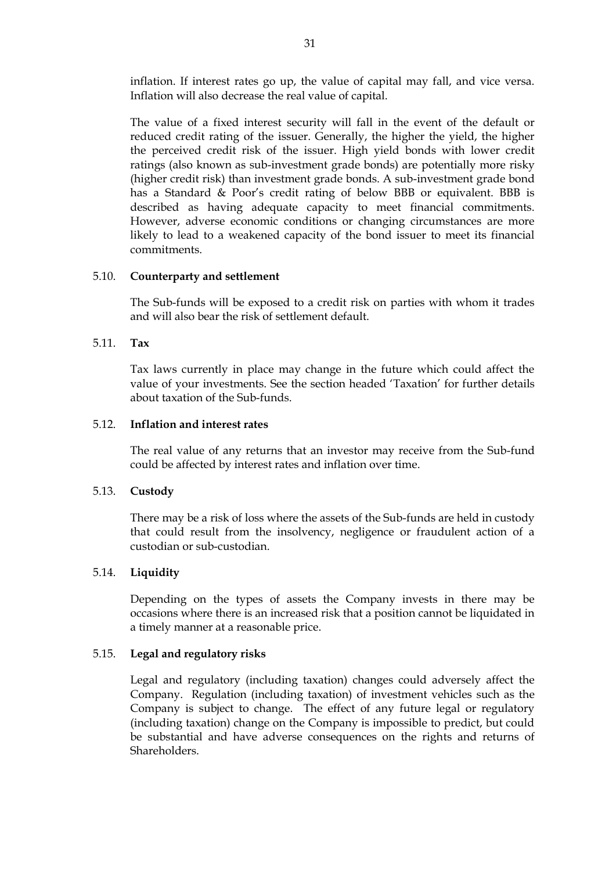inflation. If interest rates go up, the value of capital may fall, and vice versa. Inflation will also decrease the real value of capital.

The value of a fixed interest security will fall in the event of the default or reduced credit rating of the issuer. Generally, the higher the yield, the higher the perceived credit risk of the issuer. High yield bonds with lower credit ratings (also known as sub-investment grade bonds) are potentially more risky (higher credit risk) than investment grade bonds. A sub-investment grade bond has a Standard & Poor's credit rating of below BBB or equivalent. BBB is described as having adequate capacity to meet financial commitments. However, adverse economic conditions or changing circumstances are more likely to lead to a weakened capacity of the bond issuer to meet its financial commitments.

### 5.10. **Counterparty and settlement**

The Sub-funds will be exposed to a credit risk on parties with whom it trades and will also bear the risk of settlement default.

### 5.11. **Tax**

Tax laws currently in place may change in the future which could affect the value of your investments. See the section headed 'Taxation' for further details about taxation of the Sub-funds.

#### 5.12. **Inflation and interest rates**

The real value of any returns that an investor may receive from the Sub-fund could be affected by interest rates and inflation over time.

#### 5.13. **Custody**

There may be a risk of loss where the assets of the Sub-funds are held in custody that could result from the insolvency, negligence or fraudulent action of a custodian or sub-custodian.

#### 5.14. **Liquidity**

Depending on the types of assets the Company invests in there may be occasions where there is an increased risk that a position cannot be liquidated in a timely manner at a reasonable price.

#### 5.15. **Legal and regulatory risks**

Legal and regulatory (including taxation) changes could adversely affect the Company. Regulation (including taxation) of investment vehicles such as the Company is subject to change. The effect of any future legal or regulatory (including taxation) change on the Company is impossible to predict, but could be substantial and have adverse consequences on the rights and returns of Shareholders.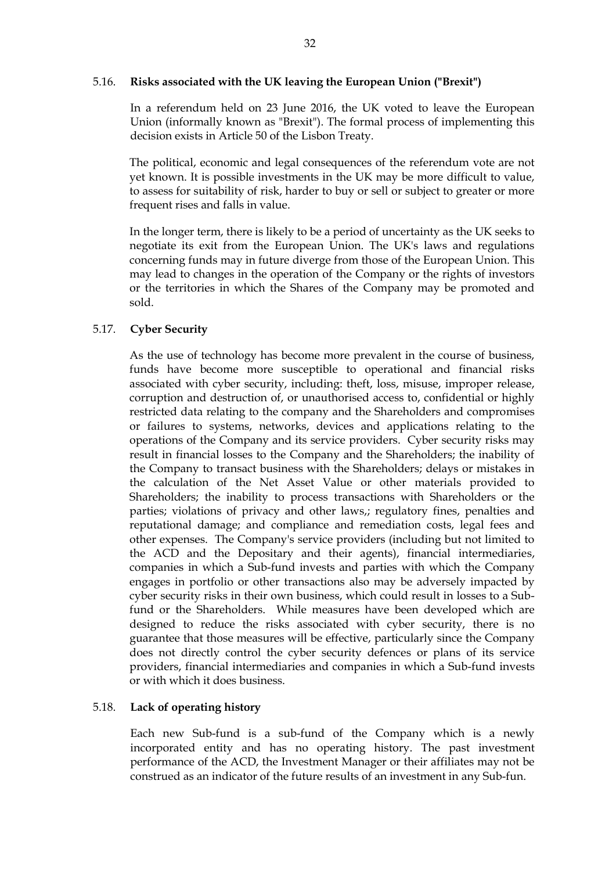#### 5.16. **Risks associated with the UK leaving the European Union ("Brexit")**

In a referendum held on 23 June 2016, the UK voted to leave the European Union (informally known as "Brexit"). The formal process of implementing this decision exists in Article 50 of the Lisbon Treaty.

The political, economic and legal consequences of the referendum vote are not yet known. It is possible investments in the UK may be more difficult to value, to assess for suitability of risk, harder to buy or sell or subject to greater or more frequent rises and falls in value.

In the longer term, there is likely to be a period of uncertainty as the UK seeks to negotiate its exit from the European Union. The UK's laws and regulations concerning funds may in future diverge from those of the European Union. This may lead to changes in the operation of the Company or the rights of investors or the territories in which the Shares of the Company may be promoted and sold.

#### 5.17. **Cyber Security**

As the use of technology has become more prevalent in the course of business, funds have become more susceptible to operational and financial risks associated with cyber security, including: theft, loss, misuse, improper release, corruption and destruction of, or unauthorised access to, confidential or highly restricted data relating to the company and the Shareholders and compromises or failures to systems, networks, devices and applications relating to the operations of the Company and its service providers. Cyber security risks may result in financial losses to the Company and the Shareholders; the inability of the Company to transact business with the Shareholders; delays or mistakes in the calculation of the Net Asset Value or other materials provided to Shareholders; the inability to process transactions with Shareholders or the parties; violations of privacy and other laws,; regulatory fines, penalties and reputational damage; and compliance and remediation costs, legal fees and other expenses. The Company's service providers (including but not limited to the ACD and the Depositary and their agents), financial intermediaries, companies in which a Sub-fund invests and parties with which the Company engages in portfolio or other transactions also may be adversely impacted by cyber security risks in their own business, which could result in losses to a Subfund or the Shareholders. While measures have been developed which are designed to reduce the risks associated with cyber security, there is no guarantee that those measures will be effective, particularly since the Company does not directly control the cyber security defences or plans of its service providers, financial intermediaries and companies in which a Sub-fund invests or with which it does business.

#### 5.18. **Lack of operating history**

Each new Sub-fund is a sub-fund of the Company which is a newly incorporated entity and has no operating history. The past investment performance of the ACD, the Investment Manager or their affiliates may not be construed as an indicator of the future results of an investment in any Sub-fun.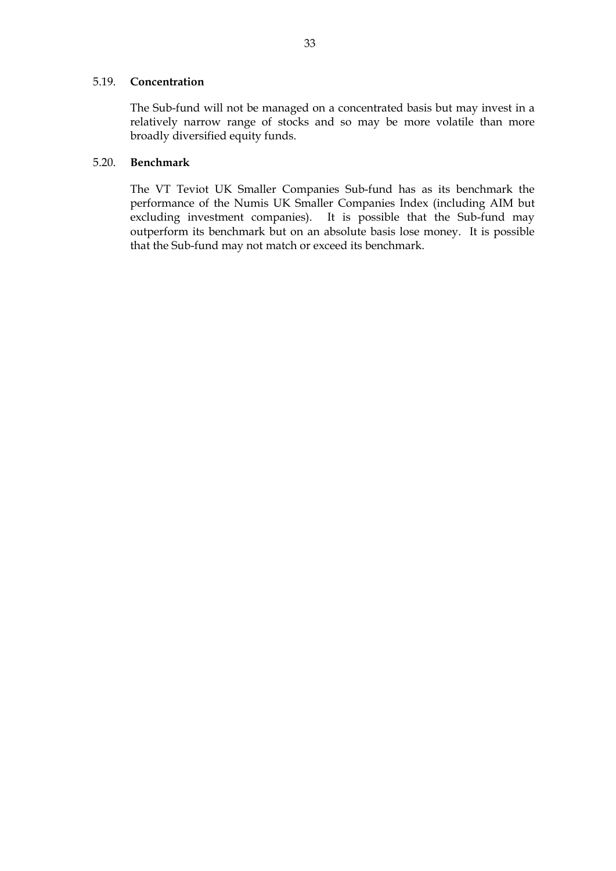#### 5.19. **Concentration**

The Sub-fund will not be managed on a concentrated basis but may invest in a relatively narrow range of stocks and so may be more volatile than more broadly diversified equity funds.

### 5.20. **Benchmark**

The VT Teviot UK Smaller Companies Sub-fund has as its benchmark the performance of the Numis UK Smaller Companies Index (including AIM but excluding investment companies). It is possible that the Sub-fund may outperform its benchmark but on an absolute basis lose money. It is possible that the Sub-fund may not match or exceed its benchmark.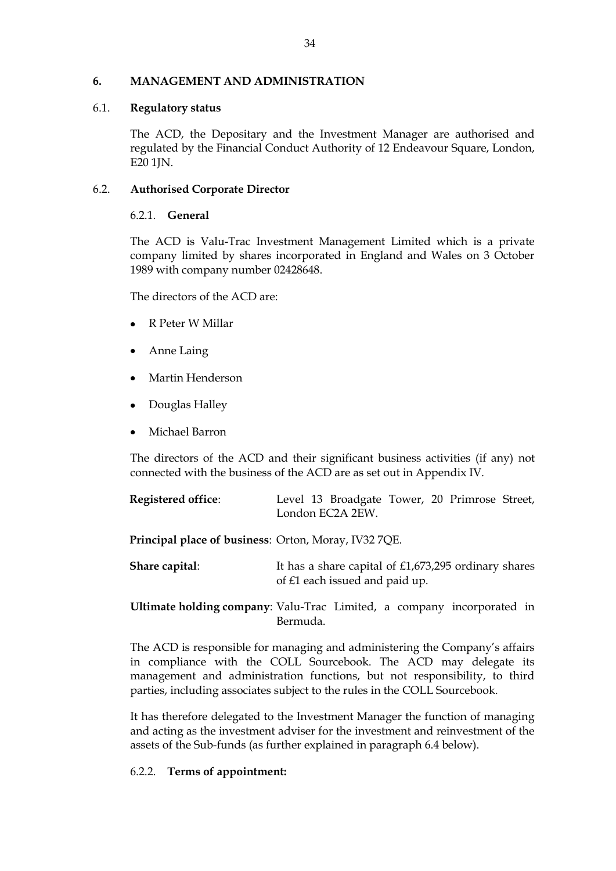### <span id="page-33-0"></span>**6. MANAGEMENT AND ADMINISTRATION**

### 6.1. **Regulatory status**

The ACD, the Depositary and the Investment Manager are authorised and regulated by the Financial Conduct Authority of 12 Endeavour Square, London, E20 1JN.

### 6.2. **Authorised Corporate Director**

### 6.2.1. **General**

The ACD is Valu-Trac Investment Management Limited which is a private company limited by shares incorporated in England and Wales on 3 October 1989 with company number 02428648.

The directors of the ACD are:

- R Peter W Millar
- Anne Laing
- Martin Henderson
- Douglas Halley
- Michael Barron

The directors of the ACD and their significant business activities (if any) not connected with the business of the ACD are as set out in Appendix IV.

| <b>Registered office:</b>                                   | Level 13 Broadgate Tower, 20 Primrose Street,<br>London EC2A 2EW.                        |  |  |
|-------------------------------------------------------------|------------------------------------------------------------------------------------------|--|--|
| <b>Principal place of business: Orton, Moray, IV32 7QE.</b> |                                                                                          |  |  |
| Share capital:                                              | It has a share capital of $£1,673,295$ ordinary shares<br>of £1 each issued and paid up. |  |  |

**Ultimate holding company**: Valu-Trac Limited, a company incorporated in Bermuda.

The ACD is responsible for managing and administering the Company's affairs in compliance with the COLL Sourcebook. The ACD may delegate its management and administration functions, but not responsibility, to third parties, including associates subject to the rules in the COLL Sourcebook.

It has therefore delegated to the Investment Manager the function of managing and acting as the investment adviser for the investment and reinvestment of the assets of the Sub-funds (as further explained in paragraph 6.4 below).

### 6.2.2. **Terms of appointment:**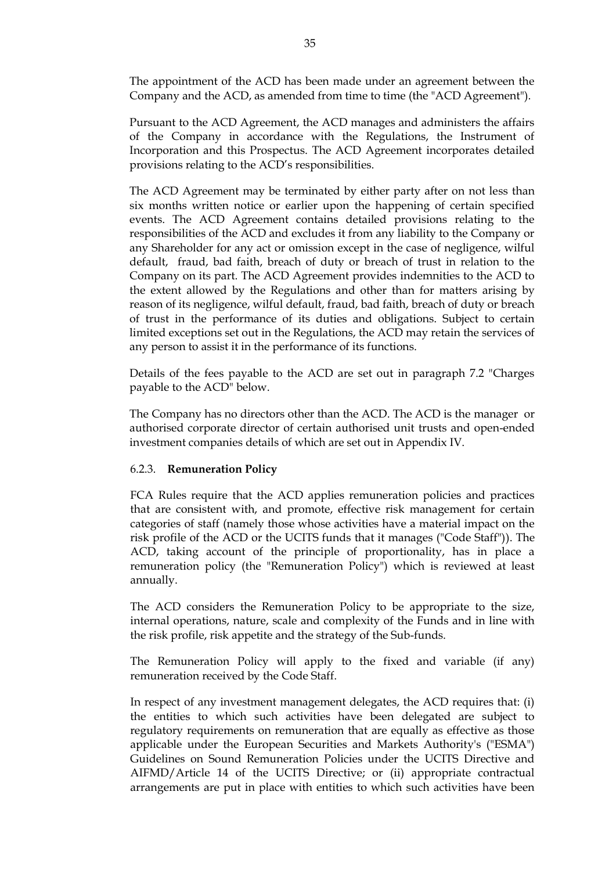The appointment of the ACD has been made under an agreement between the Company and the ACD, as amended from time to time (the "ACD Agreement").

Pursuant to the ACD Agreement, the ACD manages and administers the affairs of the Company in accordance with the Regulations, the Instrument of Incorporation and this Prospectus. The ACD Agreement incorporates detailed provisions relating to the ACD's responsibilities.

The ACD Agreement may be terminated by either party after on not less than six months written notice or earlier upon the happening of certain specified events. The ACD Agreement contains detailed provisions relating to the responsibilities of the ACD and excludes it from any liability to the Company or any Shareholder for any act or omission except in the case of negligence, wilful default, fraud, bad faith, breach of duty or breach of trust in relation to the Company on its part. The ACD Agreement provides indemnities to the ACD to the extent allowed by the Regulations and other than for matters arising by reason of its negligence, wilful default, fraud, bad faith, breach of duty or breach of trust in the performance of its duties and obligations. Subject to certain limited exceptions set out in the Regulations, the ACD may retain the services of any person to assist it in the performance of its functions.

Details of the fees payable to the ACD are set out in paragraph 7.2 "Charges payable to the ACD" below.

The Company has no directors other than the ACD. The ACD is the manager or authorised corporate director of certain authorised unit trusts and open-ended investment companies details of which are set out in Appendix IV.

#### 6.2.3. **Remuneration Policy**

FCA Rules require that the ACD applies remuneration policies and practices that are consistent with, and promote, effective risk management for certain categories of staff (namely those whose activities have a material impact on the risk profile of the ACD or the UCITS funds that it manages ("Code Staff")). The ACD, taking account of the principle of proportionality, has in place a remuneration policy (the "Remuneration Policy") which is reviewed at least annually.

The ACD considers the Remuneration Policy to be appropriate to the size, internal operations, nature, scale and complexity of the Funds and in line with the risk profile, risk appetite and the strategy of the Sub-funds.

The Remuneration Policy will apply to the fixed and variable (if any) remuneration received by the Code Staff.

In respect of any investment management delegates, the ACD requires that: (i) the entities to which such activities have been delegated are subject to regulatory requirements on remuneration that are equally as effective as those applicable under the European Securities and Markets Authority's ("ESMA") Guidelines on Sound Remuneration Policies under the UCITS Directive and AIFMD/Article 14 of the UCITS Directive; or (ii) appropriate contractual arrangements are put in place with entities to which such activities have been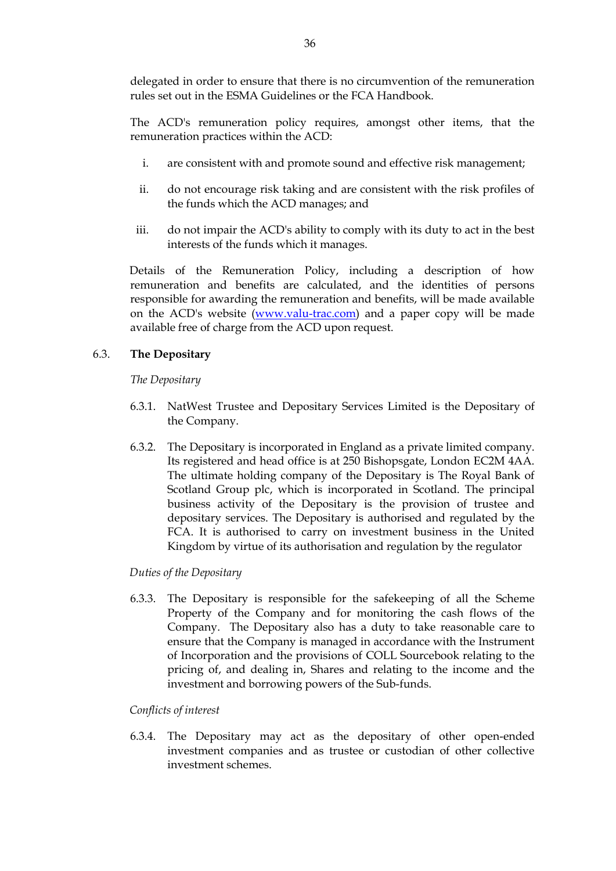delegated in order to ensure that there is no circumvention of the remuneration rules set out in the ESMA Guidelines or the FCA Handbook.

The ACD's remuneration policy requires, amongst other items, that the remuneration practices within the ACD:

- i. are consistent with and promote sound and effective risk management;
- ii. do not encourage risk taking and are consistent with the risk profiles of the funds which the ACD manages; and
- iii. do not impair the ACD's ability to comply with its duty to act in the best interests of the funds which it manages.

Details of the Remuneration Policy, including a description of how remuneration and benefits are calculated, and the identities of persons responsible for awarding the remuneration and benefits, will be made available on the ACD's website [\(www.valu-trac.com\)](http://www.valu-trac.com/) and a paper copy will be made available free of charge from the ACD upon request.

### 6.3. **The Depositary**

*The Depositary*

- 6.3.1. NatWest Trustee and Depositary Services Limited is the Depositary of the Company.
- 6.3.2. The Depositary is incorporated in England as a private limited company. Its registered and head office is at 250 Bishopsgate, London EC2M 4AA. The ultimate holding company of the Depositary is The Royal Bank of Scotland Group plc, which is incorporated in Scotland. The principal business activity of the Depositary is the provision of trustee and depositary services. The Depositary is authorised and regulated by the FCA. It is authorised to carry on investment business in the United Kingdom by virtue of its authorisation and regulation by the regulator

### *Duties of the Depositary*

6.3.3. The Depositary is responsible for the safekeeping of all the Scheme Property of the Company and for monitoring the cash flows of the Company. The Depositary also has a duty to take reasonable care to ensure that the Company is managed in accordance with the Instrument of Incorporation and the provisions of COLL Sourcebook relating to the pricing of, and dealing in, Shares and relating to the income and the investment and borrowing powers of the Sub-funds.

### *Conflicts of interest*

6.3.4. The Depositary may act as the depositary of other open-ended investment companies and as trustee or custodian of other collective investment schemes.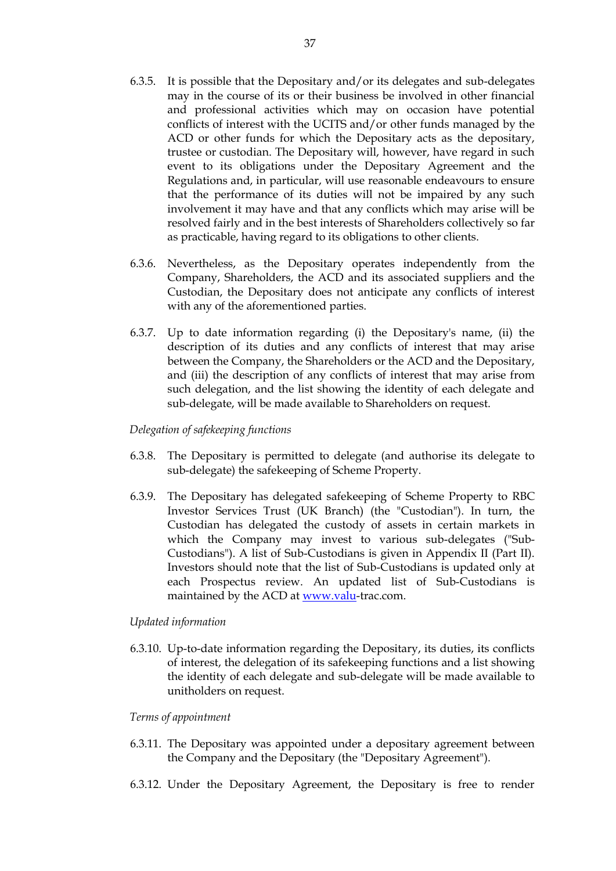- 6.3.5. It is possible that the Depositary and/or its delegates and sub-delegates may in the course of its or their business be involved in other financial and professional activities which may on occasion have potential conflicts of interest with the UCITS and/or other funds managed by the ACD or other funds for which the Depositary acts as the depositary, trustee or custodian. The Depositary will, however, have regard in such event to its obligations under the Depositary Agreement and the Regulations and, in particular, will use reasonable endeavours to ensure that the performance of its duties will not be impaired by any such involvement it may have and that any conflicts which may arise will be resolved fairly and in the best interests of Shareholders collectively so far as practicable, having regard to its obligations to other clients.
- 6.3.6. Nevertheless, as the Depositary operates independently from the Company, Shareholders, the ACD and its associated suppliers and the Custodian, the Depositary does not anticipate any conflicts of interest with any of the aforementioned parties.
- 6.3.7. Up to date information regarding (i) the Depositary's name, (ii) the description of its duties and any conflicts of interest that may arise between the Company, the Shareholders or the ACD and the Depositary, and (iii) the description of any conflicts of interest that may arise from such delegation, and the list showing the identity of each delegate and sub-delegate, will be made available to Shareholders on request.

## *Delegation of safekeeping functions*

- 6.3.8. The Depositary is permitted to delegate (and authorise its delegate to sub-delegate) the safekeeping of Scheme Property.
- 6.3.9. The Depositary has delegated safekeeping of Scheme Property to RBC Investor Services Trust (UK Branch) (the "Custodian"). In turn, the Custodian has delegated the custody of assets in certain markets in which the Company may invest to various sub-delegates ("Sub-Custodians"). A list of Sub-Custodians is given in Appendix II (Part II). Investors should note that the list of Sub-Custodians is updated only at each Prospectus review. An updated list of Sub-Custodians is maintained by the ACD at [www.valu-](http://www.valu/)trac.com.

#### *Updated information*

6.3.10. Up-to-date information regarding the Depositary, its duties, its conflicts of interest, the delegation of its safekeeping functions and a list showing the identity of each delegate and sub-delegate will be made available to unitholders on request.

#### *Terms of appointment*

- 6.3.11. The Depositary was appointed under a depositary agreement between the Company and the Depositary (the "Depositary Agreement").
- 6.3.12. Under the Depositary Agreement, the Depositary is free to render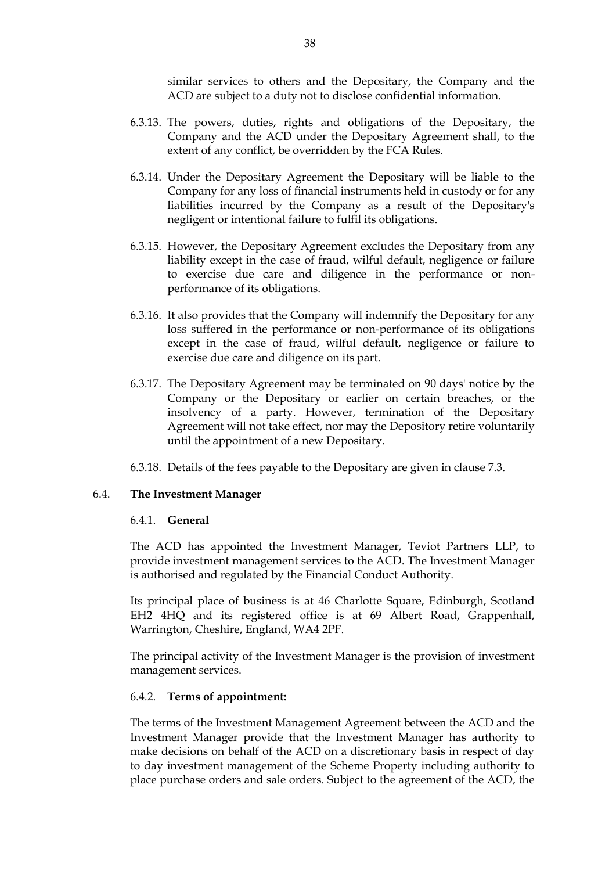similar services to others and the Depositary, the Company and the ACD are subject to a duty not to disclose confidential information.

- 6.3.13. The powers, duties, rights and obligations of the Depositary, the Company and the ACD under the Depositary Agreement shall, to the extent of any conflict, be overridden by the FCA Rules.
- 6.3.14. Under the Depositary Agreement the Depositary will be liable to the Company for any loss of financial instruments held in custody or for any liabilities incurred by the Company as a result of the Depositary's negligent or intentional failure to fulfil its obligations.
- 6.3.15. However, the Depositary Agreement excludes the Depositary from any liability except in the case of fraud, wilful default, negligence or failure to exercise due care and diligence in the performance or nonperformance of its obligations.
- 6.3.16. It also provides that the Company will indemnify the Depositary for any loss suffered in the performance or non-performance of its obligations except in the case of fraud, wilful default, negligence or failure to exercise due care and diligence on its part.
- 6.3.17. The Depositary Agreement may be terminated on 90 days' notice by the Company or the Depositary or earlier on certain breaches, or the insolvency of a party. However, termination of the Depositary Agreement will not take effect, nor may the Depository retire voluntarily until the appointment of a new Depositary.
- 6.3.18. Details of the fees payable to the Depositary are given in clause 7.3.

#### 6.4. **The Investment Manager**

#### 6.4.1. **General**

The ACD has appointed the Investment Manager, Teviot Partners LLP, to provide investment management services to the ACD. The Investment Manager is authorised and regulated by the Financial Conduct Authority.

Its principal place of business is at 46 Charlotte Square, Edinburgh, Scotland EH2 4HQ and its registered office is at 69 Albert Road, Grappenhall, Warrington, Cheshire, England, WA4 2PF.

The principal activity of the Investment Manager is the provision of investment management services.

#### 6.4.2. **Terms of appointment:**

The terms of the Investment Management Agreement between the ACD and the Investment Manager provide that the Investment Manager has authority to make decisions on behalf of the ACD on a discretionary basis in respect of day to day investment management of the Scheme Property including authority to place purchase orders and sale orders. Subject to the agreement of the ACD, the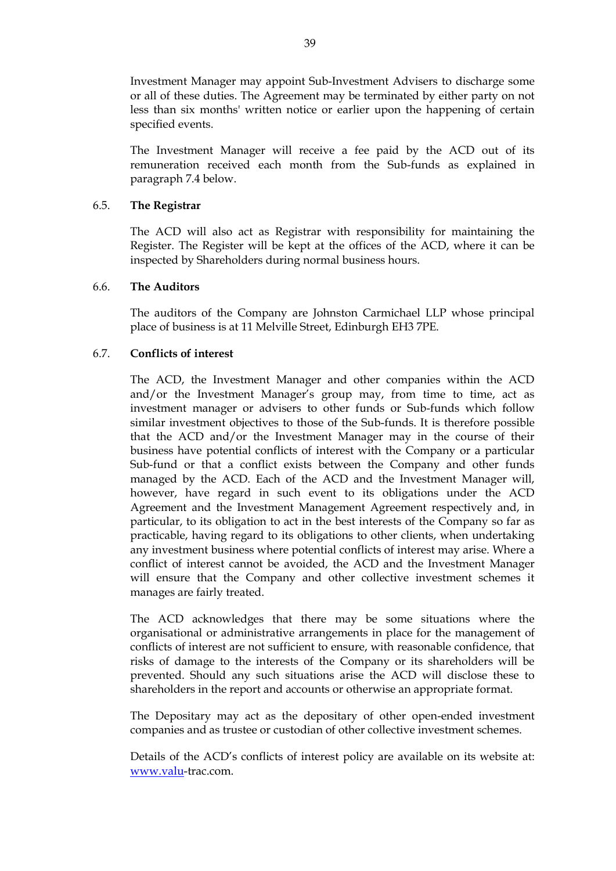Investment Manager may appoint Sub-Investment Advisers to discharge some or all of these duties. The Agreement may be terminated by either party on not less than six months' written notice or earlier upon the happening of certain specified events.

The Investment Manager will receive a fee paid by the ACD out of its remuneration received each month from the Sub-funds as explained in paragraph 7.4 below.

## 6.5. **The Registrar**

The ACD will also act as Registrar with responsibility for maintaining the Register. The Register will be kept at the offices of the ACD, where it can be inspected by Shareholders during normal business hours.

#### 6.6. **The Auditors**

The auditors of the Company are Johnston Carmichael LLP whose principal place of business is at 11 Melville Street, Edinburgh EH3 7PE.

## 6.7. **Conflicts of interest**

The ACD, the Investment Manager and other companies within the ACD and/or the Investment Manager's group may, from time to time, act as investment manager or advisers to other funds or Sub-funds which follow similar investment objectives to those of the Sub-funds. It is therefore possible that the ACD and/or the Investment Manager may in the course of their business have potential conflicts of interest with the Company or a particular Sub-fund or that a conflict exists between the Company and other funds managed by the ACD. Each of the ACD and the Investment Manager will, however, have regard in such event to its obligations under the ACD Agreement and the Investment Management Agreement respectively and, in particular, to its obligation to act in the best interests of the Company so far as practicable, having regard to its obligations to other clients, when undertaking any investment business where potential conflicts of interest may arise. Where a conflict of interest cannot be avoided, the ACD and the Investment Manager will ensure that the Company and other collective investment schemes it manages are fairly treated.

The ACD acknowledges that there may be some situations where the organisational or administrative arrangements in place for the management of conflicts of interest are not sufficient to ensure, with reasonable confidence, that risks of damage to the interests of the Company or its shareholders will be prevented. Should any such situations arise the ACD will disclose these to shareholders in the report and accounts or otherwise an appropriate format.

The Depositary may act as the depositary of other open-ended investment companies and as trustee or custodian of other collective investment schemes.

Details of the ACD's conflicts of interest policy are available on its website at: [www.valu-](http://www.valu/)trac.com.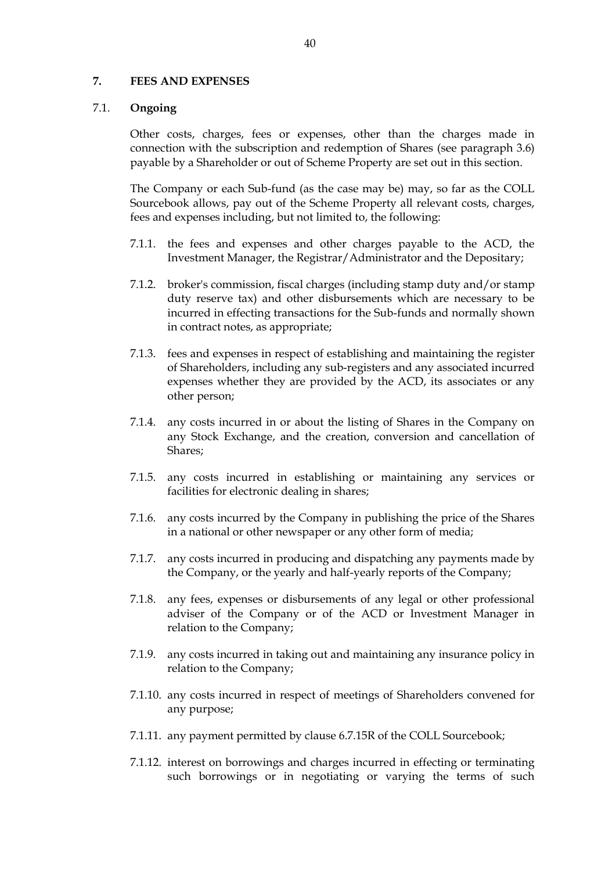#### **7. FEES AND EXPENSES**

#### 7.1. **Ongoing**

Other costs, charges, fees or expenses, other than the charges made in connection with the subscription and redemption of Shares (see paragraph 3.6) payable by a Shareholder or out of Scheme Property are set out in this section.

The Company or each Sub-fund (as the case may be) may, so far as the COLL Sourcebook allows, pay out of the Scheme Property all relevant costs, charges, fees and expenses including, but not limited to, the following:

- 7.1.1. the fees and expenses and other charges payable to the ACD, the Investment Manager, the Registrar/Administrator and the Depositary;
- 7.1.2. broker's commission, fiscal charges (including stamp duty and/or stamp duty reserve tax) and other disbursements which are necessary to be incurred in effecting transactions for the Sub-funds and normally shown in contract notes, as appropriate;
- 7.1.3. fees and expenses in respect of establishing and maintaining the register of Shareholders, including any sub-registers and any associated incurred expenses whether they are provided by the ACD, its associates or any other person;
- 7.1.4. any costs incurred in or about the listing of Shares in the Company on any Stock Exchange, and the creation, conversion and cancellation of Shares;
- 7.1.5. any costs incurred in establishing or maintaining any services or facilities for electronic dealing in shares;
- 7.1.6. any costs incurred by the Company in publishing the price of the Shares in a national or other newspaper or any other form of media;
- 7.1.7. any costs incurred in producing and dispatching any payments made by the Company, or the yearly and half-yearly reports of the Company;
- 7.1.8. any fees, expenses or disbursements of any legal or other professional adviser of the Company or of the ACD or Investment Manager in relation to the Company;
- 7.1.9. any costs incurred in taking out and maintaining any insurance policy in relation to the Company;
- 7.1.10. any costs incurred in respect of meetings of Shareholders convened for any purpose;
- 7.1.11. any payment permitted by clause 6.7.15R of the COLL Sourcebook;
- 7.1.12. interest on borrowings and charges incurred in effecting or terminating such borrowings or in negotiating or varying the terms of such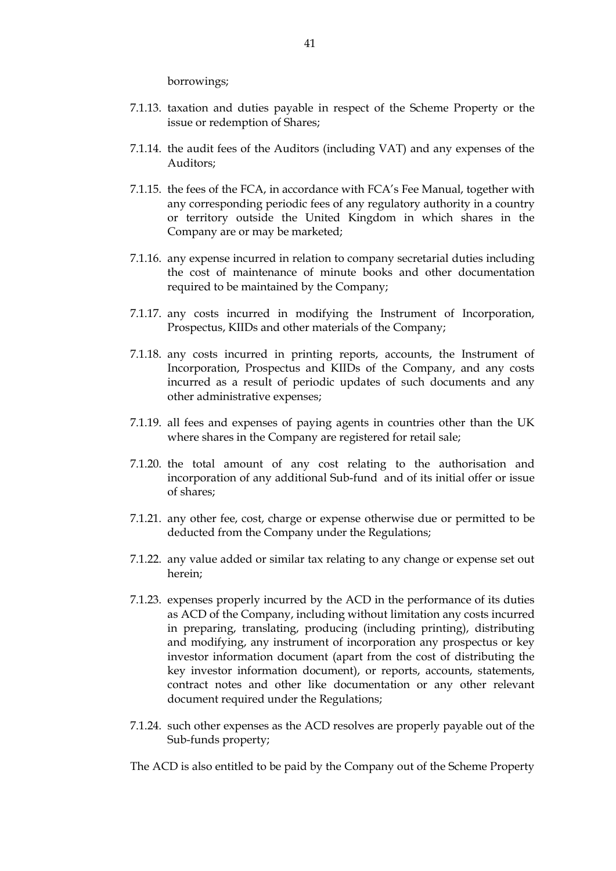borrowings;

- 7.1.13. taxation and duties payable in respect of the Scheme Property or the issue or redemption of Shares;
- 7.1.14. the audit fees of the Auditors (including VAT) and any expenses of the Auditors;
- 7.1.15. the fees of the FCA, in accordance with FCA's Fee Manual, together with any corresponding periodic fees of any regulatory authority in a country or territory outside the United Kingdom in which shares in the Company are or may be marketed;
- 7.1.16. any expense incurred in relation to company secretarial duties including the cost of maintenance of minute books and other documentation required to be maintained by the Company;
- 7.1.17. any costs incurred in modifying the Instrument of Incorporation, Prospectus, KIIDs and other materials of the Company;
- 7.1.18. any costs incurred in printing reports, accounts, the Instrument of Incorporation, Prospectus and KIIDs of the Company, and any costs incurred as a result of periodic updates of such documents and any other administrative expenses;
- 7.1.19. all fees and expenses of paying agents in countries other than the UK where shares in the Company are registered for retail sale;
- 7.1.20. the total amount of any cost relating to the authorisation and incorporation of any additional Sub-fund and of its initial offer or issue of shares;
- 7.1.21. any other fee, cost, charge or expense otherwise due or permitted to be deducted from the Company under the Regulations;
- 7.1.22. any value added or similar tax relating to any change or expense set out herein;
- 7.1.23. expenses properly incurred by the ACD in the performance of its duties as ACD of the Company, including without limitation any costs incurred in preparing, translating, producing (including printing), distributing and modifying, any instrument of incorporation any prospectus or key investor information document (apart from the cost of distributing the key investor information document), or reports, accounts, statements, contract notes and other like documentation or any other relevant document required under the Regulations;
- 7.1.24. such other expenses as the ACD resolves are properly payable out of the Sub-funds property;

The ACD is also entitled to be paid by the Company out of the Scheme Property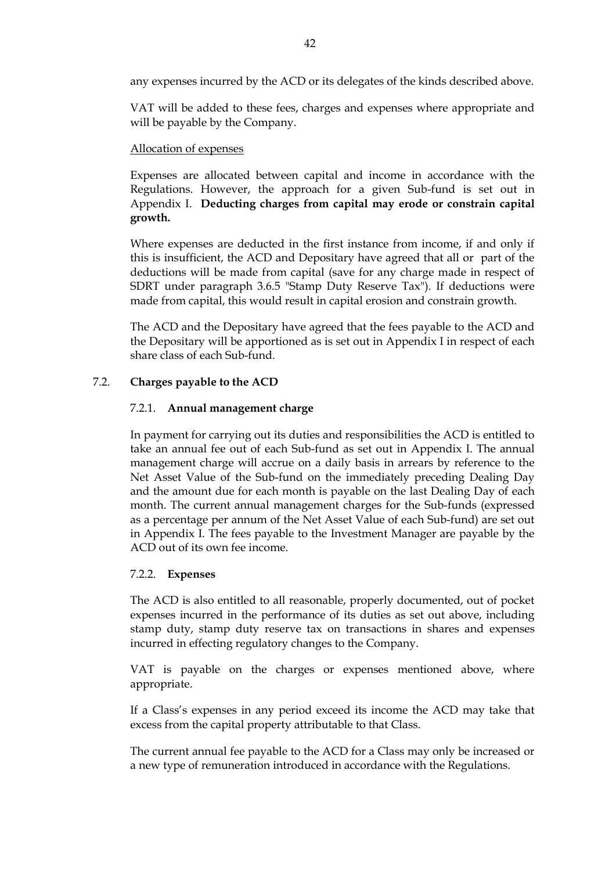any expenses incurred by the ACD or its delegates of the kinds described above.

VAT will be added to these fees, charges and expenses where appropriate and will be payable by the Company.

## Allocation of expenses

Expenses are allocated between capital and income in accordance with the Regulations. However, the approach for a given Sub-fund is set out in Appendix I. **Deducting charges from capital may erode or constrain capital growth.**

Where expenses are deducted in the first instance from income, if and only if this is insufficient, the ACD and Depositary have agreed that all or part of the deductions will be made from capital (save for any charge made in respect of SDRT under paragraph 3.6.5 "Stamp Duty Reserve Tax"). If deductions were made from capital, this would result in capital erosion and constrain growth.

The ACD and the Depositary have agreed that the fees payable to the ACD and the Depositary will be apportioned as is set out in Appendix I in respect of each share class of each Sub-fund.

# 7.2. **Charges payable to the ACD**

#### 7.2.1. **Annual management charge**

In payment for carrying out its duties and responsibilities the ACD is entitled to take an annual fee out of each Sub-fund as set out in Appendix I. The annual management charge will accrue on a daily basis in arrears by reference to the Net Asset Value of the Sub-fund on the immediately preceding Dealing Day and the amount due for each month is payable on the last Dealing Day of each month. The current annual management charges for the Sub-funds (expressed as a percentage per annum of the Net Asset Value of each Sub-fund) are set out in Appendix I. The fees payable to the Investment Manager are payable by the ACD out of its own fee income.

#### 7.2.2. **Expenses**

The ACD is also entitled to all reasonable, properly documented, out of pocket expenses incurred in the performance of its duties as set out above, including stamp duty, stamp duty reserve tax on transactions in shares and expenses incurred in effecting regulatory changes to the Company.

VAT is payable on the charges or expenses mentioned above, where appropriate.

If a Class's expenses in any period exceed its income the ACD may take that excess from the capital property attributable to that Class.

The current annual fee payable to the ACD for a Class may only be increased or a new type of remuneration introduced in accordance with the Regulations.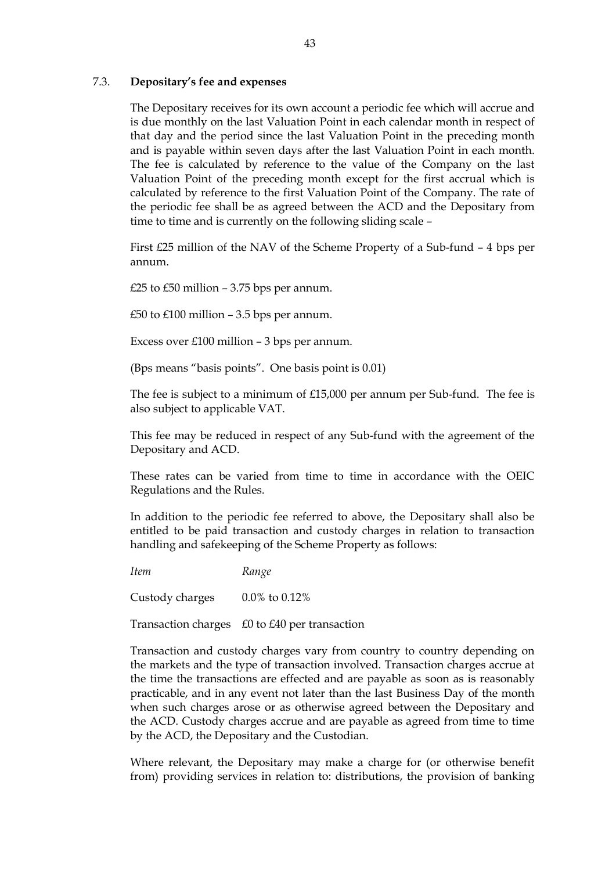## 7.3. **Depositary's fee and expenses**

The Depositary receives for its own account a periodic fee which will accrue and is due monthly on the last Valuation Point in each calendar month in respect of that day and the period since the last Valuation Point in the preceding month and is payable within seven days after the last Valuation Point in each month. The fee is calculated by reference to the value of the Company on the last Valuation Point of the preceding month except for the first accrual which is calculated by reference to the first Valuation Point of the Company. The rate of the periodic fee shall be as agreed between the ACD and the Depositary from time to time and is currently on the following sliding scale –

First £25 million of the NAV of the Scheme Property of a Sub-fund – 4 bps per annum.

£25 to £50 million – 3.75 bps per annum.

£50 to  $£100$  million  $-3.5$  bps per annum.

Excess over £100 million – 3 bps per annum.

(Bps means "basis points". One basis point is 0.01)

The fee is subject to a minimum of £15,000 per annum per Sub-fund. The fee is also subject to applicable VAT.

This fee may be reduced in respect of any Sub-fund with the agreement of the Depositary and ACD.

These rates can be varied from time to time in accordance with the OEIC Regulations and the Rules.

In addition to the periodic fee referred to above, the Depositary shall also be entitled to be paid transaction and custody charges in relation to transaction handling and safekeeping of the Scheme Property as follows:

*Item Range*

Custody charges 0.0% to 0.12%

Transaction charges £0 to £40 per transaction

Transaction and custody charges vary from country to country depending on the markets and the type of transaction involved. Transaction charges accrue at the time the transactions are effected and are payable as soon as is reasonably practicable, and in any event not later than the last Business Day of the month when such charges arose or as otherwise agreed between the Depositary and the ACD. Custody charges accrue and are payable as agreed from time to time by the ACD, the Depositary and the Custodian.

Where relevant, the Depositary may make a charge for (or otherwise benefit from) providing services in relation to: distributions, the provision of banking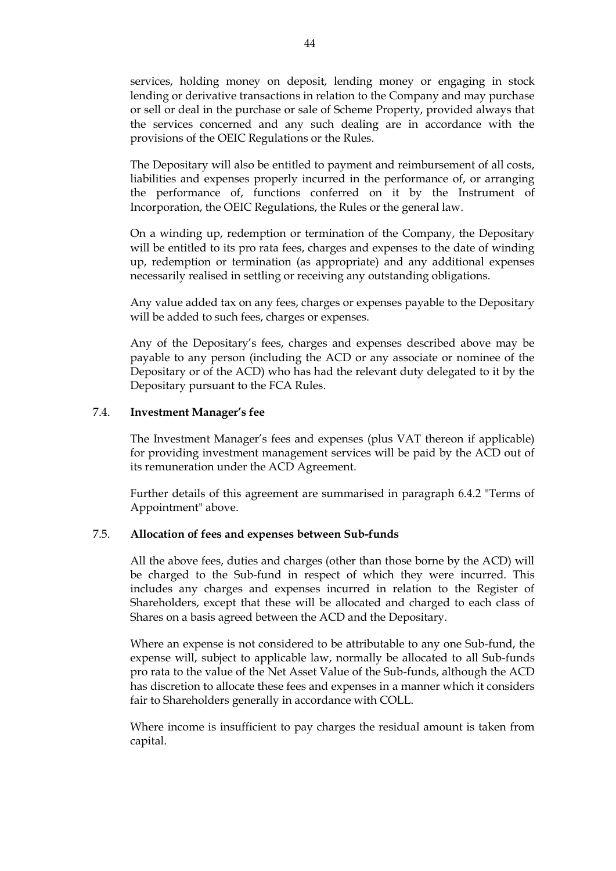services, holding money on deposit, lending money or engaging in stock lending or derivative transactions in relation to the Company and may purchase or sell or deal in the purchase or sale of Scheme Property, provided always that the services concerned and any such dealing are in accordance with the provisions of the OEIC Regulations or the Rules.

The Depositary will also be entitled to payment and reimbursement of all costs, liabilities and expenses properly incurred in the performance of, or arranging the performance of, functions conferred on it by the Instrument of Incorporation, the OEIC Regulations, the Rules or the general law.

On a winding up, redemption or termination of the Company, the Depositary will be entitled to its pro rata fees, charges and expenses to the date of winding up, redemption or termination (as appropriate) and any additional expenses necessarily realised in settling or receiving any outstanding obligations.

Any value added tax on any fees, charges or expenses payable to the Depositary will be added to such fees, charges or expenses.

Any of the Depositary's fees, charges and expenses described above may be payable to any person (including the ACD or any associate or nominee of the Depositary or of the ACD) who has had the relevant duty delegated to it by the Depositary pursuant to the FCA Rules.

#### 7.4. **Investment Manager's fee**

The Investment Manager's fees and expenses (plus VAT thereon if applicable) for providing investment management services will be paid by the ACD out of its remuneration under the ACD Agreement.

Further details of this agreement are summarised in paragraph 6.4.2 "Terms of Appointment" above.

# 7.5. **Allocation of fees and expenses between Sub-funds**

All the above fees, duties and charges (other than those borne by the ACD) will be charged to the Sub-fund in respect of which they were incurred. This includes any charges and expenses incurred in relation to the Register of Shareholders, except that these will be allocated and charged to each class of Shares on a basis agreed between the ACD and the Depositary.

Where an expense is not considered to be attributable to any one Sub-fund, the expense will, subject to applicable law, normally be allocated to all Sub-funds pro rata to the value of the Net Asset Value of the Sub-funds, although the ACD has discretion to allocate these fees and expenses in a manner which it considers fair to Shareholders generally in accordance with COLL.

Where income is insufficient to pay charges the residual amount is taken from capital.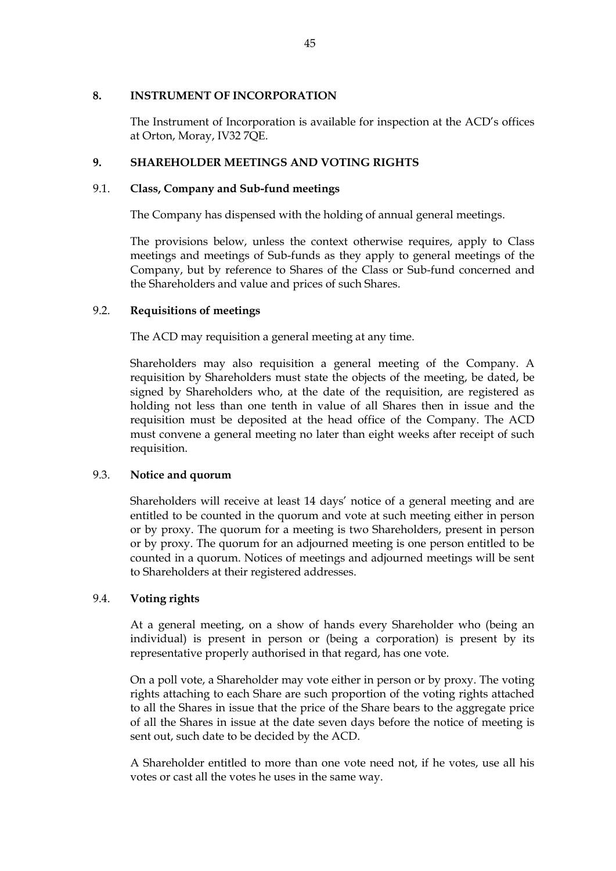## **8. INSTRUMENT OF INCORPORATION**

The Instrument of Incorporation is available for inspection at the ACD's offices at Orton, Moray, IV32 7QE.

# **9. SHAREHOLDER MEETINGS AND VOTING RIGHTS**

# 9.1. **Class, Company and Sub-fund meetings**

The Company has dispensed with the holding of annual general meetings.

The provisions below, unless the context otherwise requires, apply to Class meetings and meetings of Sub-funds as they apply to general meetings of the Company, but by reference to Shares of the Class or Sub-fund concerned and the Shareholders and value and prices of such Shares.

# 9.2. **Requisitions of meetings**

The ACD may requisition a general meeting at any time.

Shareholders may also requisition a general meeting of the Company. A requisition by Shareholders must state the objects of the meeting, be dated, be signed by Shareholders who, at the date of the requisition, are registered as holding not less than one tenth in value of all Shares then in issue and the requisition must be deposited at the head office of the Company. The ACD must convene a general meeting no later than eight weeks after receipt of such requisition.

# 9.3. **Notice and quorum**

Shareholders will receive at least 14 days' notice of a general meeting and are entitled to be counted in the quorum and vote at such meeting either in person or by proxy. The quorum for a meeting is two Shareholders, present in person or by proxy. The quorum for an adjourned meeting is one person entitled to be counted in a quorum. Notices of meetings and adjourned meetings will be sent to Shareholders at their registered addresses.

# 9.4. **Voting rights**

At a general meeting, on a show of hands every Shareholder who (being an individual) is present in person or (being a corporation) is present by its representative properly authorised in that regard, has one vote.

On a poll vote, a Shareholder may vote either in person or by proxy. The voting rights attaching to each Share are such proportion of the voting rights attached to all the Shares in issue that the price of the Share bears to the aggregate price of all the Shares in issue at the date seven days before the notice of meeting is sent out, such date to be decided by the ACD.

A Shareholder entitled to more than one vote need not, if he votes, use all his votes or cast all the votes he uses in the same way.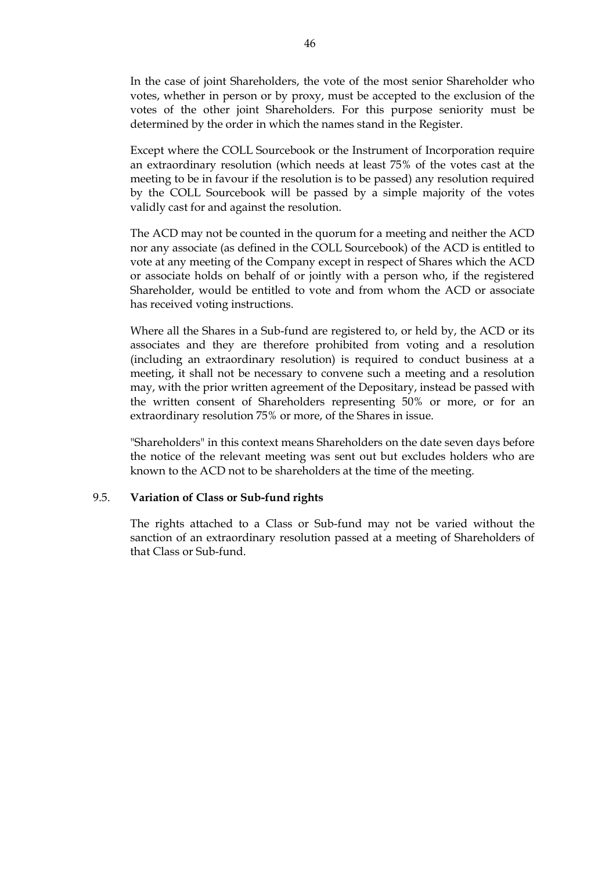In the case of joint Shareholders, the vote of the most senior Shareholder who votes, whether in person or by proxy, must be accepted to the exclusion of the votes of the other joint Shareholders. For this purpose seniority must be determined by the order in which the names stand in the Register.

Except where the COLL Sourcebook or the Instrument of Incorporation require an extraordinary resolution (which needs at least 75% of the votes cast at the meeting to be in favour if the resolution is to be passed) any resolution required by the COLL Sourcebook will be passed by a simple majority of the votes validly cast for and against the resolution.

The ACD may not be counted in the quorum for a meeting and neither the ACD nor any associate (as defined in the COLL Sourcebook) of the ACD is entitled to vote at any meeting of the Company except in respect of Shares which the ACD or associate holds on behalf of or jointly with a person who, if the registered Shareholder, would be entitled to vote and from whom the ACD or associate has received voting instructions.

Where all the Shares in a Sub-fund are registered to, or held by, the ACD or its associates and they are therefore prohibited from voting and a resolution (including an extraordinary resolution) is required to conduct business at a meeting, it shall not be necessary to convene such a meeting and a resolution may, with the prior written agreement of the Depositary, instead be passed with the written consent of Shareholders representing 50% or more, or for an extraordinary resolution 75% or more, of the Shares in issue.

"Shareholders" in this context means Shareholders on the date seven days before the notice of the relevant meeting was sent out but excludes holders who are known to the ACD not to be shareholders at the time of the meeting.

## 9.5. **Variation of Class or Sub-fund rights**

The rights attached to a Class or Sub-fund may not be varied without the sanction of an extraordinary resolution passed at a meeting of Shareholders of that Class or Sub-fund.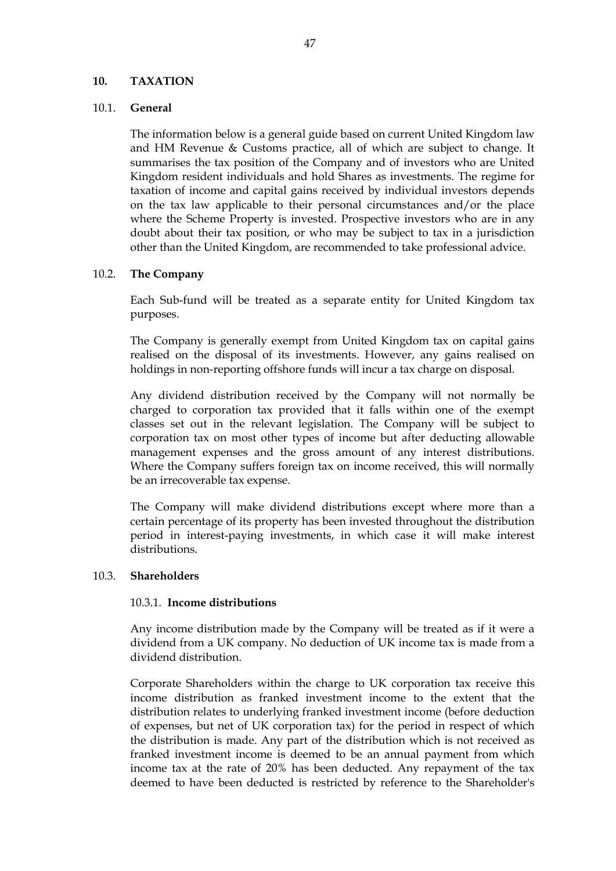## **10. TAXATION**

## 10.1. **General**

The information below is a general guide based on current United Kingdom law and HM Revenue & Customs practice, all of which are subject to change. It summarises the tax position of the Company and of investors who are United Kingdom resident individuals and hold Shares as investments. The regime for taxation of income and capital gains received by individual investors depends on the tax law applicable to their personal circumstances and/or the place where the Scheme Property is invested. Prospective investors who are in any doubt about their tax position, or who may be subject to tax in a jurisdiction other than the United Kingdom, are recommended to take professional advice.

## 10.2. **The Company**

Each Sub-fund will be treated as a separate entity for United Kingdom tax purposes.

The Company is generally exempt from United Kingdom tax on capital gains realised on the disposal of its investments. However, any gains realised on holdings in non-reporting offshore funds will incur a tax charge on disposal.

Any dividend distribution received by the Company will not normally be charged to corporation tax provided that it falls within one of the exempt classes set out in the relevant legislation. The Company will be subject to corporation tax on most other types of income but after deducting allowable management expenses and the gross amount of any interest distributions. Where the Company suffers foreign tax on income received, this will normally be an irrecoverable tax expense.

The Company will make dividend distributions except where more than a certain percentage of its property has been invested throughout the distribution period in interest-paying investments, in which case it will make interest distributions.

#### 10.3. **Shareholders**

#### 10.3.1. **Income distributions**

Any income distribution made by the Company will be treated as if it were a dividend from a UK company. No deduction of UK income tax is made from a dividend distribution.

Corporate Shareholders within the charge to UK corporation tax receive this income distribution as franked investment income to the extent that the distribution relates to underlying franked investment income (before deduction of expenses, but net of UK corporation tax) for the period in respect of which the distribution is made. Any part of the distribution which is not received as franked investment income is deemed to be an annual payment from which income tax at the rate of 20% has been deducted. Any repayment of the tax deemed to have been deducted is restricted by reference to the Shareholder's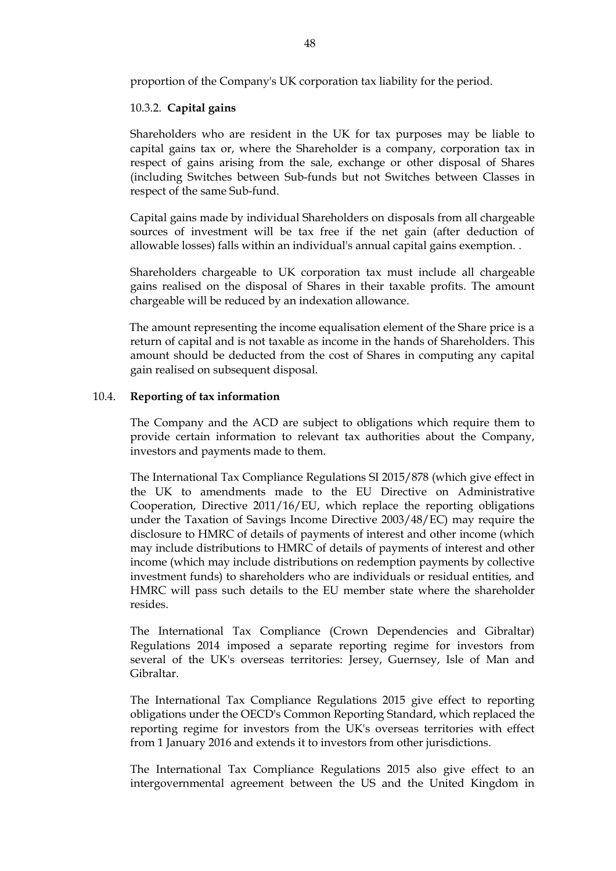proportion of the Company's UK corporation tax liability for the period.

## 10.3.2. **Capital gains**

Shareholders who are resident in the UK for tax purposes may be liable to capital gains tax or, where the Shareholder is a company, corporation tax in respect of gains arising from the sale, exchange or other disposal of Shares (including Switches between Sub-funds but not Switches between Classes in respect of the same Sub-fund.

Capital gains made by individual Shareholders on disposals from all chargeable sources of investment will be tax free if the net gain (after deduction of allowable losses) falls within an individual's annual capital gains exemption. .

Shareholders chargeable to UK corporation tax must include all chargeable gains realised on the disposal of Shares in their taxable profits. The amount chargeable will be reduced by an indexation allowance.

The amount representing the income equalisation element of the Share price is a return of capital and is not taxable as income in the hands of Shareholders. This amount should be deducted from the cost of Shares in computing any capital gain realised on subsequent disposal.

## 10.4. **Reporting of tax information**

The Company and the ACD are subject to obligations which require them to provide certain information to relevant tax authorities about the Company, investors and payments made to them.

The International Tax Compliance Regulations SI 2015/878 (which give effect in the UK to amendments made to the EU Directive on Administrative Cooperation, Directive 2011/16/EU, which replace the reporting obligations under the Taxation of Savings Income Directive 2003/48/EC) may require the disclosure to HMRC of details of payments of interest and other income (which may include distributions to HMRC of details of payments of interest and other income (which may include distributions on redemption payments by collective investment funds) to shareholders who are individuals or residual entities, and HMRC will pass such details to the EU member state where the shareholder resides.

The International Tax Compliance (Crown Dependencies and Gibraltar) Regulations 2014 imposed a separate reporting regime for investors from several of the UK's overseas territories: Jersey, Guernsey, Isle of Man and Gibraltar.

The International Tax Compliance Regulations 2015 give effect to reporting obligations under the OECD's Common Reporting Standard, which replaced the reporting regime for investors from the UK's overseas territories with effect from 1 January 2016 and extends it to investors from other jurisdictions.

The International Tax Compliance Regulations 2015 also give effect to an intergovernmental agreement between the US and the United Kingdom in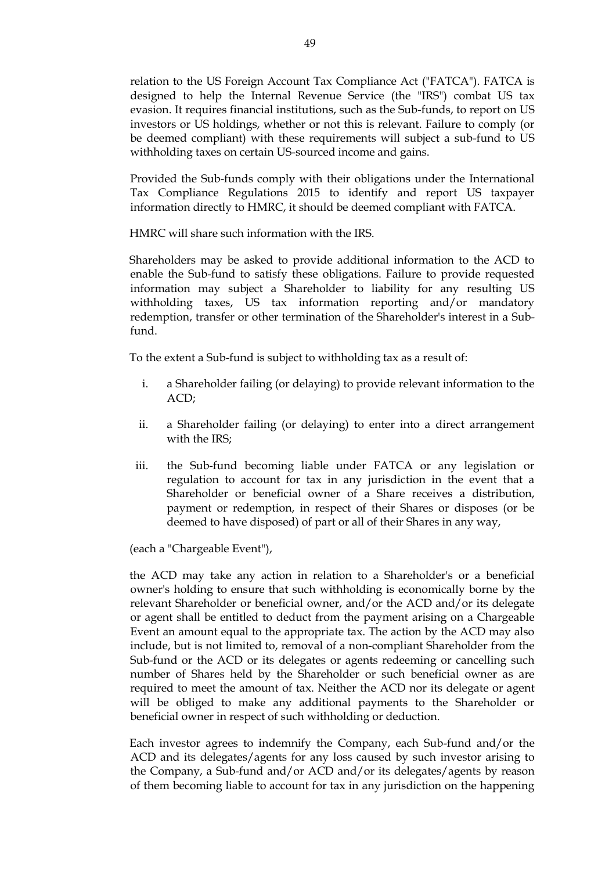relation to the US Foreign Account Tax Compliance Act ("FATCA"). FATCA is designed to help the Internal Revenue Service (the "IRS") combat US tax evasion. It requires financial institutions, such as the Sub-funds, to report on US investors or US holdings, whether or not this is relevant. Failure to comply (or be deemed compliant) with these requirements will subject a sub-fund to US withholding taxes on certain US-sourced income and gains.

Provided the Sub-funds comply with their obligations under the International Tax Compliance Regulations 2015 to identify and report US taxpayer information directly to HMRC, it should be deemed compliant with FATCA.

HMRC will share such information with the IRS.

Shareholders may be asked to provide additional information to the ACD to enable the Sub-fund to satisfy these obligations. Failure to provide requested information may subject a Shareholder to liability for any resulting US withholding taxes, US tax information reporting and/or mandatory redemption, transfer or other termination of the Shareholder's interest in a Subfund.

To the extent a Sub-fund is subject to withholding tax as a result of:

- i. a Shareholder failing (or delaying) to provide relevant information to the ACD;
- ii. a Shareholder failing (or delaying) to enter into a direct arrangement with the IRS;
- iii. the Sub-fund becoming liable under FATCA or any legislation or regulation to account for tax in any jurisdiction in the event that a Shareholder or beneficial owner of a Share receives a distribution, payment or redemption, in respect of their Shares or disposes (or be deemed to have disposed) of part or all of their Shares in any way,

(each a "Chargeable Event"),

the ACD may take any action in relation to a Shareholder's or a beneficial owner's holding to ensure that such withholding is economically borne by the relevant Shareholder or beneficial owner, and/or the ACD and/or its delegate or agent shall be entitled to deduct from the payment arising on a Chargeable Event an amount equal to the appropriate tax. The action by the ACD may also include, but is not limited to, removal of a non-compliant Shareholder from the Sub-fund or the ACD or its delegates or agents redeeming or cancelling such number of Shares held by the Shareholder or such beneficial owner as are required to meet the amount of tax. Neither the ACD nor its delegate or agent will be obliged to make any additional payments to the Shareholder or beneficial owner in respect of such withholding or deduction.

Each investor agrees to indemnify the Company, each Sub-fund and/or the ACD and its delegates/agents for any loss caused by such investor arising to the Company, a Sub-fund and/or ACD and/or its delegates/agents by reason of them becoming liable to account for tax in any jurisdiction on the happening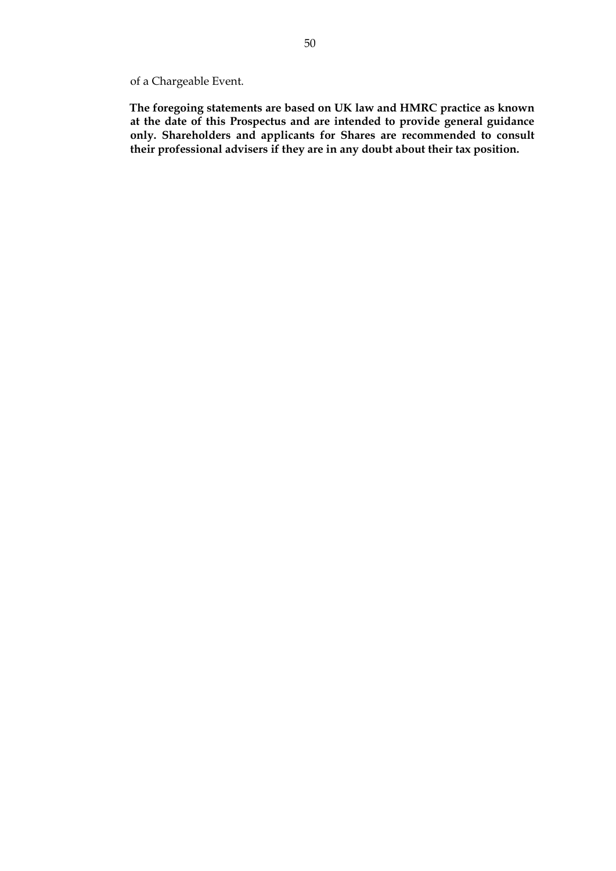of a Chargeable Event.

**The foregoing statements are based on UK law and HMRC practice as known at the date of this Prospectus and are intended to provide general guidance only. Shareholders and applicants for Shares are recommended to consult their professional advisers if they are in any doubt about their tax position.**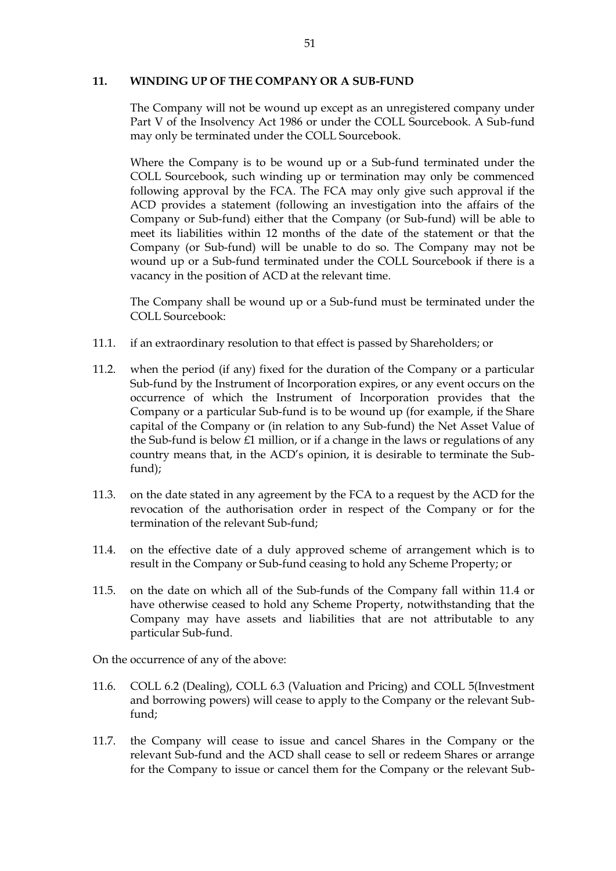## **11. WINDING UP OF THE COMPANY OR A SUB-FUND**

The Company will not be wound up except as an unregistered company under Part V of the Insolvency Act 1986 or under the COLL Sourcebook. A Sub-fund may only be terminated under the COLL Sourcebook.

Where the Company is to be wound up or a Sub-fund terminated under the COLL Sourcebook, such winding up or termination may only be commenced following approval by the FCA. The FCA may only give such approval if the ACD provides a statement (following an investigation into the affairs of the Company or Sub-fund) either that the Company (or Sub-fund) will be able to meet its liabilities within 12 months of the date of the statement or that the Company (or Sub-fund) will be unable to do so. The Company may not be wound up or a Sub-fund terminated under the COLL Sourcebook if there is a vacancy in the position of ACD at the relevant time.

The Company shall be wound up or a Sub-fund must be terminated under the COLL Sourcebook:

- 11.1. if an extraordinary resolution to that effect is passed by Shareholders; or
- 11.2. when the period (if any) fixed for the duration of the Company or a particular Sub-fund by the Instrument of Incorporation expires, or any event occurs on the occurrence of which the Instrument of Incorporation provides that the Company or a particular Sub-fund is to be wound up (for example, if the Share capital of the Company or (in relation to any Sub-fund) the Net Asset Value of the Sub-fund is below £1 million, or if a change in the laws or regulations of any country means that, in the ACD's opinion, it is desirable to terminate the Subfund);
- 11.3. on the date stated in any agreement by the FCA to a request by the ACD for the revocation of the authorisation order in respect of the Company or for the termination of the relevant Sub-fund;
- 11.4. on the effective date of a duly approved scheme of arrangement which is to result in the Company or Sub-fund ceasing to hold any Scheme Property; or
- 11.5. on the date on which all of the Sub-funds of the Company fall within 11.4 or have otherwise ceased to hold any Scheme Property, notwithstanding that the Company may have assets and liabilities that are not attributable to any particular Sub-fund.

On the occurrence of any of the above:

- 11.6. COLL 6.2 (Dealing), COLL 6.3 (Valuation and Pricing) and COLL 5(Investment and borrowing powers) will cease to apply to the Company or the relevant Subfund;
- 11.7. the Company will cease to issue and cancel Shares in the Company or the relevant Sub-fund and the ACD shall cease to sell or redeem Shares or arrange for the Company to issue or cancel them for the Company or the relevant Sub-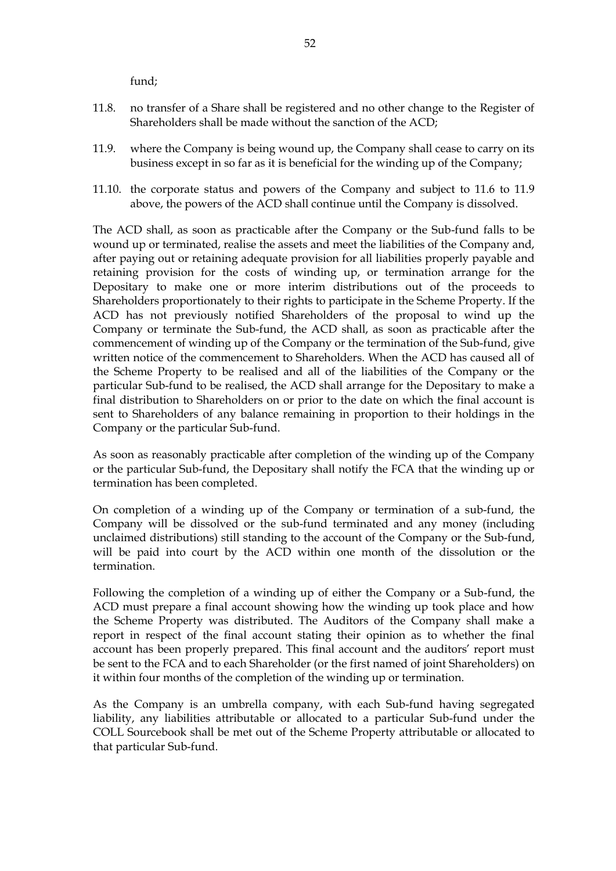fund;

- 11.8. no transfer of a Share shall be registered and no other change to the Register of Shareholders shall be made without the sanction of the ACD;
- 11.9. where the Company is being wound up, the Company shall cease to carry on its business except in so far as it is beneficial for the winding up of the Company;
- 11.10. the corporate status and powers of the Company and subject to 11.6 to 11.9 above, the powers of the ACD shall continue until the Company is dissolved.

The ACD shall, as soon as practicable after the Company or the Sub-fund falls to be wound up or terminated, realise the assets and meet the liabilities of the Company and, after paying out or retaining adequate provision for all liabilities properly payable and retaining provision for the costs of winding up, or termination arrange for the Depositary to make one or more interim distributions out of the proceeds to Shareholders proportionately to their rights to participate in the Scheme Property. If the ACD has not previously notified Shareholders of the proposal to wind up the Company or terminate the Sub-fund, the ACD shall, as soon as practicable after the commencement of winding up of the Company or the termination of the Sub-fund, give written notice of the commencement to Shareholders. When the ACD has caused all of the Scheme Property to be realised and all of the liabilities of the Company or the particular Sub-fund to be realised, the ACD shall arrange for the Depositary to make a final distribution to Shareholders on or prior to the date on which the final account is sent to Shareholders of any balance remaining in proportion to their holdings in the Company or the particular Sub-fund.

As soon as reasonably practicable after completion of the winding up of the Company or the particular Sub-fund, the Depositary shall notify the FCA that the winding up or termination has been completed.

On completion of a winding up of the Company or termination of a sub-fund, the Company will be dissolved or the sub-fund terminated and any money (including unclaimed distributions) still standing to the account of the Company or the Sub-fund, will be paid into court by the ACD within one month of the dissolution or the termination.

Following the completion of a winding up of either the Company or a Sub-fund, the ACD must prepare a final account showing how the winding up took place and how the Scheme Property was distributed. The Auditors of the Company shall make a report in respect of the final account stating their opinion as to whether the final account has been properly prepared. This final account and the auditors' report must be sent to the FCA and to each Shareholder (or the first named of joint Shareholders) on it within four months of the completion of the winding up or termination.

As the Company is an umbrella company, with each Sub-fund having segregated liability, any liabilities attributable or allocated to a particular Sub-fund under the COLL Sourcebook shall be met out of the Scheme Property attributable or allocated to that particular Sub-fund.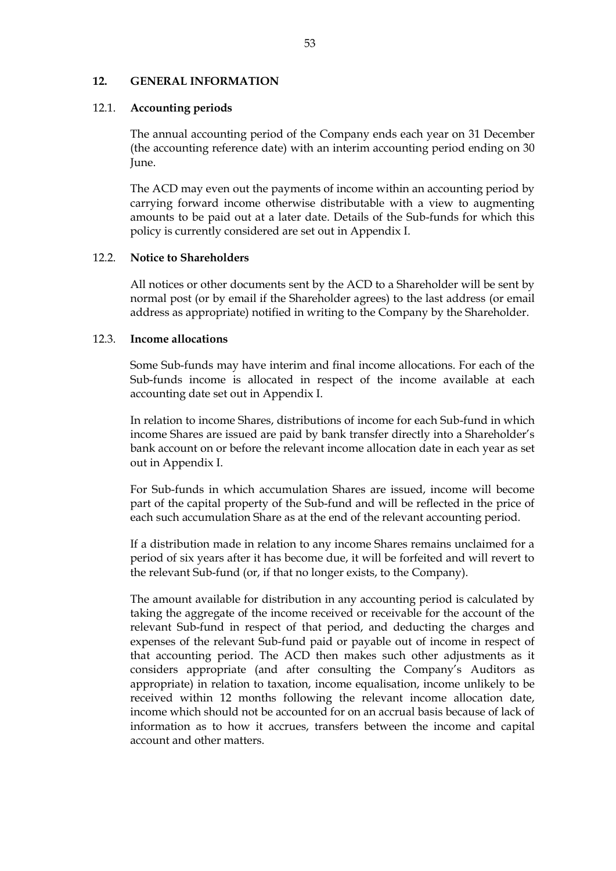#### **12. GENERAL INFORMATION**

#### 12.1. **Accounting periods**

The annual accounting period of the Company ends each year on 31 December (the accounting reference date) with an interim accounting period ending on 30 June.

The ACD may even out the payments of income within an accounting period by carrying forward income otherwise distributable with a view to augmenting amounts to be paid out at a later date. Details of the Sub-funds for which this policy is currently considered are set out in Appendix I.

#### 12.2. **Notice to Shareholders**

All notices or other documents sent by the ACD to a Shareholder will be sent by normal post (or by email if the Shareholder agrees) to the last address (or email address as appropriate) notified in writing to the Company by the Shareholder.

#### 12.3. **Income allocations**

Some Sub-funds may have interim and final income allocations. For each of the Sub-funds income is allocated in respect of the income available at each accounting date set out in Appendix I.

In relation to income Shares, distributions of income for each Sub-fund in which income Shares are issued are paid by bank transfer directly into a Shareholder's bank account on or before the relevant income allocation date in each year as set out in Appendix I.

For Sub-funds in which accumulation Shares are issued, income will become part of the capital property of the Sub-fund and will be reflected in the price of each such accumulation Share as at the end of the relevant accounting period.

If a distribution made in relation to any income Shares remains unclaimed for a period of six years after it has become due, it will be forfeited and will revert to the relevant Sub-fund (or, if that no longer exists, to the Company).

The amount available for distribution in any accounting period is calculated by taking the aggregate of the income received or receivable for the account of the relevant Sub-fund in respect of that period, and deducting the charges and expenses of the relevant Sub-fund paid or payable out of income in respect of that accounting period. The ACD then makes such other adjustments as it considers appropriate (and after consulting the Company's Auditors as appropriate) in relation to taxation, income equalisation, income unlikely to be received within 12 months following the relevant income allocation date, income which should not be accounted for on an accrual basis because of lack of information as to how it accrues, transfers between the income and capital account and other matters.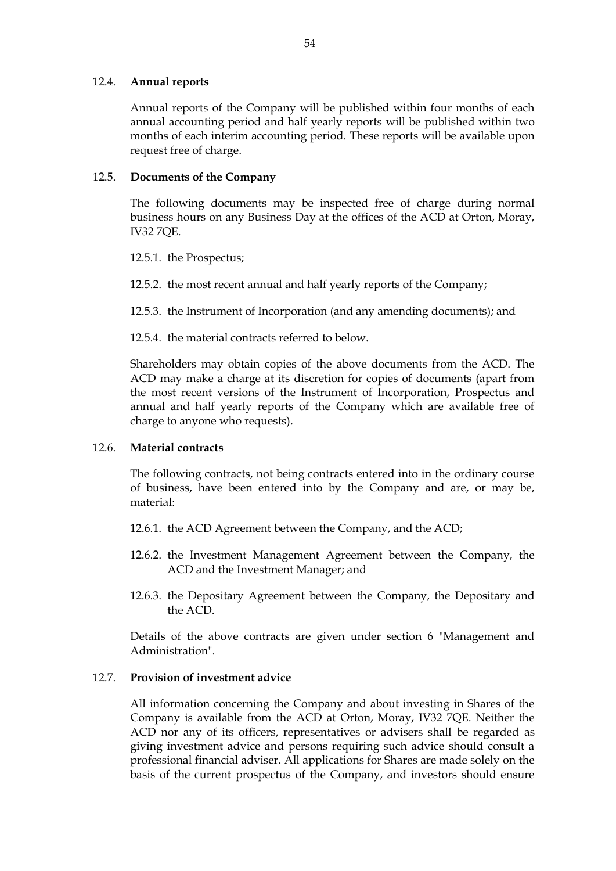## 12.4. **Annual reports**

Annual reports of the Company will be published within four months of each annual accounting period and half yearly reports will be published within two months of each interim accounting period. These reports will be available upon request free of charge.

## 12.5. **Documents of the Company**

The following documents may be inspected free of charge during normal business hours on any Business Day at the offices of the ACD at Orton, Moray, IV32 7QE.

12.5.1. the Prospectus;

12.5.2. the most recent annual and half yearly reports of the Company;

12.5.3. the Instrument of Incorporation (and any amending documents); and

12.5.4. the material contracts referred to below.

Shareholders may obtain copies of the above documents from the ACD. The ACD may make a charge at its discretion for copies of documents (apart from the most recent versions of the Instrument of Incorporation, Prospectus and annual and half yearly reports of the Company which are available free of charge to anyone who requests).

#### 12.6. **Material contracts**

The following contracts, not being contracts entered into in the ordinary course of business, have been entered into by the Company and are, or may be, material:

- 12.6.1. the ACD Agreement between the Company, and the ACD;
- 12.6.2. the Investment Management Agreement between the Company, the ACD and the Investment Manager; and
- 12.6.3. the Depositary Agreement between the Company, the Depositary and the ACD.

Details of the above contracts are given under section 6 "Management and Administration".

# 12.7. **Provision of investment advice**

All information concerning the Company and about investing in Shares of the Company is available from the ACD at Orton, Moray, IV32 7QE. Neither the ACD nor any of its officers, representatives or advisers shall be regarded as giving investment advice and persons requiring such advice should consult a professional financial adviser. All applications for Shares are made solely on the basis of the current prospectus of the Company, and investors should ensure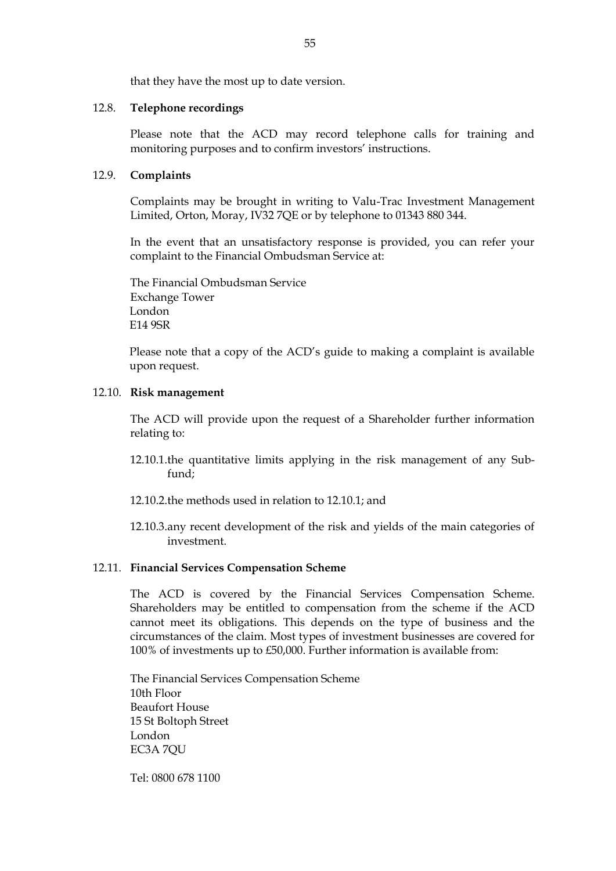that they have the most up to date version.

## 12.8. **Telephone recordings**

Please note that the ACD may record telephone calls for training and monitoring purposes and to confirm investors' instructions.

# 12.9. **Complaints**

Complaints may be brought in writing to Valu-Trac Investment Management Limited, Orton, Moray, IV32 7QE or by telephone to 01343 880 344.

In the event that an unsatisfactory response is provided, you can refer your complaint to the Financial Ombudsman Service at:

The Financial Ombudsman Service Exchange Tower London E14 9SR

Please note that a copy of the ACD's guide to making a complaint is available upon request.

## 12.10. **Risk management**

The ACD will provide upon the request of a Shareholder further information relating to:

- 12.10.1.the quantitative limits applying in the risk management of any Subfund;
- 12.10.2.the methods used in relation to 12.10.1; and
- 12.10.3.any recent development of the risk and yields of the main categories of investment.

# 12.11. **Financial Services Compensation Scheme**

The ACD is covered by the Financial Services Compensation Scheme. Shareholders may be entitled to compensation from the scheme if the ACD cannot meet its obligations. This depends on the type of business and the circumstances of the claim. Most types of investment businesses are covered for 100% of investments up to £50,000. Further information is available from:

The Financial Services Compensation Scheme 10th Floor Beaufort House 15 St Boltoph Street London EC3A 7QU

Tel: 0800 678 1100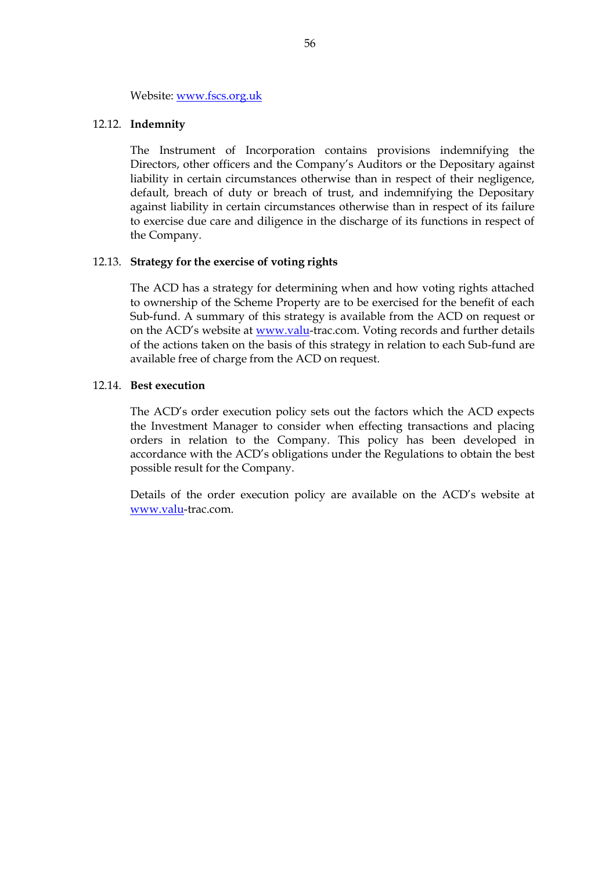#### Website: [www.fscs.org.uk](http://www.fscs.org.uk/)

#### 12.12. **Indemnity**

The Instrument of Incorporation contains provisions indemnifying the Directors, other officers and the Company's Auditors or the Depositary against liability in certain circumstances otherwise than in respect of their negligence, default, breach of duty or breach of trust, and indemnifying the Depositary against liability in certain circumstances otherwise than in respect of its failure to exercise due care and diligence in the discharge of its functions in respect of the Company.

#### 12.13. **Strategy for the exercise of voting rights**

The ACD has a strategy for determining when and how voting rights attached to ownership of the Scheme Property are to be exercised for the benefit of each Sub-fund. A summary of this strategy is available from the ACD on request or on the ACD's website at [www.valu-](http://www.valu/)trac.com. Voting records and further details of the actions taken on the basis of this strategy in relation to each Sub-fund are available free of charge from the ACD on request.

#### 12.14. **Best execution**

The ACD's order execution policy sets out the factors which the ACD expects the Investment Manager to consider when effecting transactions and placing orders in relation to the Company. This policy has been developed in accordance with the ACD's obligations under the Regulations to obtain the best possible result for the Company.

Details of the order execution policy are available on the ACD's website at [www.valu-](http://www.valu/)trac.com.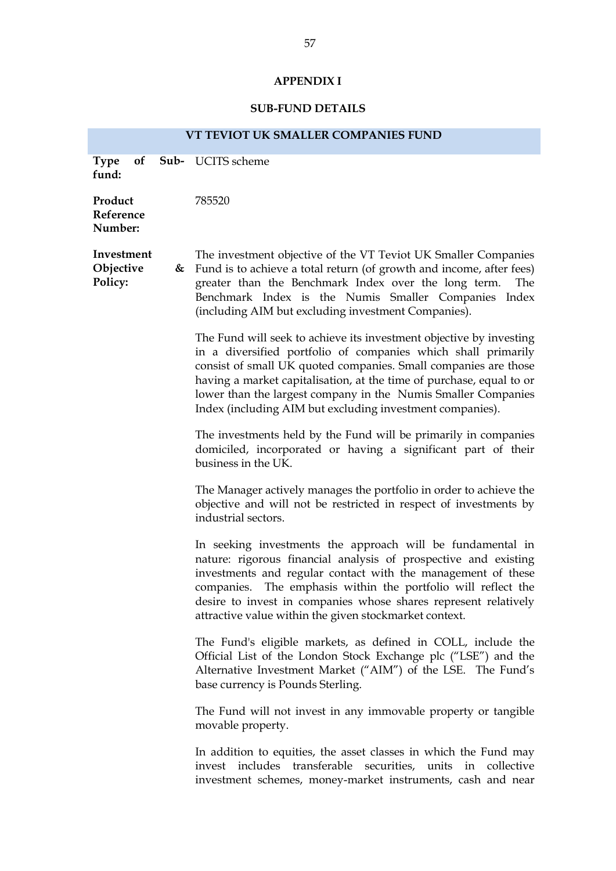# **APPENDIX I**

# **SUB-FUND DETAILS**

| VT TEVIOT UK SMALLER COMPANIES FUND |  |                                                                                                                                                                                                                                                                                                                                                                                                               |  |  |
|-------------------------------------|--|---------------------------------------------------------------------------------------------------------------------------------------------------------------------------------------------------------------------------------------------------------------------------------------------------------------------------------------------------------------------------------------------------------------|--|--|
| <b>Type</b><br>of<br>fund:          |  | <b>Sub-</b> UCITS scheme                                                                                                                                                                                                                                                                                                                                                                                      |  |  |
| Product<br>Reference<br>Number:     |  | 785520                                                                                                                                                                                                                                                                                                                                                                                                        |  |  |
| Investment<br>Objective<br>Policy:  |  | The investment objective of the VT Teviot UK Smaller Companies<br>$\&$ Fund is to achieve a total return (of growth and income, after fees)<br>greater than the Benchmark Index over the long term.<br>The<br>Benchmark Index is the Numis Smaller Companies Index<br>(including AIM but excluding investment Companies).                                                                                     |  |  |
|                                     |  | The Fund will seek to achieve its investment objective by investing<br>in a diversified portfolio of companies which shall primarily<br>consist of small UK quoted companies. Small companies are those<br>having a market capitalisation, at the time of purchase, equal to or<br>lower than the largest company in the Numis Smaller Companies<br>Index (including AIM but excluding investment companies). |  |  |
|                                     |  | The investments held by the Fund will be primarily in companies<br>domiciled, incorporated or having a significant part of their<br>business in the UK.                                                                                                                                                                                                                                                       |  |  |
|                                     |  | The Manager actively manages the portfolio in order to achieve the<br>objective and will not be restricted in respect of investments by<br>industrial sectors.                                                                                                                                                                                                                                                |  |  |
|                                     |  | In seeking investments the approach will be fundamental in<br>nature: rigorous financial analysis of prospective and existing<br>investments and regular contact with the management of these<br>companies. The emphasis within the portfolio will reflect the<br>desire to invest in companies whose shares represent relatively<br>attractive value within the given stockmarket context.                   |  |  |
|                                     |  | The Fund's eligible markets, as defined in COLL, include the<br>Official List of the London Stock Exchange plc ("LSE") and the<br>Alternative Investment Market ("AIM") of the LSE. The Fund's<br>base currency is Pounds Sterling.                                                                                                                                                                           |  |  |
|                                     |  | The Fund will not invest in any immovable property or tangible<br>movable property.                                                                                                                                                                                                                                                                                                                           |  |  |
|                                     |  | In addition to equities, the asset classes in which the Fund may<br>transferable<br>invest includes<br>securities, units in<br>collective<br>investment schemes, money-market instruments, cash and near                                                                                                                                                                                                      |  |  |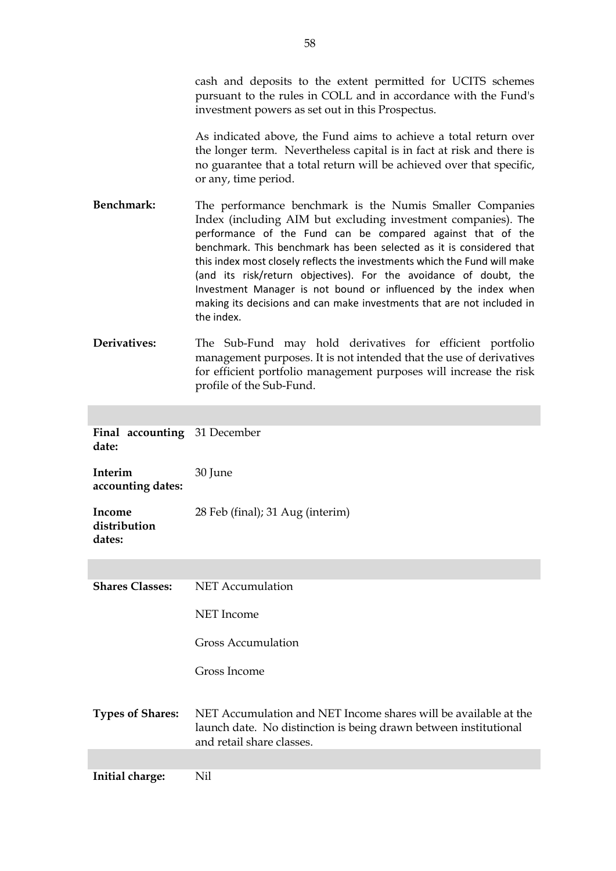cash and deposits to the extent permitted for UCITS schemes pursuant to the rules in COLL and in accordance with the Fund's investment powers as set out in this Prospectus.

As indicated above, the Fund aims to achieve a total return over the longer term. Nevertheless capital is in fact at risk and there is no guarantee that a total return will be achieved over that specific, or any, time period.

- **Benchmark:** The performance benchmark is the Numis Smaller Companies Index (including AIM but excluding investment companies). The performance of the Fund can be compared against that of the benchmark. This benchmark has been selected as it is considered that this index most closely reflects the investments which the Fund will make (and its risk/return objectives). For the avoidance of doubt, the Investment Manager is not bound or influenced by the index when making its decisions and can make investments that are not included in the index.
- **Derivatives:** The Sub-Fund may hold derivatives for efficient portfolio management purposes. It is not intended that the use of derivatives for efficient portfolio management purposes will increase the risk profile of the Sub-Fund.

**Final accounting**  31 December **date:**

**Interim accounting dates:** 30 June

**Income distribution dates:** 28 Feb (final); 31 Aug (interim)

| <b>Shares Classes:</b>  | NET Accumulation                                                                                                                                                 |
|-------------------------|------------------------------------------------------------------------------------------------------------------------------------------------------------------|
|                         | NET Income                                                                                                                                                       |
|                         | <b>Gross Accumulation</b>                                                                                                                                        |
|                         | Gross Income                                                                                                                                                     |
| <b>Types of Shares:</b> | NET Accumulation and NET Income shares will be available at the<br>launch date. No distinction is being drawn between institutional<br>and retail share classes. |
|                         |                                                                                                                                                                  |

**Initial charge:** Nil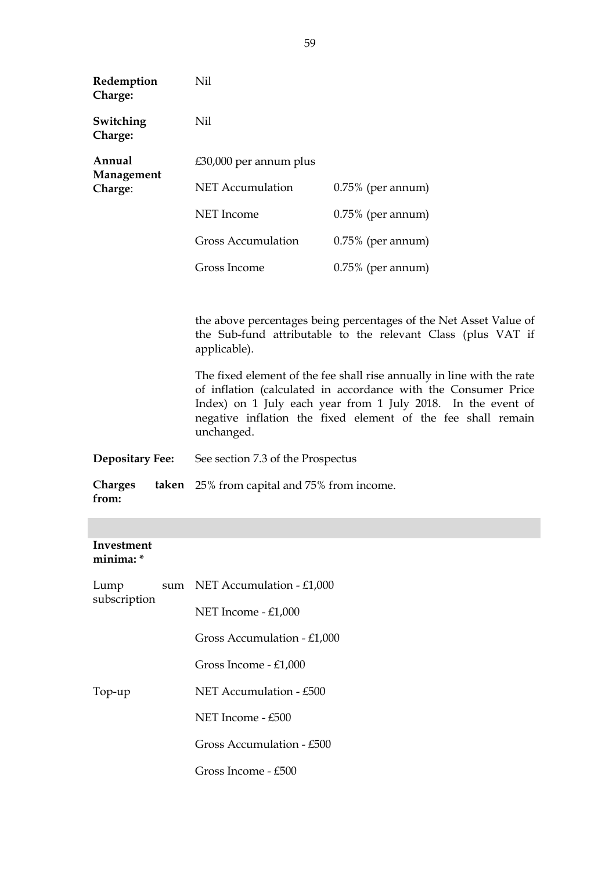| Redemption<br>Charge:            | Nil                                                                                                                                                                                                                                                                                    |                      |  |
|----------------------------------|----------------------------------------------------------------------------------------------------------------------------------------------------------------------------------------------------------------------------------------------------------------------------------------|----------------------|--|
| Switching<br>Charge:             | Nil                                                                                                                                                                                                                                                                                    |                      |  |
| Annual                           | $£30,000$ per annum plus                                                                                                                                                                                                                                                               |                      |  |
| Management<br>Charge:            | <b>NET</b> Accumulation                                                                                                                                                                                                                                                                | $0.75\%$ (per annum) |  |
|                                  | <b>NET</b> Income                                                                                                                                                                                                                                                                      | $0.75\%$ (per annum) |  |
|                                  | <b>Gross Accumulation</b>                                                                                                                                                                                                                                                              | $0.75\%$ (per annum) |  |
|                                  | Gross Income                                                                                                                                                                                                                                                                           | $0.75\%$ (per annum) |  |
|                                  |                                                                                                                                                                                                                                                                                        |                      |  |
|                                  | the above percentages being percentages of the Net Asset Value of<br>the Sub-fund attributable to the relevant Class (plus VAT if<br>applicable).                                                                                                                                      |                      |  |
|                                  | The fixed element of the fee shall rise annually in line with the rate<br>of inflation (calculated in accordance with the Consumer Price<br>Index) on 1 July each year from 1 July 2018. In the event of<br>negative inflation the fixed element of the fee shall remain<br>unchanged. |                      |  |
| <b>Depositary Fee:</b>           | See section 7.3 of the Prospectus                                                                                                                                                                                                                                                      |                      |  |
| <b>Charges</b><br>taken<br>from: | 25% from capital and 75% from income.                                                                                                                                                                                                                                                  |                      |  |

# **Investment minima: \***

| Lump         | sum | NET Accumulation - $£1,000$ |
|--------------|-----|-----------------------------|
| subscription |     | NET Income $-£1,000$        |
|              |     | Gross Accumulation - £1,000 |
|              |     | Gross Income - £1,000       |
| Top-up       |     | NET Accumulation - £500     |
|              |     | NET Income $-$ £500         |
|              |     | Gross Accumulation - £500   |
|              |     | Gross Income - £500         |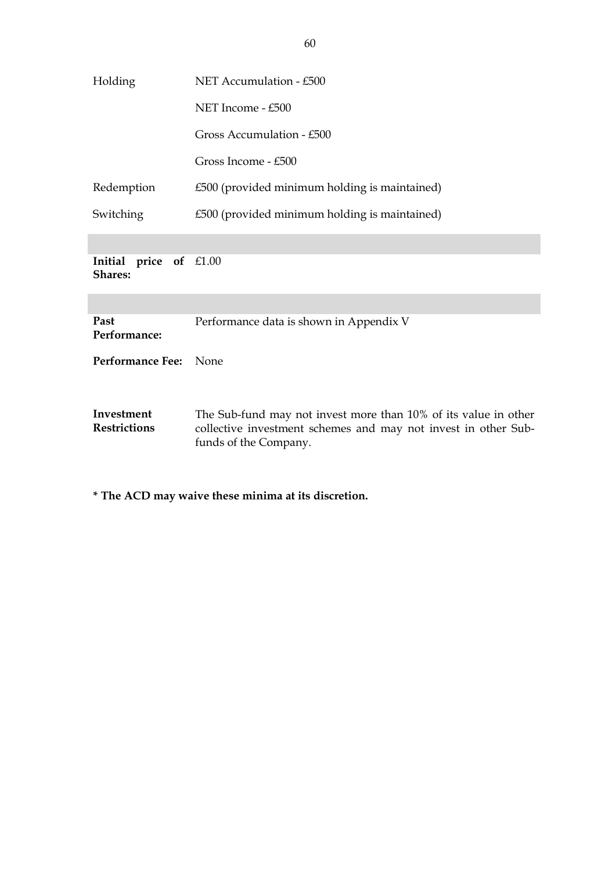| Holding                                  | NET Accumulation - £500                                                                                                                                    |  |
|------------------------------------------|------------------------------------------------------------------------------------------------------------------------------------------------------------|--|
|                                          | NET Income - £500                                                                                                                                          |  |
|                                          | Gross Accumulation - £500                                                                                                                                  |  |
|                                          | Gross Income - £500                                                                                                                                        |  |
| Redemption                               | £500 (provided minimum holding is maintained)                                                                                                              |  |
| Switching                                | £500 (provided minimum holding is maintained)                                                                                                              |  |
|                                          |                                                                                                                                                            |  |
| Initial price of £1.00<br><b>Shares:</b> |                                                                                                                                                            |  |
|                                          |                                                                                                                                                            |  |
| Past<br>Performance:                     | Performance data is shown in Appendix V                                                                                                                    |  |
| Performance Fee: None                    |                                                                                                                                                            |  |
|                                          |                                                                                                                                                            |  |
| Investment<br><b>Restrictions</b>        | The Sub-fund may not invest more than 10% of its value in other<br>collective investment schemes and may not invest in other Sub-<br>funds of the Company. |  |

**\* The ACD may waive these minima at its discretion.**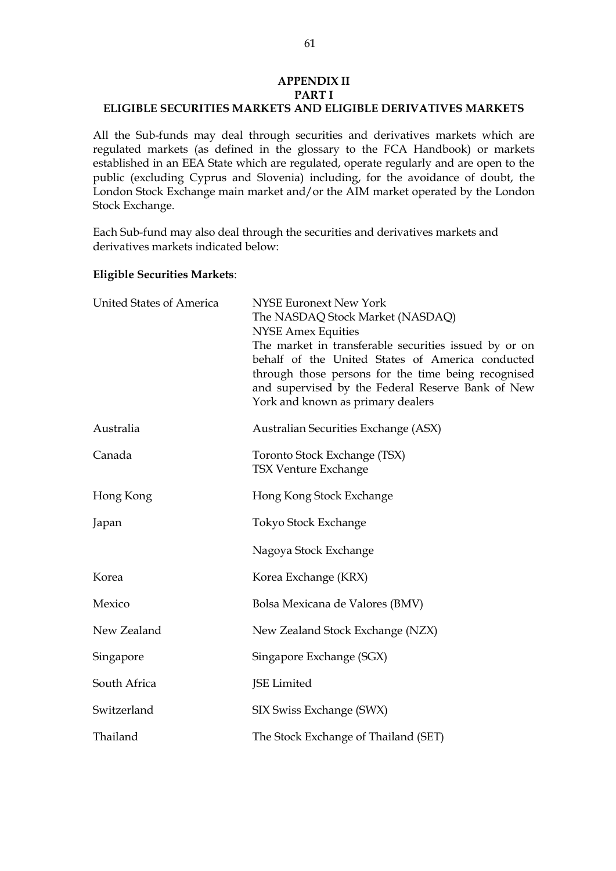# **APPENDIX II PART I ELIGIBLE SECURITIES MARKETS AND ELIGIBLE DERIVATIVES MARKETS**

All the Sub-funds may deal through securities and derivatives markets which are regulated markets (as defined in the glossary to the FCA Handbook) or markets established in an EEA State which are regulated, operate regularly and are open to the public (excluding Cyprus and Slovenia) including, for the avoidance of doubt, the London Stock Exchange main market and/or the AIM market operated by the London Stock Exchange.

Each Sub-fund may also deal through the securities and derivatives markets and derivatives markets indicated below:

## **Eligible Securities Markets**:

| United States of America | <b>NYSE Euronext New York</b><br>The NASDAQ Stock Market (NASDAQ)<br><b>NYSE Amex Equities</b><br>The market in transferable securities issued by or on<br>behalf of the United States of America conducted<br>through those persons for the time being recognised<br>and supervised by the Federal Reserve Bank of New<br>York and known as primary dealers |
|--------------------------|--------------------------------------------------------------------------------------------------------------------------------------------------------------------------------------------------------------------------------------------------------------------------------------------------------------------------------------------------------------|
| Australia                | Australian Securities Exchange (ASX)                                                                                                                                                                                                                                                                                                                         |
| Canada                   | Toronto Stock Exchange (TSX)<br><b>TSX Venture Exchange</b>                                                                                                                                                                                                                                                                                                  |
| Hong Kong                | Hong Kong Stock Exchange                                                                                                                                                                                                                                                                                                                                     |
| Japan                    | Tokyo Stock Exchange                                                                                                                                                                                                                                                                                                                                         |
|                          | Nagoya Stock Exchange                                                                                                                                                                                                                                                                                                                                        |
| Korea                    | Korea Exchange (KRX)                                                                                                                                                                                                                                                                                                                                         |
| Mexico                   | Bolsa Mexicana de Valores (BMV)                                                                                                                                                                                                                                                                                                                              |
| New Zealand              | New Zealand Stock Exchange (NZX)                                                                                                                                                                                                                                                                                                                             |
| Singapore                | Singapore Exchange (SGX)                                                                                                                                                                                                                                                                                                                                     |
| South Africa             | JSE Limited                                                                                                                                                                                                                                                                                                                                                  |
| Switzerland              | SIX Swiss Exchange (SWX)                                                                                                                                                                                                                                                                                                                                     |
| Thailand                 | The Stock Exchange of Thailand (SET)                                                                                                                                                                                                                                                                                                                         |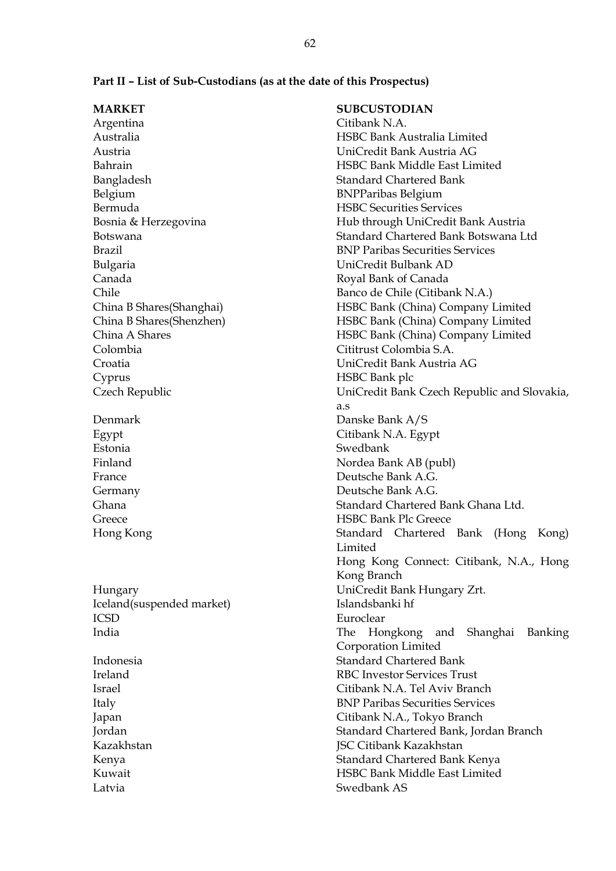| <b>MARKET</b>             | <b>SUBCUSTODIAN</b>                         |
|---------------------------|---------------------------------------------|
| Argentina                 | Citibank N.A.                               |
| Australia                 | HSBC Bank Australia Limited                 |
| Austria                   | UniCredit Bank Austria AG                   |
| Bahrain                   | HSBC Bank Middle East Limited               |
| Bangladesh                | <b>Standard Chartered Bank</b>              |
| Belgium                   | <b>BNPParibas Belgium</b>                   |
| Bermuda                   | <b>HSBC Securities Services</b>             |
| Bosnia & Herzegovina      | Hub through UniCredit Bank Austria          |
| <b>Botswana</b>           | Standard Chartered Bank Botswana Ltd        |
| Brazil                    | <b>BNP Paribas Securities Services</b>      |
| Bulgaria                  | UniCredit Bulbank AD                        |
| Canada                    | Royal Bank of Canada                        |
| Chile                     | Banco de Chile (Citibank N.A.)              |
| China B Shares (Shanghai) | HSBC Bank (China) Company Limited           |
| China B Shares (Shenzhen) | HSBC Bank (China) Company Limited           |
| China A Shares            | HSBC Bank (China) Company Limited           |
| Colombia                  | Cititrust Colombia S.A.                     |
| Croatia                   | UniCredit Bank Austria AG                   |
| Cyprus                    | HSBC Bank plc                               |
| Czech Republic            | UniCredit Bank Czech Republic and Slovakia, |
|                           | a.s                                         |
| Denmark                   | Danske Bank A/S                             |
| Egypt                     | Citibank N.A. Egypt                         |
| Estonia                   | Swedbank                                    |
| Finland                   | Nordea Bank AB (publ)                       |
| France                    | Deutsche Bank A.G.                          |
| Germany                   | Deutsche Bank A.G.                          |
| Ghana                     | Standard Chartered Bank Ghana Ltd.          |
| Greece                    | <b>HSBC Bank Plc Greece</b>                 |
| Hong Kong                 | Standard Chartered Bank (Hong<br>Kong)      |
|                           | Limited                                     |
|                           | Hong Kong Connect: Citibank, N.A., Hong     |
|                           | Kong Branch                                 |
| Hungary                   | UniCredit Bank Hungary Zrt.                 |
| Iceland(suspended market) | Islandsbanki hf                             |
| <b>ICSD</b>               | Euroclear                                   |
| India                     | and Shanghai<br>The<br>Hongkong<br>Banking  |
|                           | Corporation Limited                         |
| Indonesia                 | <b>Standard Chartered Bank</b>              |
| Ireland                   | <b>RBC Investor Services Trust</b>          |
| <b>Israel</b>             | Citibank N.A. Tel Aviv Branch               |
| Italy                     | <b>BNP Paribas Securities Services</b>      |
| Japan                     | Citibank N.A., Tokyo Branch                 |
| Jordan                    | Standard Chartered Bank, Jordan Branch      |
|                           |                                             |

Kazakhstan **JSC Citibank Kazakhstan** 

Latvia Swedbank AS

Kenya Standard Chartered Bank Kenya Kuwait HSBC Bank Middle East Limited

# **Part II – List of Sub-Custodians (as at the date of this Prospectus)**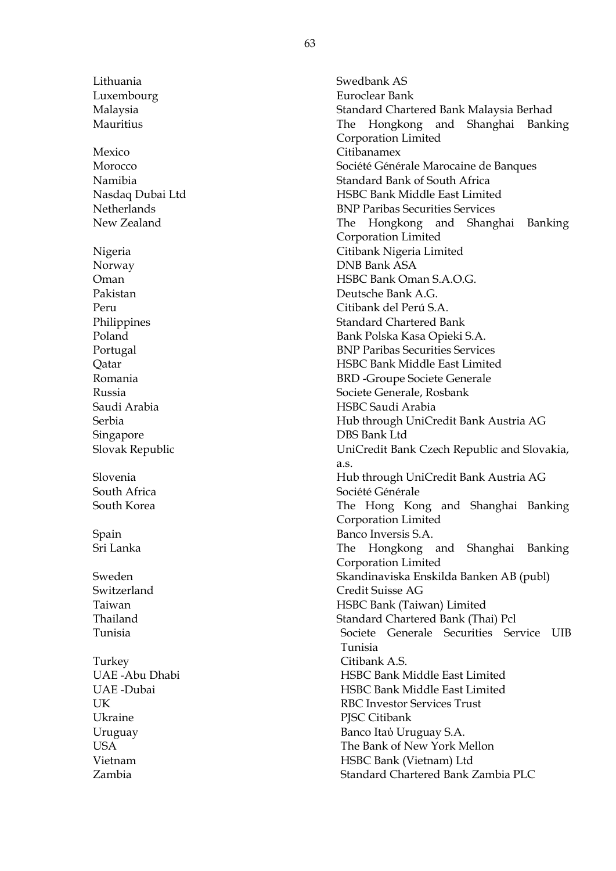Lithuania Swedbank AS

Mexico Citibanamex

Singapore DBS Bank Ltd

Turkey Citibank A.S. Ukraine PJSC Citibank

Luxembourg Euroclear Bank Malaysia Standard Chartered Bank Malaysia Berhad Mauritius The Hongkong and Shanghai Banking Corporation Limited Morocco Société Générale Marocaine de Banques Namibia Standard Bank of South Africa Nasdaq Dubai Ltd HSBC Bank Middle East Limited Netherlands BNP Paribas Securities Services New Zealand The Hongkong and Shanghai Banking Corporation Limited Nigeria Citibank Nigeria Limited Norway DNB Bank ASA Oman HSBC Bank Oman S.A.O.G. Pakistan Deutsche Bank A.G. Peru Citibank del Perú S.A. Philippines Standard Chartered Bank Poland Bank Polska Kasa Opieki S.A. Portugal BNP Paribas Securities Services Qatar HSBC Bank Middle East Limited Romania BRD -Groupe Societe Generale Russia Societe Generale, Rosbank Saudi Arabia HSBC Saudi Arabia Serbia Hub through UniCredit Bank Austria AG Slovak Republic UniCredit Bank Czech Republic and Slovakia, a.s. Slovenia Hub through UniCredit Bank Austria AG South Africa **South Africa** Société Générale South Korea The Hong Kong and Shanghai Banking Corporation Limited Spain Banco Inversis S.A. Sri Lanka The Hongkong and Shanghai Banking Corporation Limited Sweden Skandinaviska Enskilda Banken AB (publ) Switzerland Credit Suisse AG Taiwan HSBC Bank (Taiwan) Limited Thailand Standard Chartered Bank (Thai) Pcl Tunisia Societe Generale Securities Service UIB Tunisia UAE -Abu Dhabi HSBC Bank Middle East Limited UAE -Dubai HSBC Bank Middle East Limited UK RBC Investor Services Trust Uruguay Banco Itaύ Uruguay S.A. USA The Bank of New York Mellon Vietnam HSBC Bank (Vietnam) Ltd Zambia Standard Chartered Bank Zambia PLC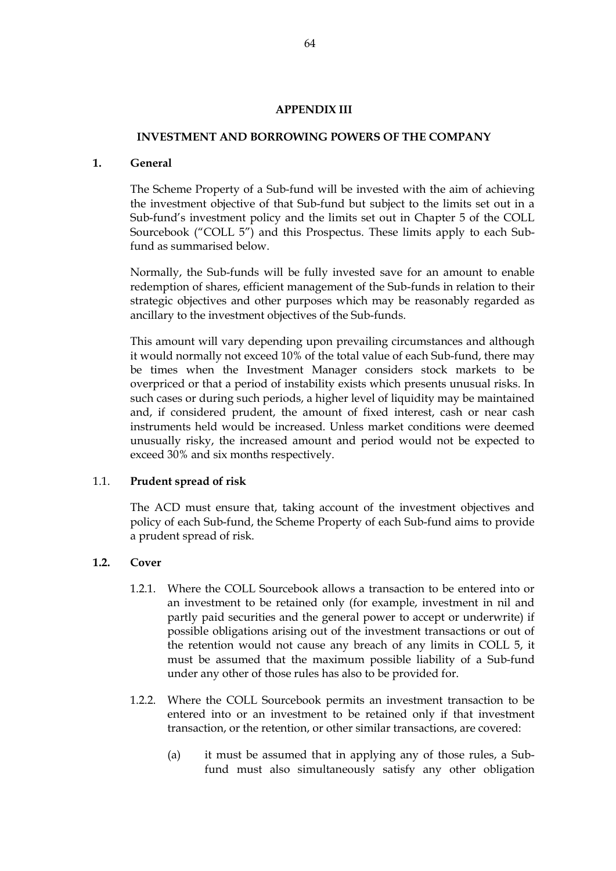## **APPENDIX III**

#### **INVESTMENT AND BORROWING POWERS OF THE COMPANY**

#### **1. General**

The Scheme Property of a Sub-fund will be invested with the aim of achieving the investment objective of that Sub-fund but subject to the limits set out in a Sub-fund's investment policy and the limits set out in Chapter 5 of the COLL Sourcebook ("COLL 5") and this Prospectus. These limits apply to each Subfund as summarised below.

Normally, the Sub-funds will be fully invested save for an amount to enable redemption of shares, efficient management of the Sub-funds in relation to their strategic objectives and other purposes which may be reasonably regarded as ancillary to the investment objectives of the Sub-funds.

This amount will vary depending upon prevailing circumstances and although it would normally not exceed 10% of the total value of each Sub-fund, there may be times when the Investment Manager considers stock markets to be overpriced or that a period of instability exists which presents unusual risks. In such cases or during such periods, a higher level of liquidity may be maintained and, if considered prudent, the amount of fixed interest, cash or near cash instruments held would be increased. Unless market conditions were deemed unusually risky, the increased amount and period would not be expected to exceed 30% and six months respectively.

# 1.1. **Prudent spread of risk**

The ACD must ensure that, taking account of the investment objectives and policy of each Sub-fund, the Scheme Property of each Sub-fund aims to provide a prudent spread of risk.

# **1.2. Cover**

- 1.2.1. Where the COLL Sourcebook allows a transaction to be entered into or an investment to be retained only (for example, investment in nil and partly paid securities and the general power to accept or underwrite) if possible obligations arising out of the investment transactions or out of the retention would not cause any breach of any limits in COLL 5, it must be assumed that the maximum possible liability of a Sub-fund under any other of those rules has also to be provided for.
- 1.2.2. Where the COLL Sourcebook permits an investment transaction to be entered into or an investment to be retained only if that investment transaction, or the retention, or other similar transactions, are covered:
	- (a) it must be assumed that in applying any of those rules, a Subfund must also simultaneously satisfy any other obligation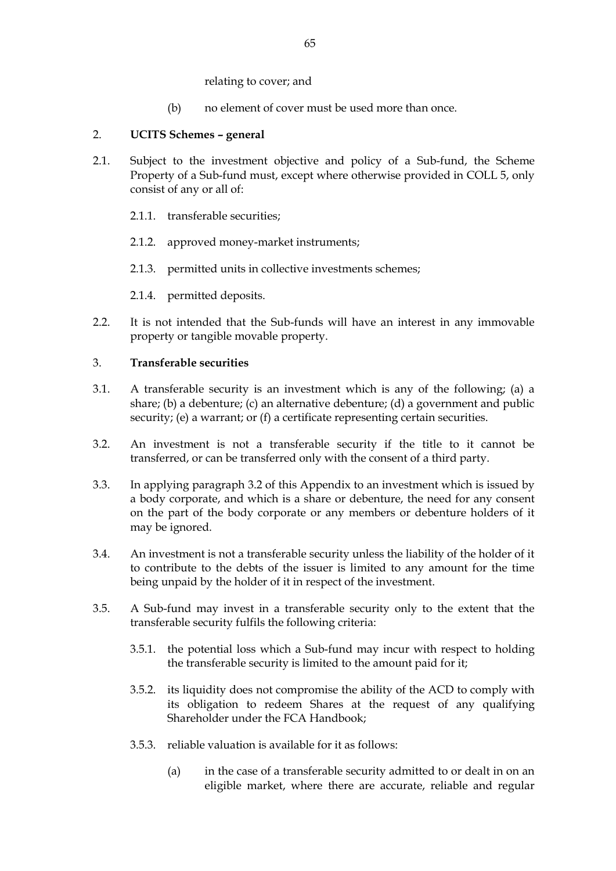relating to cover; and

(b) no element of cover must be used more than once.

# 2. **UCITS Schemes – general**

- 2.1. Subject to the investment objective and policy of a Sub-fund, the Scheme Property of a Sub-fund must, except where otherwise provided in COLL 5, only consist of any or all of:
	- 2.1.1. transferable securities;
	- 2.1.2. approved money-market instruments;
	- 2.1.3. permitted units in collective investments schemes;
	- 2.1.4. permitted deposits.
- 2.2. It is not intended that the Sub-funds will have an interest in any immovable property or tangible movable property.

# 3. **Transferable securities**

- 3.1. A transferable security is an investment which is any of the following; (a) a share; (b) a debenture; (c) an alternative debenture; (d) a government and public security; (e) a warrant; or (f) a certificate representing certain securities.
- <span id="page-64-0"></span>3.2. An investment is not a transferable security if the title to it cannot be transferred, or can be transferred only with the consent of a third party.
- 3.3. In applying paragraph [3.2](#page-64-0) of this Appendix to an investment which is issued by a body corporate, and which is a share or debenture, the need for any consent on the part of the body corporate or any members or debenture holders of it may be ignored.
- 3.4. An investment is not a transferable security unless the liability of the holder of it to contribute to the debts of the issuer is limited to any amount for the time being unpaid by the holder of it in respect of the investment.
- <span id="page-64-1"></span>3.5. A Sub-fund may invest in a transferable security only to the extent that the transferable security fulfils the following criteria:
	- 3.5.1. the potential loss which a Sub-fund may incur with respect to holding the transferable security is limited to the amount paid for it;
	- 3.5.2. its liquidity does not compromise the ability of the ACD to comply with its obligation to redeem Shares at the request of any qualifying Shareholder under the FCA Handbook;
	- 3.5.3. reliable valuation is available for it as follows:
		- (a) in the case of a transferable security admitted to or dealt in on an eligible market, where there are accurate, reliable and regular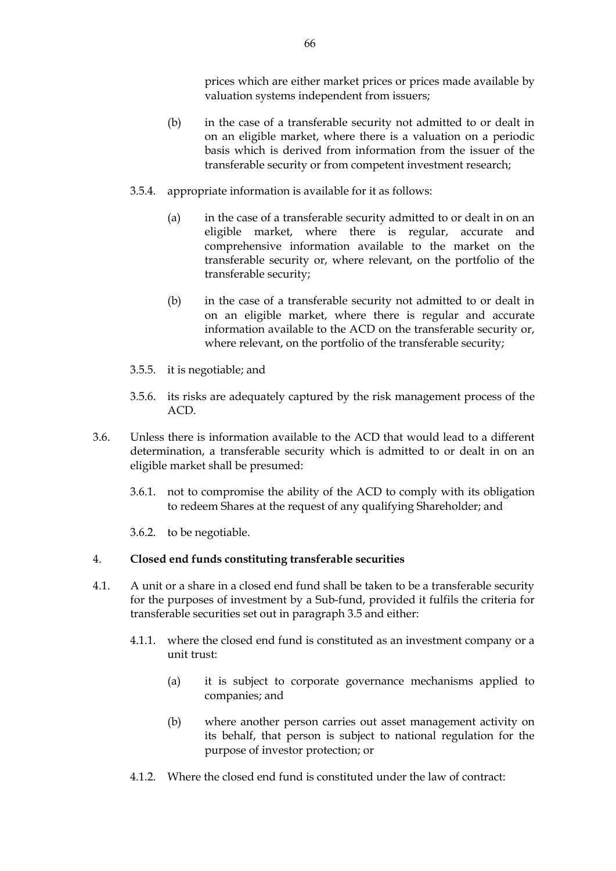prices which are either market prices or prices made available by valuation systems independent from issuers;

- (b) in the case of a transferable security not admitted to or dealt in on an eligible market, where there is a valuation on a periodic basis which is derived from information from the issuer of the transferable security or from competent investment research;
- 3.5.4. appropriate information is available for it as follows:
	- (a) in the case of a transferable security admitted to or dealt in on an eligible market, where there is regular, accurate and comprehensive information available to the market on the transferable security or, where relevant, on the portfolio of the transferable security;
	- (b) in the case of a transferable security not admitted to or dealt in on an eligible market, where there is regular and accurate information available to the ACD on the transferable security or, where relevant, on the portfolio of the transferable security;
- 3.5.5. it is negotiable; and
- 3.5.6. its risks are adequately captured by the risk management process of the ACD.
- 3.6. Unless there is information available to the ACD that would lead to a different determination, a transferable security which is admitted to or dealt in on an eligible market shall be presumed:
	- 3.6.1. not to compromise the ability of the ACD to comply with its obligation to redeem Shares at the request of any qualifying Shareholder; and
	- 3.6.2. to be negotiable.

# 4. **Closed end funds constituting transferable securities**

- 4.1. A unit or a share in a closed end fund shall be taken to be a transferable security for the purposes of investment by a Sub-fund, provided it fulfils the criteria for transferable securities set out in paragraph [3.5](#page-64-1) and either:
	- 4.1.1. where the closed end fund is constituted as an investment company or a unit trust:
		- (a) it is subject to corporate governance mechanisms applied to companies; and
		- (b) where another person carries out asset management activity on its behalf, that person is subject to national regulation for the purpose of investor protection; or
	- 4.1.2. Where the closed end fund is constituted under the law of contract: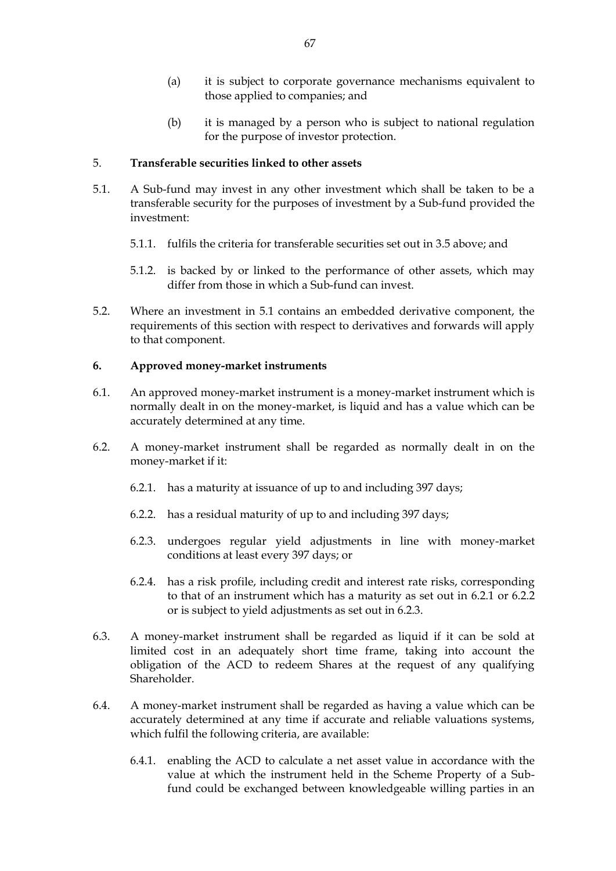- (a) it is subject to corporate governance mechanisms equivalent to those applied to companies; and
- (b) it is managed by a person who is subject to national regulation for the purpose of investor protection.

## 5. **Transferable securities linked to other assets**

- <span id="page-66-0"></span>5.1. A Sub-fund may invest in any other investment which shall be taken to be a transferable security for the purposes of investment by a Sub-fund provided the investment:
	- 5.1.1. fulfils the criteria for transferable securities set out in [3.5](#page-64-1) above; and
	- 5.1.2. is backed by or linked to the performance of other assets, which may differ from those in which a Sub-fund can invest.
- 5.2. Where an investment in [5.1](#page-66-0) contains an embedded derivative component, the requirements of this section with respect to derivatives and forwards will apply to that component.

#### **6. Approved money-market instruments**

- 6.1. An approved money-market instrument is a money-market instrument which is normally dealt in on the money-market, is liquid and has a value which can be accurately determined at any time.
- <span id="page-66-3"></span><span id="page-66-2"></span><span id="page-66-1"></span>6.2. A money-market instrument shall be regarded as normally dealt in on the money-market if it:
	- 6.2.1. has a maturity at issuance of up to and including 397 days;
	- 6.2.2. has a residual maturity of up to and including 397 days;
	- 6.2.3. undergoes regular yield adjustments in line with money-market conditions at least every 397 days; or
	- 6.2.4. has a risk profile, including credit and interest rate risks, corresponding to that of an instrument which has a maturity as set out in [6.2.1](#page-66-1) or [6.2.2](#page-66-2) or is subject to yield adjustments as set out in [6.2.3.](#page-66-3)
- 6.3. A money-market instrument shall be regarded as liquid if it can be sold at limited cost in an adequately short time frame, taking into account the obligation of the ACD to redeem Shares at the request of any qualifying Shareholder.
- 6.4. A money-market instrument shall be regarded as having a value which can be accurately determined at any time if accurate and reliable valuations systems, which fulfil the following criteria, are available:
	- 6.4.1. enabling the ACD to calculate a net asset value in accordance with the value at which the instrument held in the Scheme Property of a Subfund could be exchanged between knowledgeable willing parties in an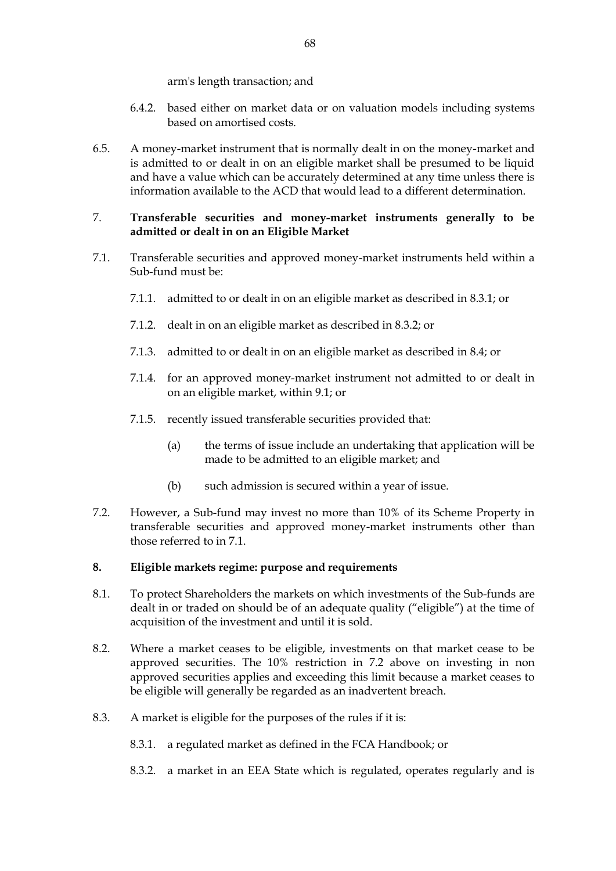arm's length transaction; and

- 6.4.2. based either on market data or on valuation models including systems based on amortised costs.
- 6.5. A money-market instrument that is normally dealt in on the money-market and is admitted to or dealt in on an eligible market shall be presumed to be liquid and have a value which can be accurately determined at any time unless there is information available to the ACD that would lead to a different determination.

## 7. **Transferable securities and money-market instruments generally to be admitted or dealt in on an Eligible Market**

- <span id="page-67-1"></span>7.1. Transferable securities and approved money-market instruments held within a Sub-fund must be:
	- 7.1.1. admitted to or dealt in on an eligible market as described in [8.3.1;](#page-67-0) or
	- 7.1.2. dealt in on an eligible market as described in 8.3.2; or
	- 7.1.3. admitted to or dealt in on an eligible market as described in [8.4;](#page-68-0) or
	- 7.1.4. for an approved money-market instrument not admitted to or dealt in on an eligible market, within [9.1;](#page-68-1) or
	- 7.1.5. recently issued transferable securities provided that:
		- (a) the terms of issue include an undertaking that application will be made to be admitted to an eligible market; and
		- (b) such admission is secured within a year of issue.
- <span id="page-67-2"></span>7.2. However, a Sub-fund may invest no more than 10% of its Scheme Property in transferable securities and approved money-market instruments other than those referred to in [7.1.](#page-67-1)

#### **8. Eligible markets regime: purpose and requirements**

- 8.1. To protect Shareholders the markets on which investments of the Sub-funds are dealt in or traded on should be of an adequate quality ("eligible") at the time of acquisition of the investment and until it is sold.
- 8.2. Where a market ceases to be eligible, investments on that market cease to be approved securities. The 10% restriction in [7.2](#page-67-2) above on investing in non approved securities applies and exceeding this limit because a market ceases to be eligible will generally be regarded as an inadvertent breach.
- <span id="page-67-0"></span>8.3. A market is eligible for the purposes of the rules if it is:
	- 8.3.1. a regulated market as defined in the FCA Handbook; or
	- 8.3.2. a market in an EEA State which is regulated, operates regularly and is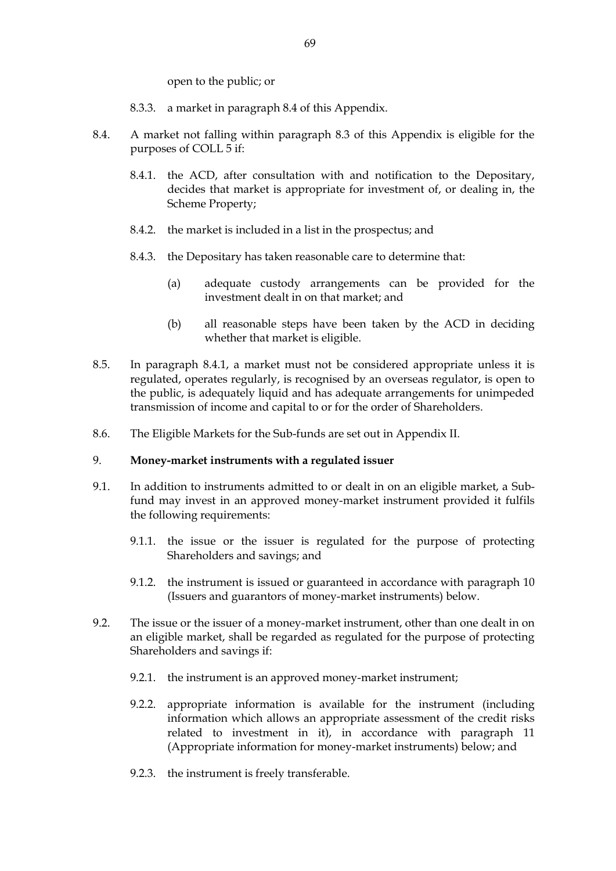open to the public; or

- 8.3.3. a market in paragraph 8.4 of this Appendix.
- <span id="page-68-2"></span><span id="page-68-0"></span>8.4. A market not falling within paragraph 8.3 of this Appendix is eligible for the purposes of COLL 5 if:
	- 8.4.1. the ACD, after consultation with and notification to the Depositary, decides that market is appropriate for investment of, or dealing in, the Scheme Property;
	- 8.4.2. the market is included in a list in the prospectus; and
	- 8.4.3. the Depositary has taken reasonable care to determine that:
		- (a) adequate custody arrangements can be provided for the investment dealt in on that market; and
		- (b) all reasonable steps have been taken by the ACD in deciding whether that market is eligible.
- 8.5. In paragraph [8.4.1,](#page-68-2) a market must not be considered appropriate unless it is regulated, operates regularly, is recognised by an overseas regulator, is open to the public, is adequately liquid and has adequate arrangements for unimpeded transmission of income and capital to or for the order of Shareholders.
- 8.6. The Eligible Markets for the Sub-funds are set out in Appendix II.

#### 9. **Money-market instruments with a regulated issuer**

- <span id="page-68-1"></span>9.1. In addition to instruments admitted to or dealt in on an eligible market, a Subfund may invest in an approved money-market instrument provided it fulfils the following requirements:
	- 9.1.1. the issue or the issuer is regulated for the purpose of protecting Shareholders and savings; and
	- 9.1.2. the instrument is issued or guaranteed in accordance with paragraph [10](#page-69-0) (Issuers and guarantors of money-market instruments) below.
- 9.2. The issue or the issuer of a money-market instrument, other than one dealt in on an eligible market, shall be regarded as regulated for the purpose of protecting Shareholders and savings if:
	- 9.2.1. the instrument is an approved money-market instrument;
	- 9.2.2. appropriate information is available for the instrument (including information which allows an appropriate assessment of the credit risks related to investment in it), in accordance with paragraph [11](#page-69-1) (Appropriate information for money-market instruments) below; and
	- 9.2.3. the instrument is freely transferable.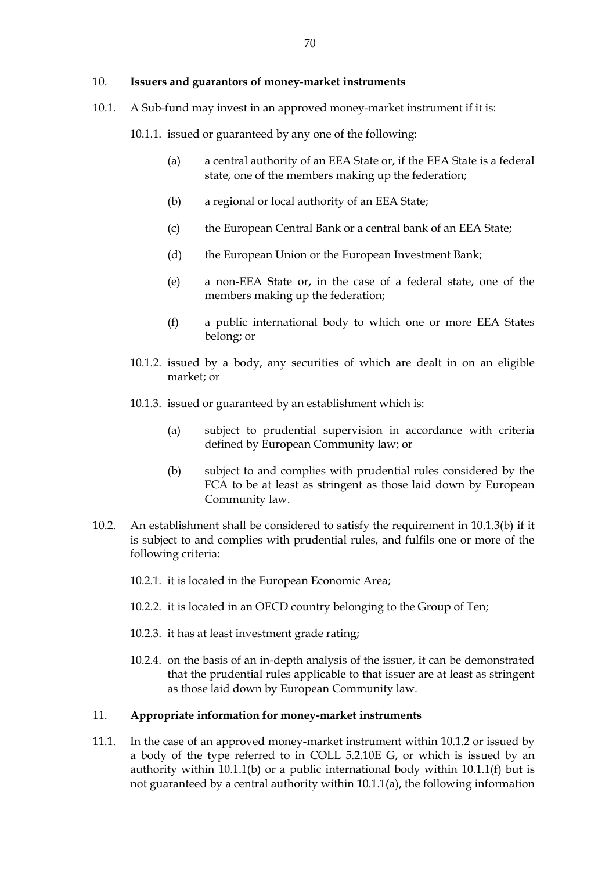#### <span id="page-69-0"></span>10. **Issuers and guarantors of money-market instruments**

10.1. A Sub-fund may invest in an approved money-market instrument if it is:

<span id="page-69-6"></span><span id="page-69-4"></span>10.1.1. issued or guaranteed by any one of the following:

- (a) a central authority of an EEA State or, if the EEA State is a federal state, one of the members making up the federation;
- (b) a regional or local authority of an EEA State;
- (c) the European Central Bank or a central bank of an EEA State;
- <span id="page-69-8"></span>(d) the European Union or the European Investment Bank;
- <span id="page-69-9"></span>(e) a non-EEA State or, in the case of a federal state, one of the members making up the federation;
- (f) a public international body to which one or more EEA States belong; or
- <span id="page-69-5"></span><span id="page-69-3"></span>10.1.2. issued by a body, any securities of which are dealt in on an eligible market; or
- <span id="page-69-7"></span>10.1.3. issued or guaranteed by an establishment which is:
	- (a) subject to prudential supervision in accordance with criteria defined by European Community law; or
	- (b) subject to and complies with prudential rules considered by the FCA to be at least as stringent as those laid down by European Community law.
- <span id="page-69-2"></span>10.2. An establishment shall be considered to satisfy the requirement in [10.1.3\(b\)](#page-69-2) if it is subject to and complies with prudential rules, and fulfils one or more of the following criteria:
	- 10.2.1. it is located in the European Economic Area;
	- 10.2.2. it is located in an OECD country belonging to the Group of Ten;
	- 10.2.3. it has at least investment grade rating;
	- 10.2.4. on the basis of an in-depth analysis of the issuer, it can be demonstrated that the prudential rules applicable to that issuer are at least as stringent as those laid down by European Community law.

# <span id="page-69-1"></span>11. **Appropriate information for money-market instruments**

11.1. In the case of an approved money-market instrument within [10.1.2](#page-69-3) or issued by a body of the type referred to in COLL 5.2.10E G, or which is issued by an authority within [10.1.1\(b\)](#page-69-4) or a public international body within [10.1.1\(f\)](#page-69-5) but is not guaranteed by a central authority within [10.1.1\(a\),](#page-69-6) the following information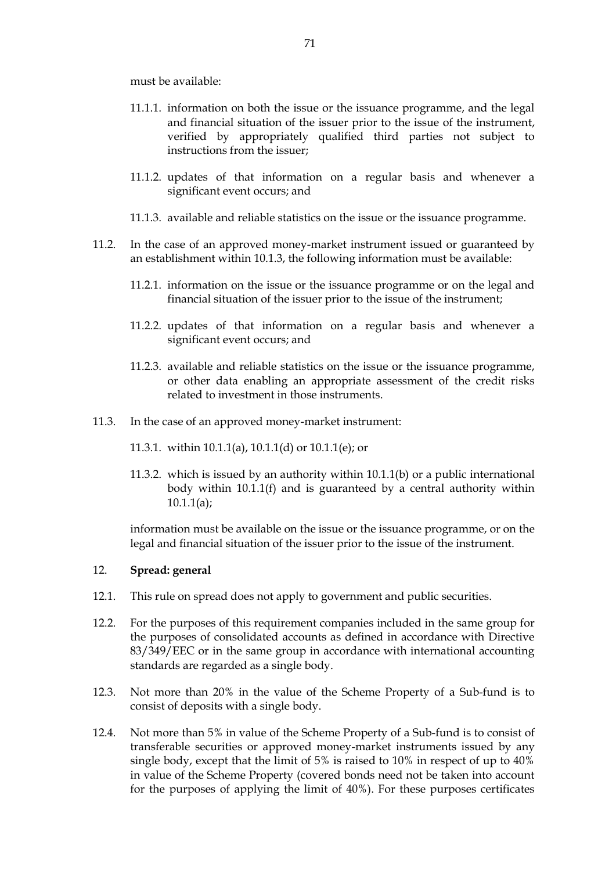must be available:

- 11.1.1. information on both the issue or the issuance programme, and the legal and financial situation of the issuer prior to the issue of the instrument, verified by appropriately qualified third parties not subject to instructions from the issuer;
- 11.1.2. updates of that information on a regular basis and whenever a significant event occurs; and
- 11.1.3. available and reliable statistics on the issue or the issuance programme.
- 11.2. In the case of an approved money-market instrument issued or guaranteed by an establishment within [10.1.3,](#page-69-7) the following information must be available:
	- 11.2.1. information on the issue or the issuance programme or on the legal and financial situation of the issuer prior to the issue of the instrument;
	- 11.2.2. updates of that information on a regular basis and whenever a significant event occurs; and
	- 11.2.3. available and reliable statistics on the issue or the issuance programme, or other data enabling an appropriate assessment of the credit risks related to investment in those instruments.
- 11.3. In the case of an approved money-market instrument:
	- 11.3.1. within [10.1.1\(a\),](#page-69-6) [10.1.1\(d\)](#page-69-8) or [10.1.1\(e\);](#page-69-9) or
	- 11.3.2. which is issued by an authority within [10.1.1\(b\)](#page-69-4) or a public international body within [10.1.1\(f\)](#page-69-5) and is guaranteed by a central authority within  $10.1.1(a);$

information must be available on the issue or the issuance programme, or on the legal and financial situation of the issuer prior to the issue of the instrument.

#### 12. **Spread: general**

- 12.1. This rule on spread does not apply to government and public securities.
- 12.2. For the purposes of this requirement companies included in the same group for the purposes of consolidated accounts as defined in accordance with Directive 83/349/EEC or in the same group in accordance with international accounting standards are regarded as a single body.
- <span id="page-70-0"></span>12.3. Not more than 20% in the value of the Scheme Property of a Sub-fund is to consist of deposits with a single body.
- <span id="page-70-1"></span>12.4. Not more than 5% in value of the Scheme Property of a Sub-fund is to consist of transferable securities or approved money-market instruments issued by any single body, except that the limit of 5% is raised to 10% in respect of up to 40% in value of the Scheme Property (covered bonds need not be taken into account for the purposes of applying the limit of 40%). For these purposes certificates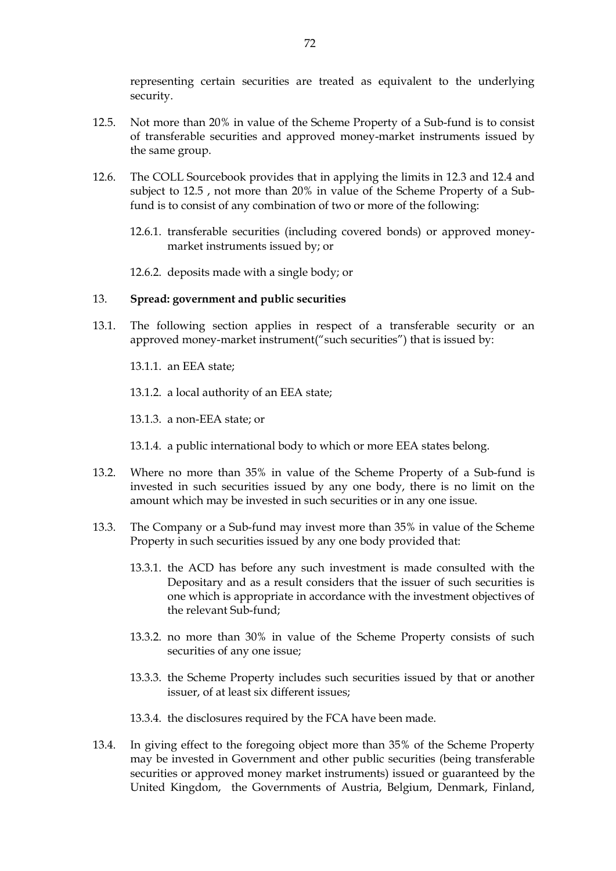representing certain securities are treated as equivalent to the underlying security.

- <span id="page-71-0"></span>12.5. Not more than 20% in value of the Scheme Property of a Sub-fund is to consist of transferable securities and approved money-market instruments issued by the same group.
- 12.6. The COLL Sourcebook provides that in applying the limits in [12.3](#page-70-0) and [12.4](#page-70-1) and subject to [12.5](#page-71-0) , not more than 20% in value of the Scheme Property of a Subfund is to consist of any combination of two or more of the following:
	- 12.6.1. transferable securities (including covered bonds) or approved moneymarket instruments issued by; or
	- 12.6.2. deposits made with a single body; or

#### 13. **Spread: government and public securities**

- 13.1. The following section applies in respect of a transferable security or an approved money-market instrument("such securities") that is issued by:
	- 13.1.1. an EEA state;
	- 13.1.2. a local authority of an EEA state;
	- 13.1.3. a non-EEA state; or
	- 13.1.4. a public international body to which or more EEA states belong.
- 13.2. Where no more than 35% in value of the Scheme Property of a Sub-fund is invested in such securities issued by any one body, there is no limit on the amount which may be invested in such securities or in any one issue.
- 13.3. The Company or a Sub-fund may invest more than 35% in value of the Scheme Property in such securities issued by any one body provided that:
	- 13.3.1. the ACD has before any such investment is made consulted with the Depositary and as a result considers that the issuer of such securities is one which is appropriate in accordance with the investment objectives of the relevant Sub-fund;
	- 13.3.2. no more than 30% in value of the Scheme Property consists of such securities of any one issue;
	- 13.3.3. the Scheme Property includes such securities issued by that or another issuer, of at least six different issues;
	- 13.3.4. the disclosures required by the FCA have been made.
- 13.4. In giving effect to the foregoing object more than 35% of the Scheme Property may be invested in Government and other public securities (being transferable securities or approved money market instruments) issued or guaranteed by the United Kingdom, the Governments of Austria, Belgium, Denmark, Finland,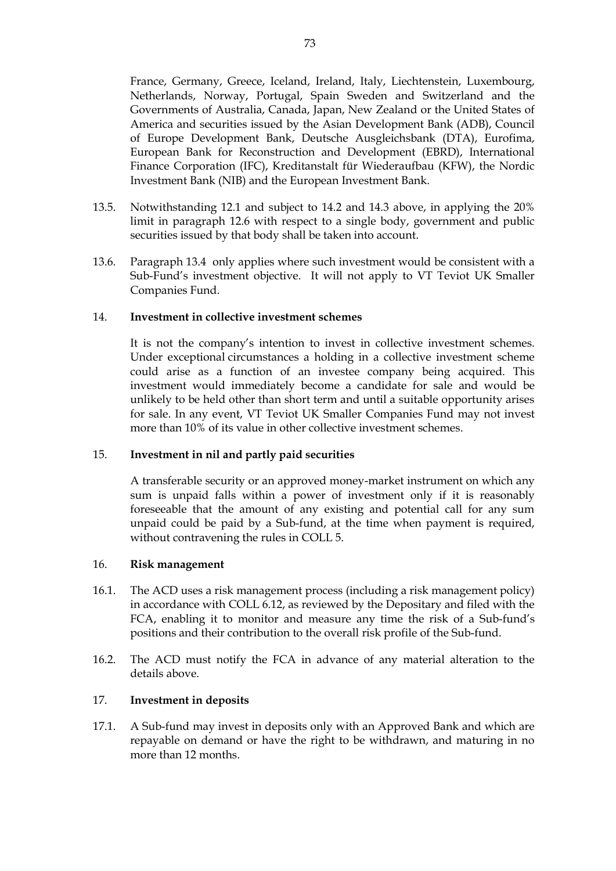France, Germany, Greece, Iceland, Ireland, Italy, Liechtenstein, Luxembourg, Netherlands, Norway, Portugal, Spain Sweden and Switzerland and the Governments of Australia, Canada, Japan, New Zealand or the United States of America and securities issued by the Asian Development Bank (ADB), Council of Europe Development Bank, Deutsche Ausgleichsbank (DTA), Eurofima, European Bank for Reconstruction and Development (EBRD), International Finance Corporation (IFC), Kreditanstalt für Wiederaufbau (KFW), the Nordic Investment Bank (NIB) and the European Investment Bank.

- 13.5. Notwithstanding [12.1](#page-70-0) and subject to 14.2 and 14.3 above, in applying the 20% limit in paragraph [12.6](#page-71-0) with respect to a single body, government and public securities issued by that body shall be taken into account.
- 13.6. Paragraph 13.4 only applies where such investment would be consistent with a Sub-Fund's investment objective. It will not apply to VT Teviot UK Smaller Companies Fund.

### 14. **Investment in collective investment schemes**

It is not the company's intention to invest in collective investment schemes. Under exceptional circumstances a holding in a collective investment scheme could arise as a function of an investee company being acquired. This investment would immediately become a candidate for sale and would be unlikely to be held other than short term and until a suitable opportunity arises for sale. In any event, VT Teviot UK Smaller Companies Fund may not invest more than 10% of its value in other collective investment schemes.

### 15. **Investment in nil and partly paid securities**

A transferable security or an approved money-market instrument on which any sum is unpaid falls within a power of investment only if it is reasonably foreseeable that the amount of any existing and potential call for any sum unpaid could be paid by a Sub-fund, at the time when payment is required, without contravening the rules in COLL 5.

### 16. **Risk management**

- 16.1. The ACD uses a risk management process (including a risk management policy) in accordance with COLL 6.12, as reviewed by the Depositary and filed with the FCA, enabling it to monitor and measure any time the risk of a Sub-fund's positions and their contribution to the overall risk profile of the Sub-fund.
- 16.2. The ACD must notify the FCA in advance of any material alteration to the details above.

# 17. **Investment in deposits**

17.1. A Sub-fund may invest in deposits only with an Approved Bank and which are repayable on demand or have the right to be withdrawn, and maturing in no more than 12 months.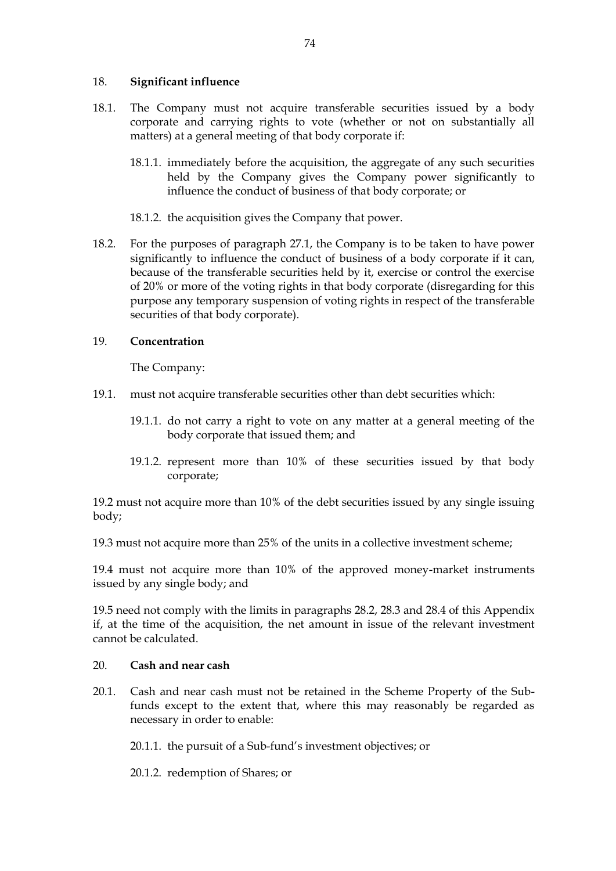# 18. **Significant influence**

- 18.1. The Company must not acquire transferable securities issued by a body corporate and carrying rights to vote (whether or not on substantially all matters) at a general meeting of that body corporate if:
	- 18.1.1. immediately before the acquisition, the aggregate of any such securities held by the Company gives the Company power significantly to influence the conduct of business of that body corporate; or
	- 18.1.2. the acquisition gives the Company that power.
- 18.2. For the purposes of paragraph 27.1, the Company is to be taken to have power significantly to influence the conduct of business of a body corporate if it can, because of the transferable securities held by it, exercise or control the exercise of 20% or more of the voting rights in that body corporate (disregarding for this purpose any temporary suspension of voting rights in respect of the transferable securities of that body corporate).

# 19. **Concentration**

The Company:

- 19.1. must not acquire transferable securities other than debt securities which:
	- 19.1.1. do not carry a right to vote on any matter at a general meeting of the body corporate that issued them; and
	- 19.1.2. represent more than 10% of these securities issued by that body corporate;

19.2 must not acquire more than 10% of the debt securities issued by any single issuing body;

19.3 must not acquire more than 25% of the units in a collective investment scheme;

19.4 must not acquire more than 10% of the approved money-market instruments issued by any single body; and

19.5 need not comply with the limits in paragraphs 28.2, 28.3 and 28.4 of this Appendix if, at the time of the acquisition, the net amount in issue of the relevant investment cannot be calculated.

# 20. **Cash and near cash**

20.1. Cash and near cash must not be retained in the Scheme Property of the Subfunds except to the extent that, where this may reasonably be regarded as necessary in order to enable:

20.1.1. the pursuit of a Sub-fund's investment objectives; or

20.1.2. redemption of Shares; or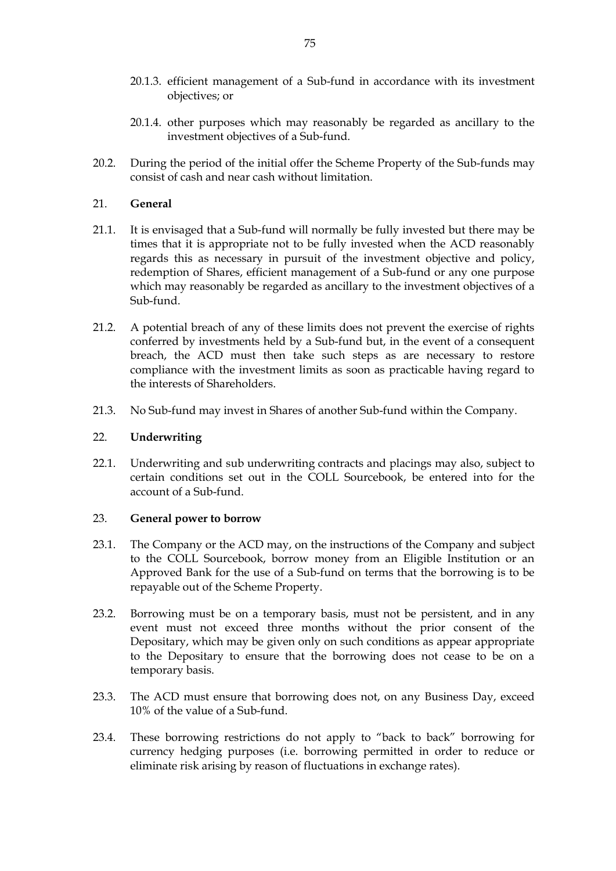- 20.1.3. efficient management of a Sub-fund in accordance with its investment objectives; or
- 20.1.4. other purposes which may reasonably be regarded as ancillary to the investment objectives of a Sub-fund.
- 20.2. During the period of the initial offer the Scheme Property of the Sub-funds may consist of cash and near cash without limitation.

# 21. **General**

- 21.1. It is envisaged that a Sub-fund will normally be fully invested but there may be times that it is appropriate not to be fully invested when the ACD reasonably regards this as necessary in pursuit of the investment objective and policy, redemption of Shares, efficient management of a Sub-fund or any one purpose which may reasonably be regarded as ancillary to the investment objectives of a Sub-fund.
- 21.2. A potential breach of any of these limits does not prevent the exercise of rights conferred by investments held by a Sub-fund but, in the event of a consequent breach, the ACD must then take such steps as are necessary to restore compliance with the investment limits as soon as practicable having regard to the interests of Shareholders.
- 21.3. No Sub-fund may invest in Shares of another Sub-fund within the Company.

### 22. **Underwriting**

22.1. Underwriting and sub underwriting contracts and placings may also, subject to certain conditions set out in the COLL Sourcebook, be entered into for the account of a Sub-fund.

### 23. **General power to borrow**

- 23.1. The Company or the ACD may, on the instructions of the Company and subject to the COLL Sourcebook, borrow money from an Eligible Institution or an Approved Bank for the use of a Sub-fund on terms that the borrowing is to be repayable out of the Scheme Property.
- 23.2. Borrowing must be on a temporary basis, must not be persistent, and in any event must not exceed three months without the prior consent of the Depositary, which may be given only on such conditions as appear appropriate to the Depositary to ensure that the borrowing does not cease to be on a temporary basis.
- 23.3. The ACD must ensure that borrowing does not, on any Business Day, exceed 10% of the value of a Sub-fund.
- 23.4. These borrowing restrictions do not apply to "back to back" borrowing for currency hedging purposes (i.e. borrowing permitted in order to reduce or eliminate risk arising by reason of fluctuations in exchange rates).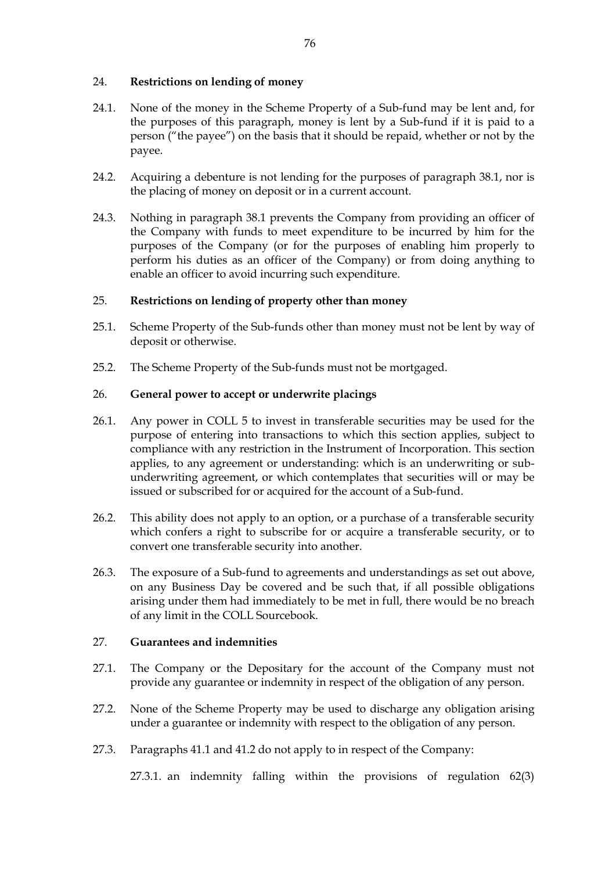# 24. **Restrictions on lending of money**

- 24.1. None of the money in the Scheme Property of a Sub-fund may be lent and, for the purposes of this paragraph, money is lent by a Sub-fund if it is paid to a person ("the payee") on the basis that it should be repaid, whether or not by the payee.
- 24.2. Acquiring a debenture is not lending for the purposes of paragraph 38.1, nor is the placing of money on deposit or in a current account.
- 24.3. Nothing in paragraph 38.1 prevents the Company from providing an officer of the Company with funds to meet expenditure to be incurred by him for the purposes of the Company (or for the purposes of enabling him properly to perform his duties as an officer of the Company) or from doing anything to enable an officer to avoid incurring such expenditure.

# 25. **Restrictions on lending of property other than money**

- 25.1. Scheme Property of the Sub-funds other than money must not be lent by way of deposit or otherwise.
- 25.2. The Scheme Property of the Sub-funds must not be mortgaged.

# 26. **General power to accept or underwrite placings**

- 26.1. Any power in COLL 5 to invest in transferable securities may be used for the purpose of entering into transactions to which this section applies, subject to compliance with any restriction in the Instrument of Incorporation. This section applies, to any agreement or understanding: which is an underwriting or subunderwriting agreement, or which contemplates that securities will or may be issued or subscribed for or acquired for the account of a Sub-fund.
- 26.2. This ability does not apply to an option, or a purchase of a transferable security which confers a right to subscribe for or acquire a transferable security, or to convert one transferable security into another.
- 26.3. The exposure of a Sub-fund to agreements and understandings as set out above, on any Business Day be covered and be such that, if all possible obligations arising under them had immediately to be met in full, there would be no breach of any limit in the COLL Sourcebook.

# 27. **Guarantees and indemnities**

- 27.1. The Company or the Depositary for the account of the Company must not provide any guarantee or indemnity in respect of the obligation of any person.
- 27.2. None of the Scheme Property may be used to discharge any obligation arising under a guarantee or indemnity with respect to the obligation of any person.
- 27.3. Paragraphs 41.1 and 41.2 do not apply to in respect of the Company:

27.3.1. an indemnity falling within the provisions of regulation 62(3)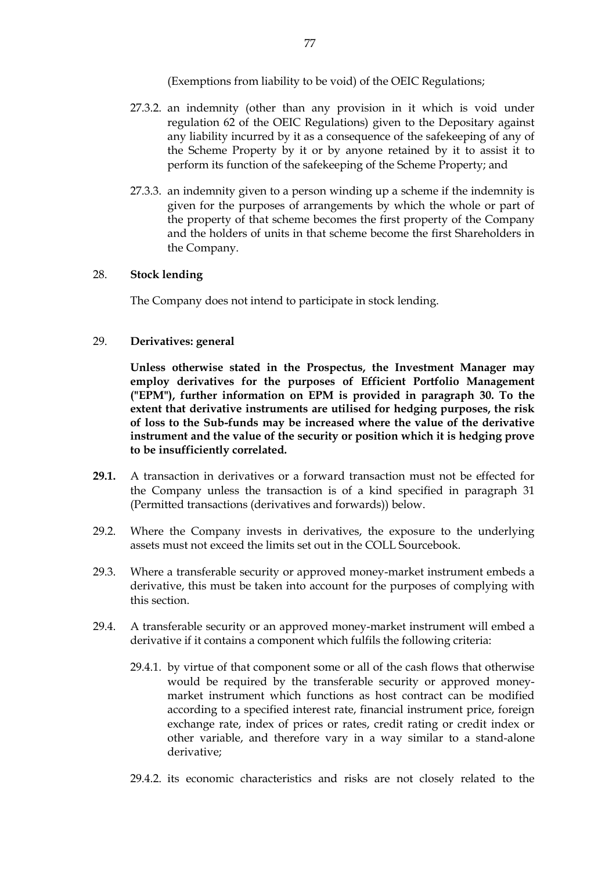(Exemptions from liability to be void) of the OEIC Regulations;

- 27.3.2. an indemnity (other than any provision in it which is void under regulation 62 of the OEIC Regulations) given to the Depositary against any liability incurred by it as a consequence of the safekeeping of any of the Scheme Property by it or by anyone retained by it to assist it to perform its function of the safekeeping of the Scheme Property; and
- 27.3.3. an indemnity given to a person winding up a scheme if the indemnity is given for the purposes of arrangements by which the whole or part of the property of that scheme becomes the first property of the Company and the holders of units in that scheme become the first Shareholders in the Company.

# 28. **Stock lending**

The Company does not intend to participate in stock lending.

# 29. **Derivatives: general**

**Unless otherwise stated in the Prospectus, the Investment Manager may employ derivatives for the purposes of Efficient Portfolio Management ("EPM"), further information on EPM is provided in paragraph 30. To the extent that derivative instruments are utilised for hedging purposes, the risk of loss to the Sub-funds may be increased where the value of the derivative instrument and the value of the security or position which it is hedging prove to be insufficiently correlated.**

- **29.1.** A transaction in derivatives or a forward transaction must not be effected for the Company unless the transaction is of a kind specified in paragraph 31 (Permitted transactions (derivatives and forwards)) below.
- 29.2. Where the Company invests in derivatives, the exposure to the underlying assets must not exceed the limits set out in the COLL Sourcebook.
- 29.3. Where a transferable security or approved money-market instrument embeds a derivative, this must be taken into account for the purposes of complying with this section.
- 29.4. A transferable security or an approved money-market instrument will embed a derivative if it contains a component which fulfils the following criteria:
	- 29.4.1. by virtue of that component some or all of the cash flows that otherwise would be required by the transferable security or approved moneymarket instrument which functions as host contract can be modified according to a specified interest rate, financial instrument price, foreign exchange rate, index of prices or rates, credit rating or credit index or other variable, and therefore vary in a way similar to a stand-alone derivative;
	- 29.4.2. its economic characteristics and risks are not closely related to the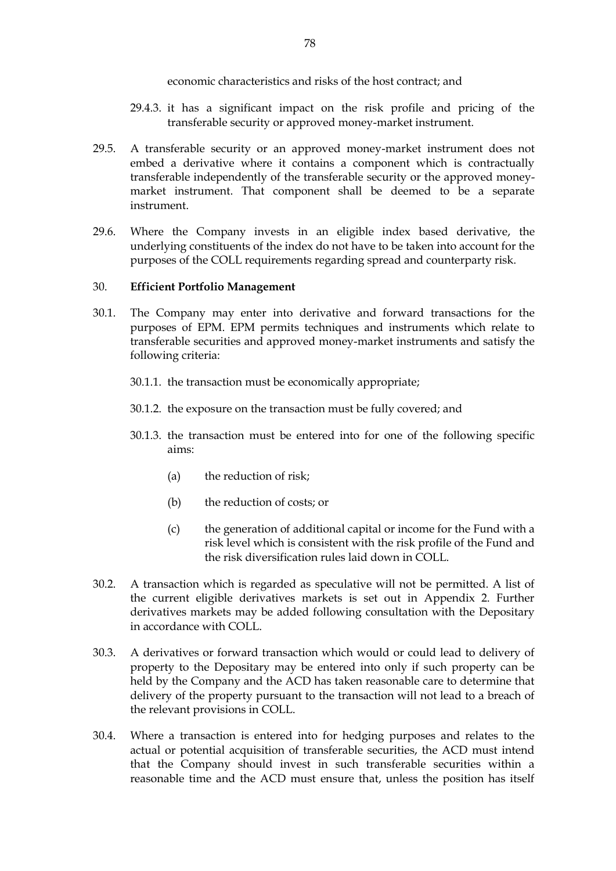# economic characteristics and risks of the host contract; and

- 29.4.3. it has a significant impact on the risk profile and pricing of the transferable security or approved money-market instrument.
- 29.5. A transferable security or an approved money-market instrument does not embed a derivative where it contains a component which is contractually transferable independently of the transferable security or the approved moneymarket instrument. That component shall be deemed to be a separate instrument.
- 29.6. Where the Company invests in an eligible index based derivative, the underlying constituents of the index do not have to be taken into account for the purposes of the COLL requirements regarding spread and counterparty risk.

# 30. **Efficient Portfolio Management**

- 30.1. The Company may enter into derivative and forward transactions for the purposes of EPM. EPM permits techniques and instruments which relate to transferable securities and approved money-market instruments and satisfy the following criteria:
	- 30.1.1. the transaction must be economically appropriate;
	- 30.1.2. the exposure on the transaction must be fully covered; and
	- 30.1.3. the transaction must be entered into for one of the following specific aims:
		- (a) the reduction of risk;
		- (b) the reduction of costs; or
		- (c) the generation of additional capital or income for the Fund with a risk level which is consistent with the risk profile of the Fund and the risk diversification rules laid down in COLL.
- 30.2. A transaction which is regarded as speculative will not be permitted. A list of the current eligible derivatives markets is set out in Appendix 2. Further derivatives markets may be added following consultation with the Depositary in accordance with COLL.
- 30.3. A derivatives or forward transaction which would or could lead to delivery of property to the Depositary may be entered into only if such property can be held by the Company and the ACD has taken reasonable care to determine that delivery of the property pursuant to the transaction will not lead to a breach of the relevant provisions in COLL.
- 30.4. Where a transaction is entered into for hedging purposes and relates to the actual or potential acquisition of transferable securities, the ACD must intend that the Company should invest in such transferable securities within a reasonable time and the ACD must ensure that, unless the position has itself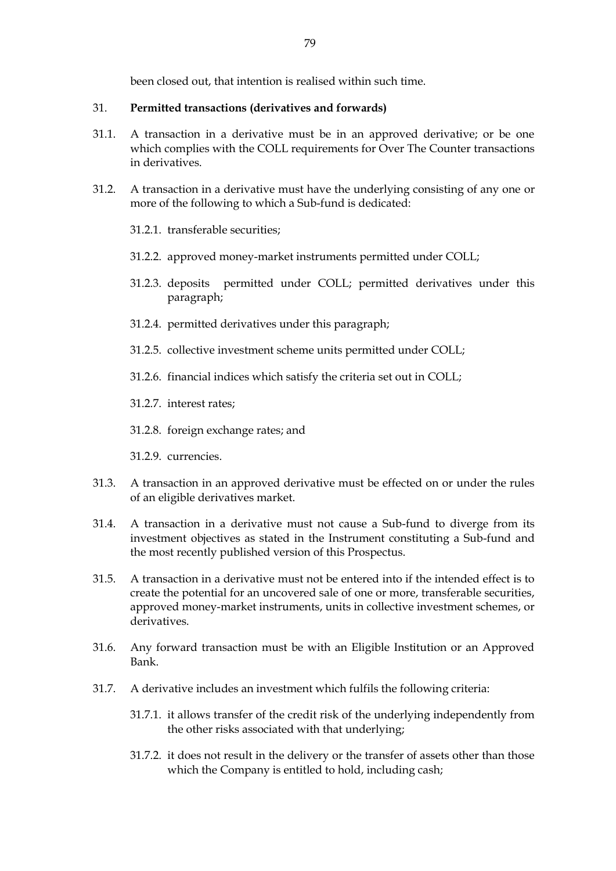been closed out, that intention is realised within such time.

#### 31. **Permitted transactions (derivatives and forwards)**

- 31.1. A transaction in a derivative must be in an approved derivative; or be one which complies with the COLL requirements for Over The Counter transactions in derivatives.
- 31.2. A transaction in a derivative must have the underlying consisting of any one or more of the following to which a Sub-fund is dedicated:
	- 31.2.1. transferable securities;
	- 31.2.2. approved money-market instruments permitted under COLL;
	- 31.2.3. deposits permitted under COLL; permitted derivatives under this paragraph;
	- 31.2.4. permitted derivatives under this paragraph;
	- 31.2.5. collective investment scheme units permitted under COLL;
	- 31.2.6. financial indices which satisfy the criteria set out in COLL;
	- 31.2.7. interest rates;
	- 31.2.8. foreign exchange rates; and
	- 31.2.9. currencies.
- 31.3. A transaction in an approved derivative must be effected on or under the rules of an eligible derivatives market.
- 31.4. A transaction in a derivative must not cause a Sub-fund to diverge from its investment objectives as stated in the Instrument constituting a Sub-fund and the most recently published version of this Prospectus.
- 31.5. A transaction in a derivative must not be entered into if the intended effect is to create the potential for an uncovered sale of one or more, transferable securities, approved money-market instruments, units in collective investment schemes, or derivatives.
- 31.6. Any forward transaction must be with an Eligible Institution or an Approved Bank.
- 31.7. A derivative includes an investment which fulfils the following criteria:
	- 31.7.1. it allows transfer of the credit risk of the underlying independently from the other risks associated with that underlying;
	- 31.7.2. it does not result in the delivery or the transfer of assets other than those which the Company is entitled to hold, including cash;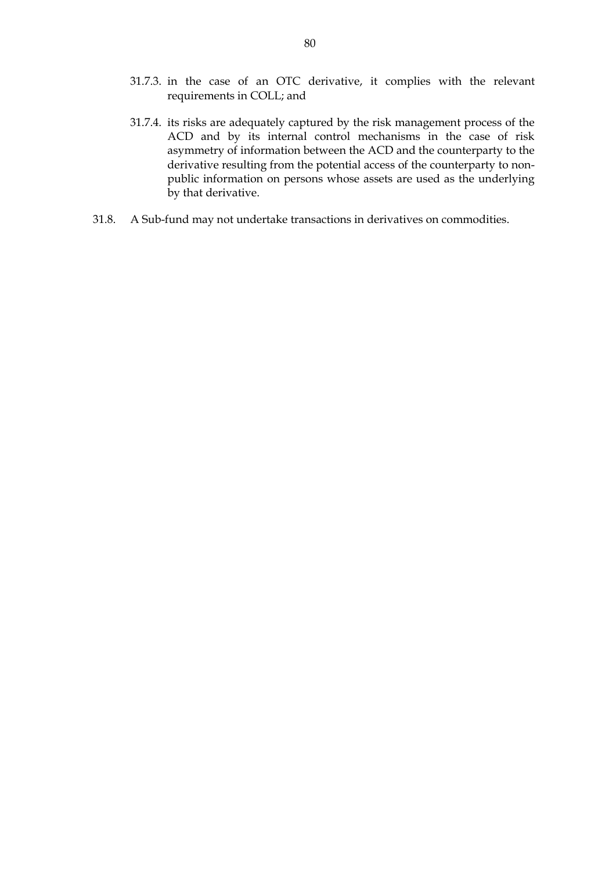- 31.7.3. in the case of an OTC derivative, it complies with the relevant requirements in COLL; and
- 31.7.4. its risks are adequately captured by the risk management process of the ACD and by its internal control mechanisms in the case of risk asymmetry of information between the ACD and the counterparty to the derivative resulting from the potential access of the counterparty to nonpublic information on persons whose assets are used as the underlying by that derivative.
- 31.8. A Sub-fund may not undertake transactions in derivatives on commodities.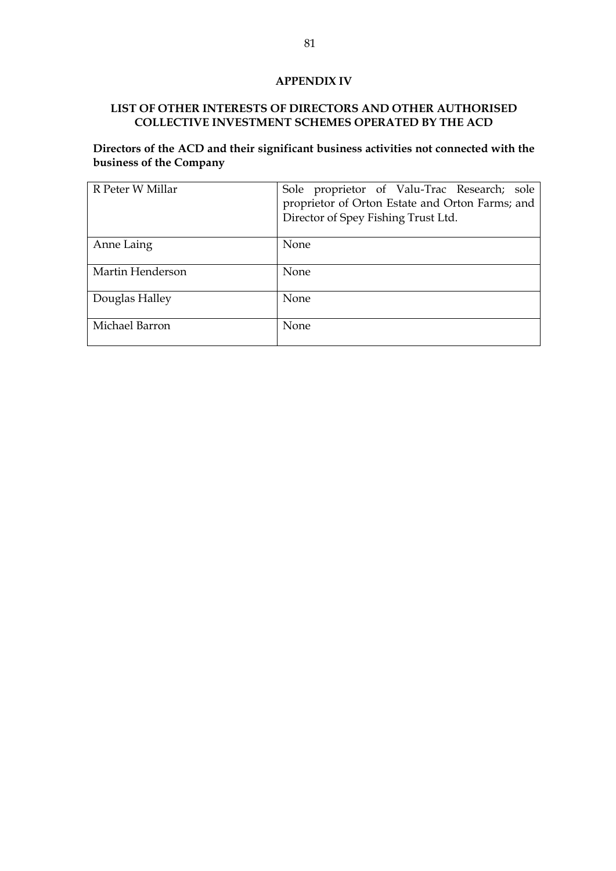# **APPENDIX IV**

# **LIST OF OTHER INTERESTS OF DIRECTORS AND OTHER AUTHORISED COLLECTIVE INVESTMENT SCHEMES OPERATED BY THE ACD**

**Directors of the ACD and their significant business activities not connected with the business of the Company**

| R Peter W Millar | Sole proprietor of Valu-Trac Research; sole<br>proprietor of Orton Estate and Orton Farms; and<br>Director of Spey Fishing Trust Ltd. |
|------------------|---------------------------------------------------------------------------------------------------------------------------------------|
| Anne Laing       | None                                                                                                                                  |
| Martin Henderson | None                                                                                                                                  |
| Douglas Halley   | None                                                                                                                                  |
| Michael Barron   | None                                                                                                                                  |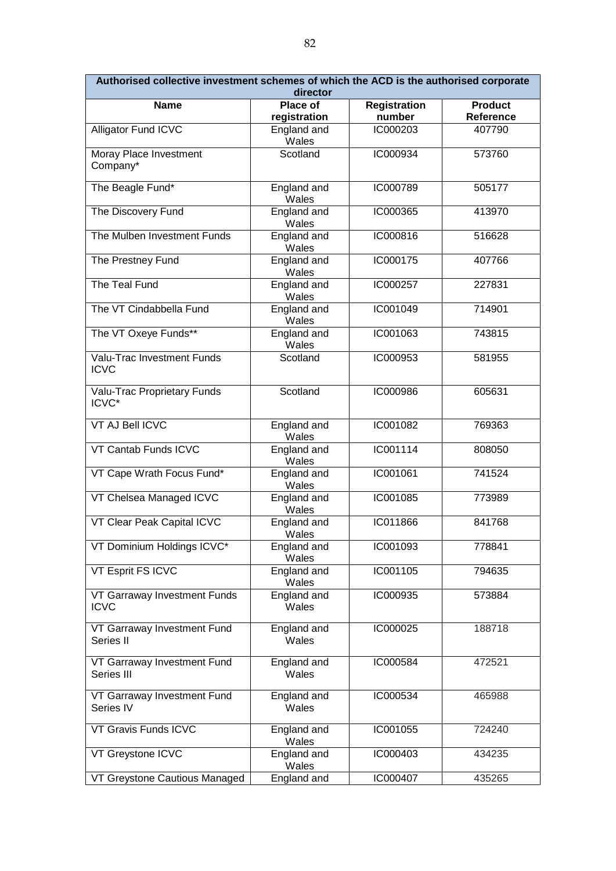| Authorised collective investment schemes of which the ACD is the authorised corporate | director                    |                     |                |
|---------------------------------------------------------------------------------------|-----------------------------|---------------------|----------------|
| <b>Name</b>                                                                           | <b>Place of</b>             | <b>Registration</b> | <b>Product</b> |
|                                                                                       | registration                | number              | Reference      |
| Alligator Fund ICVC                                                                   | England and<br><b>Wales</b> | IC000203            | 407790         |
| Moray Place Investment<br>Company*                                                    | Scotland                    | IC000934            | 573760         |
| The Beagle Fund*                                                                      | England and<br>Wales        | IC000789            | 505177         |
| The Discovery Fund                                                                    | England and<br>Wales        | IC000365            | 413970         |
| The Mulben Investment Funds                                                           | England and<br>Wales        | IC000816            | 516628         |
| The Prestney Fund                                                                     | England and<br>Wales        | IC000175            | 407766         |
| The Teal Fund                                                                         | England and<br>Wales        | IC000257            | 227831         |
| The VT Cindabbella Fund                                                               | England and<br>Wales        | IC001049            | 714901         |
| The VT Oxeye Funds**                                                                  | England and<br>Wales        | IC001063            | 743815         |
| Valu-Trac Investment Funds<br><b>ICVC</b>                                             | Scotland                    | IC000953            | 581955         |
| Valu-Trac Proprietary Funds<br>ICVC*                                                  | Scotland                    | IC000986            | 605631         |
| <b>VT AJ Bell ICVC</b>                                                                | England and<br>Wales        | IC001082            | 769363         |
| VT Cantab Funds ICVC                                                                  | England and<br>Wales        | IC001114            | 808050         |
| VT Cape Wrath Focus Fund*                                                             | England and<br>Wales        | IC001061            | 741524         |
| VT Chelsea Managed ICVC                                                               | England and<br>Wales        | IC001085            | 773989         |
| VT Clear Peak Capital ICVC                                                            | England and<br>Wales        | IC011866            | 841768         |
| VT Dominium Holdings ICVC*                                                            | England and<br>Wales        | IC001093            | 778841         |
| VT Esprit FS ICVC                                                                     | England and<br>Wales        | IC001105            | 794635         |
| VT Garraway Investment Funds<br><b>ICVC</b>                                           | England and<br>Wales        | IC000935            | 573884         |
| VT Garraway Investment Fund<br>Series II                                              | England and<br>Wales        | IC000025            | 188718         |
| VT Garraway Investment Fund<br>Series III                                             | England and<br>Wales        | IC000584            | 472521         |
| VT Garraway Investment Fund<br>Series IV                                              | England and<br>Wales        | IC000534            | 465988         |
| VT Gravis Funds ICVC                                                                  | England and<br>Wales        | IC001055            | 724240         |
| VT Greystone ICVC                                                                     | England and<br>Wales        | IC000403            | 434235         |
| VT Greystone Cautious Managed                                                         | England and                 | IC000407            | 435265         |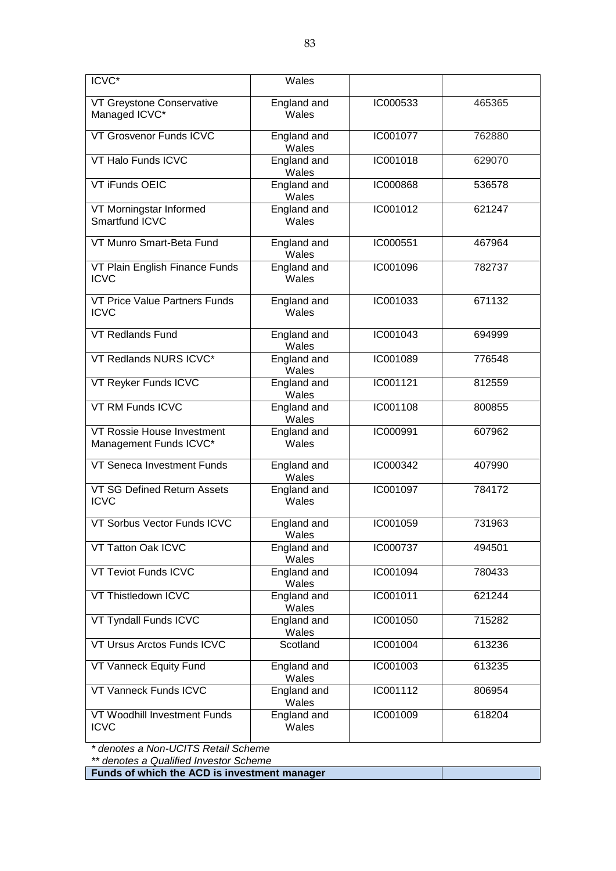| <b>ICVC*</b>                                         | Wales                |          |        |
|------------------------------------------------------|----------------------|----------|--------|
| VT Greystone Conservative<br>Managed ICVC*           | England and<br>Wales | IC000533 | 465365 |
| VT Grosvenor Funds ICVC                              | England and<br>Wales | IC001077 | 762880 |
| VT Halo Funds ICVC                                   | England and<br>Wales | IC001018 | 629070 |
| VT iFunds OEIC                                       | England and<br>Wales | IC000868 | 536578 |
| VT Morningstar Informed<br>Smartfund ICVC            | England and<br>Wales | IC001012 | 621247 |
| VT Munro Smart-Beta Fund                             | England and<br>Wales | IC000551 | 467964 |
| VT Plain English Finance Funds<br><b>ICVC</b>        | England and<br>Wales | IC001096 | 782737 |
| VT Price Value Partners Funds<br><b>ICVC</b>         | England and<br>Wales | IC001033 | 671132 |
| <b>VT Redlands Fund</b>                              | England and<br>Wales | IC001043 | 694999 |
| VT Redlands NURS ICVC*                               | England and<br>Wales | IC001089 | 776548 |
| VT Reyker Funds ICVC                                 | England and<br>Wales | IC001121 | 812559 |
| VT RM Funds ICVC                                     | England and<br>Wales | IC001108 | 800855 |
| VT Rossie House Investment<br>Management Funds ICVC* | England and<br>Wales | IC000991 | 607962 |
| VT Seneca Investment Funds                           | England and<br>Wales | IC000342 | 407990 |
| VT SG Defined Return Assets<br><b>ICVC</b>           | England and<br>Wales | IC001097 | 784172 |
| VT Sorbus Vector Funds ICVC                          | England and<br>Wales | IC001059 | 731963 |
| VT Tatton Oak ICVC                                   | England and<br>Wales | IC000737 | 494501 |
| <b>VT Teviot Funds ICVC</b>                          | England and<br>Wales | IC001094 | 780433 |
| VT Thistledown ICVC                                  | England and<br>Wales | IC001011 | 621244 |
| VT Tyndall Funds ICVC                                | England and<br>Wales | IC001050 | 715282 |
| VT Ursus Arctos Funds ICVC                           | Scotland             | IC001004 | 613236 |
| <b>VT Vanneck Equity Fund</b>                        | England and<br>Wales | IC001003 | 613235 |
| VT Vanneck Funds ICVC                                | England and<br>Wales | IC001112 | 806954 |
| VT Woodhill Investment Funds<br><b>ICVC</b>          | England and<br>Wales | IC001009 | 618204 |

*\* denotes a Non-UCITS Retail Scheme*

*\*\* denotes a Qualified Investor Scheme*

**Funds of which the ACD is investment manager**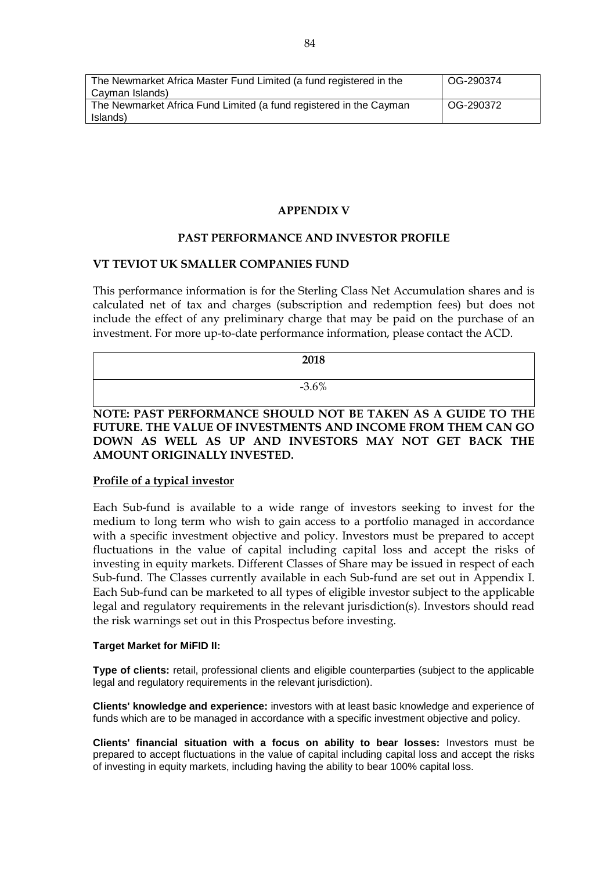| The Newmarket Africa Master Fund Limited (a fund registered in the | OG-290374 |
|--------------------------------------------------------------------|-----------|
| Cayman Islands)                                                    |           |
| The Newmarket Africa Fund Limited (a fund registered in the Cayman | OG-290372 |
| Islands)                                                           |           |

# **APPENDIX V**

### **PAST PERFORMANCE AND INVESTOR PROFILE**

### **VT TEVIOT UK SMALLER COMPANIES FUND**

This performance information is for the Sterling Class Net Accumulation shares and is calculated net of tax and charges (subscription and redemption fees) but does not include the effect of any preliminary charge that may be paid on the purchase of an investment. For more up-to-date performance information, please contact the ACD.

| 2018     |
|----------|
| $-3.6\%$ |

**NOTE: PAST PERFORMANCE SHOULD NOT BE TAKEN AS A GUIDE TO THE FUTURE. THE VALUE OF INVESTMENTS AND INCOME FROM THEM CAN GO DOWN AS WELL AS UP AND INVESTORS MAY NOT GET BACK THE AMOUNT ORIGINALLY INVESTED.**

### **Profile of a typical investor**

Each Sub-fund is available to a wide range of investors seeking to invest for the medium to long term who wish to gain access to a portfolio managed in accordance with a specific investment objective and policy. Investors must be prepared to accept fluctuations in the value of capital including capital loss and accept the risks of investing in equity markets. Different Classes of Share may be issued in respect of each Sub-fund. The Classes currently available in each Sub-fund are set out in Appendix I. Each Sub-fund can be marketed to all types of eligible investor subject to the applicable legal and regulatory requirements in the relevant jurisdiction(s). Investors should read the risk warnings set out in this Prospectus before investing.

#### **Target Market for MiFID II:**

**Type of clients:** retail, professional clients and eligible counterparties (subject to the applicable legal and regulatory requirements in the relevant jurisdiction).

**Clients' knowledge and experience:** investors with at least basic knowledge and experience of funds which are to be managed in accordance with a specific investment objective and policy.

**Clients' financial situation with a focus on ability to bear losses:** Investors must be prepared to accept fluctuations in the value of capital including capital loss and accept the risks of investing in equity markets, including having the ability to bear 100% capital loss.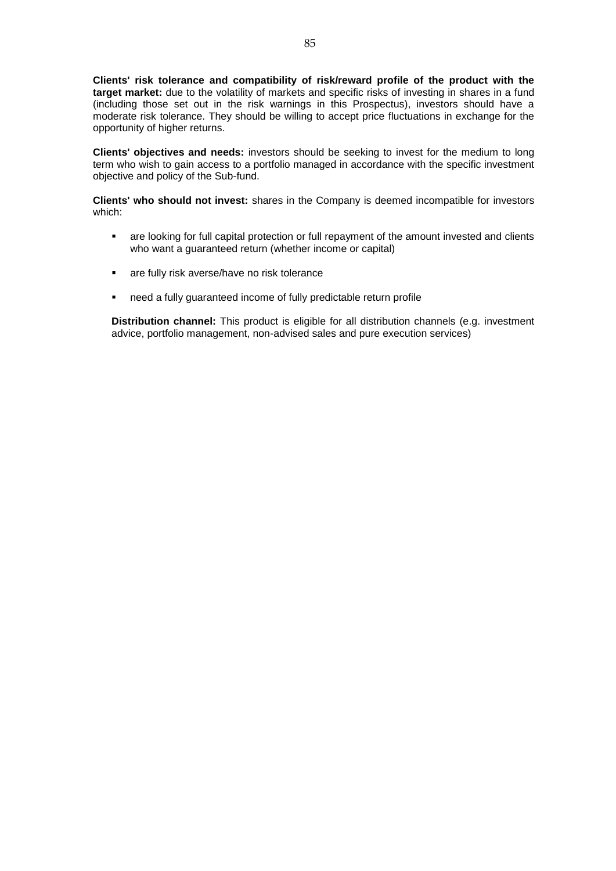**Clients' risk tolerance and compatibility of risk/reward profile of the product with the target market:** due to the volatility of markets and specific risks of investing in shares in a fund (including those set out in the risk warnings in this Prospectus), investors should have a moderate risk tolerance. They should be willing to accept price fluctuations in exchange for the opportunity of higher returns.

**Clients' objectives and needs:** investors should be seeking to invest for the medium to long term who wish to gain access to a portfolio managed in accordance with the specific investment objective and policy of the Sub-fund.

**Clients' who should not invest:** shares in the Company is deemed incompatible for investors which:

- are looking for full capital protection or full repayment of the amount invested and clients who want a guaranteed return (whether income or capital)
- **are fully risk averse/have no risk tolerance**
- need a fully guaranteed income of fully predictable return profile

**Distribution channel:** This product is eligible for all distribution channels (e.g. investment advice, portfolio management, non-advised sales and pure execution services)